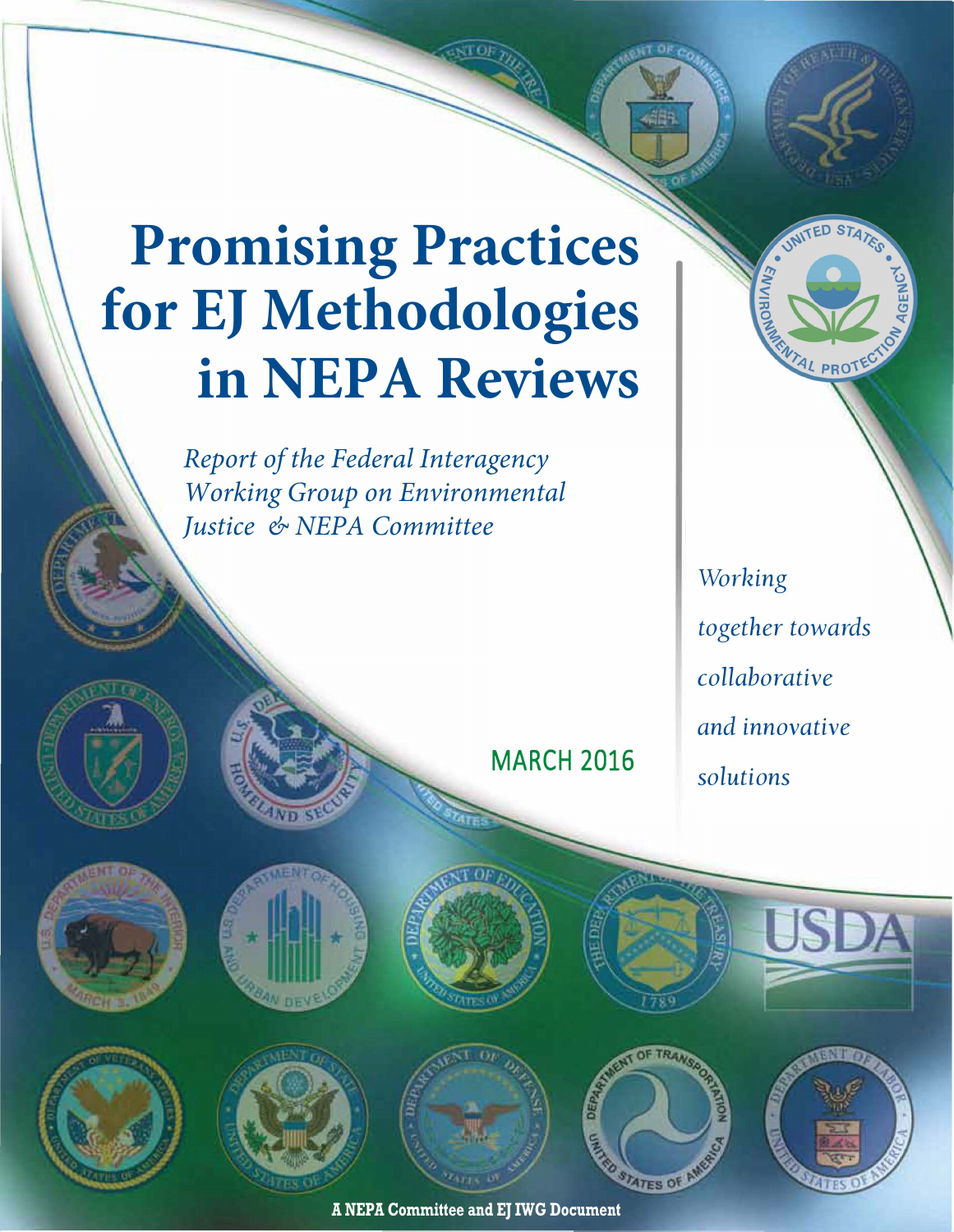# **Promising Practices for EJ Methodologies in NEPA Reviews**

*Report of the Federal Interagency Working Group on Environmental Justice & NEPA Committee* 

> *Working together towards collaborative and innovative solutions*

ENTAL PROTEC













**MARCH 2016** 





**A NEPA Committee and EJ IWG Document**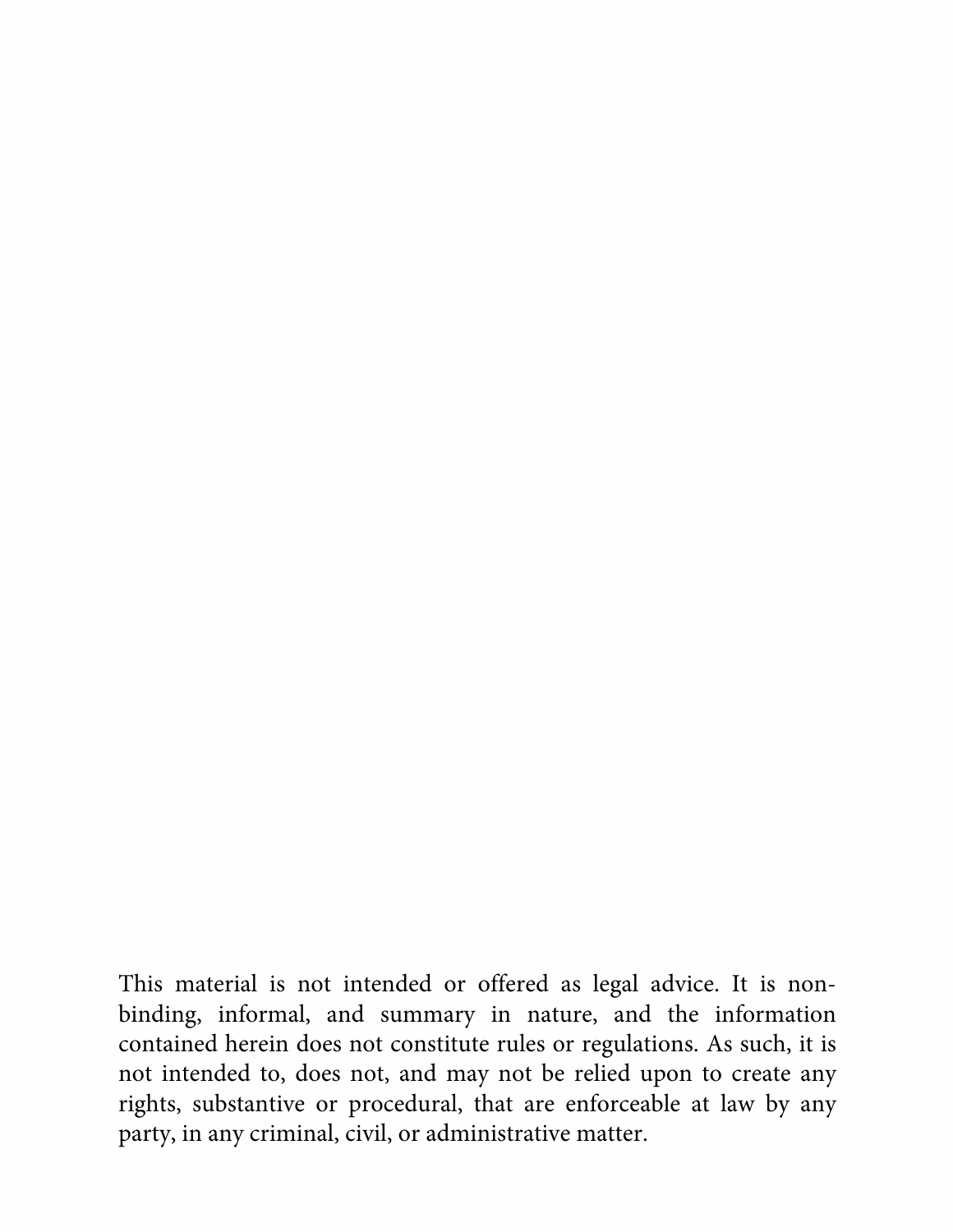This material is not intended or offered as legal advice. It is nonbinding, informal, and summary in nature, and the information contained herein does not constitute rules or regulations. As such, it is not intended to, does not, and may not be relied upon to create any rights, substantive or procedural, that are enforceable at law by any party, in any criminal, civil, or administrative matter.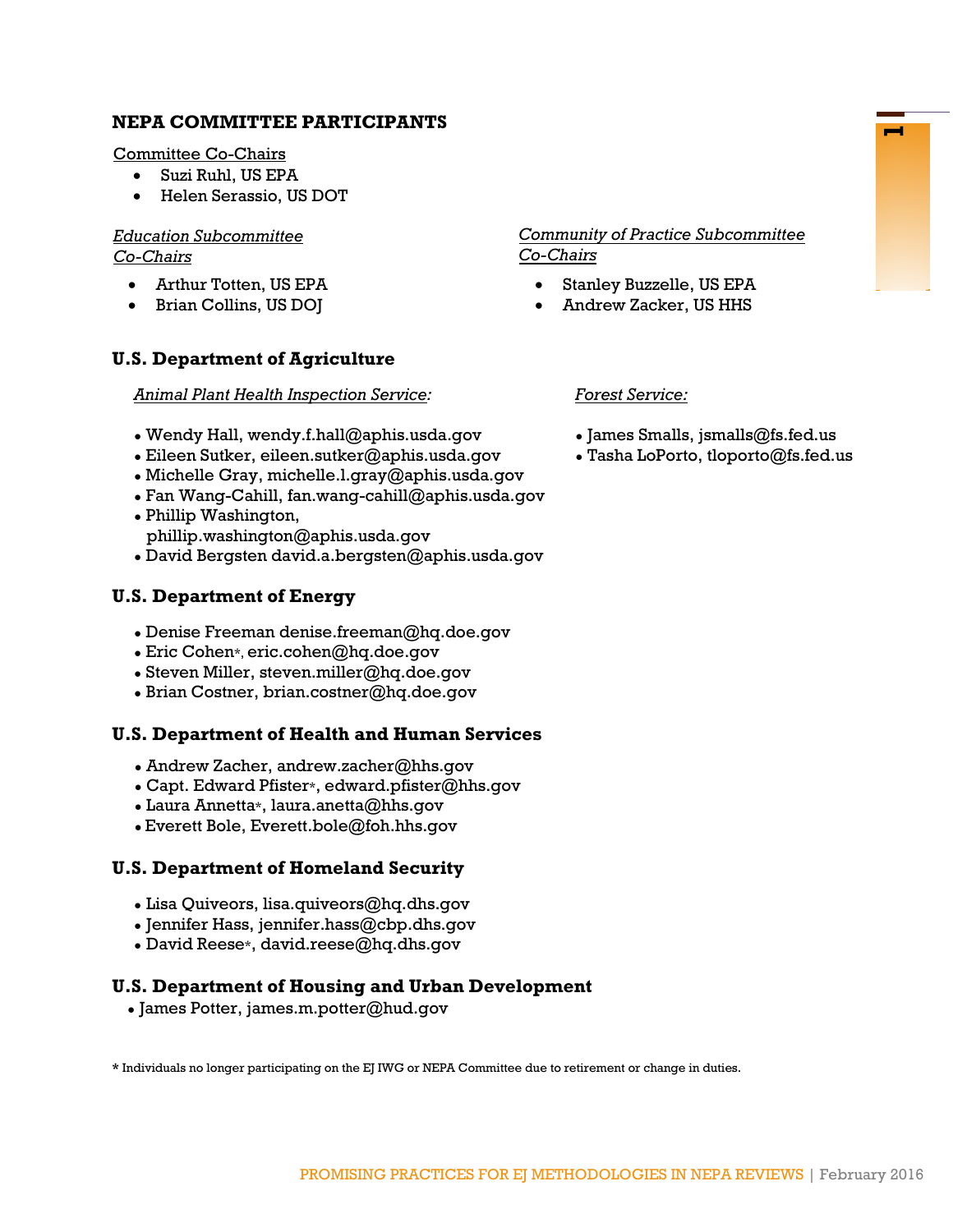### **NEPA COMMITTEE PARTICIPANTS**

Committee Co-Chairs

- Suzi Ruhl, US EPA
- Helen Serassio, US DOT

### *Education Subcommittee Co-Chairs*

- Arthur Totten, US EPA
- Brian Collins, US DOJ

### **U.S. Department of Agriculture**

*Animal Plant Health Inspection Service:*

- Wendy Hall, [wendy.f.hall@aphis.usda.gov](mailto:wendy.f.hall@aphis.usda.gov)
- Eileen Sutker, [eileen.sutker@aphis.usda.gov](mailto:eileen.sutker@aphis.usda.gov)
- $\bullet$  Michelle Gray, [michelle.l.gray@aphis.usda.gov](mailto:michelle.l.gray@aphis.usda.gov)
- Fan Wang-Cahill, fan.wang-cahill@aphis.usda.gov
- Phillip Washington, phillip.washington@aphis.usda.gov
- David Bergsten david.a.bergsten@aphis.usda.gov

### **U.S. Department of Energy**

- Denise Freeman denise.freeman@hq.doe.gov
- $\bullet$  Eric Cohen\*, eric.cohen@hq.doe.gov
- $\bullet$  Steven Miller[, steven.miller@hq.doe.gov](mailto:steven.miller@hq.doe.gov)
- Brian Costner, brian.costner@hq.doe.gov

### **U.S. Department of Health and Human Services**

- Andrew Zacher, andrew.zacher@hhs.gov
- Capt. Edward Pfister\*, edward.pfister@hhs.gov
- $\bullet$  Laura Annetta\*, [laura.anetta@hhs.gov](mailto:laura.anetta@hhs.gov)
- Everett Bole, [Everett.bole@foh.hhs.gov](mailto:Everett.bole@foh.hhs.gov)

### **U.S. Department of Homeland Security**

- Lisa Quiveors, lisa.quiveors@hq.dhs.gov
- Jennifer Hass, [jennifer.hass@cbp.dhs.gov](mailto:jennifer.hass@cbp.dhs.gov)
- David Reese\*, [david.reese@hq.dhs.gov](mailto:david.reese@hq.dhs.gov)

### **U.S. Department of Housing and Urban Development**

● James Potter, [james.m.potter@hud.gov](mailto:james.m.potter@hud.gov)

**\*** Individuals no longer participating on the EJ IWG or NEPA Committee due to retirement or change in duties.

### *Community of Practice Subcommittee Co-Chairs*

- Stanley Buzzelle, US EPA
- Andrew Zacker, US HHS

#### *Forest Service:*

- $\bullet$  James Smalls, jsmalls@fs.fed.us
- $\bullet$  Tasha LoPorto, tloporto@fs.fed.us

**1**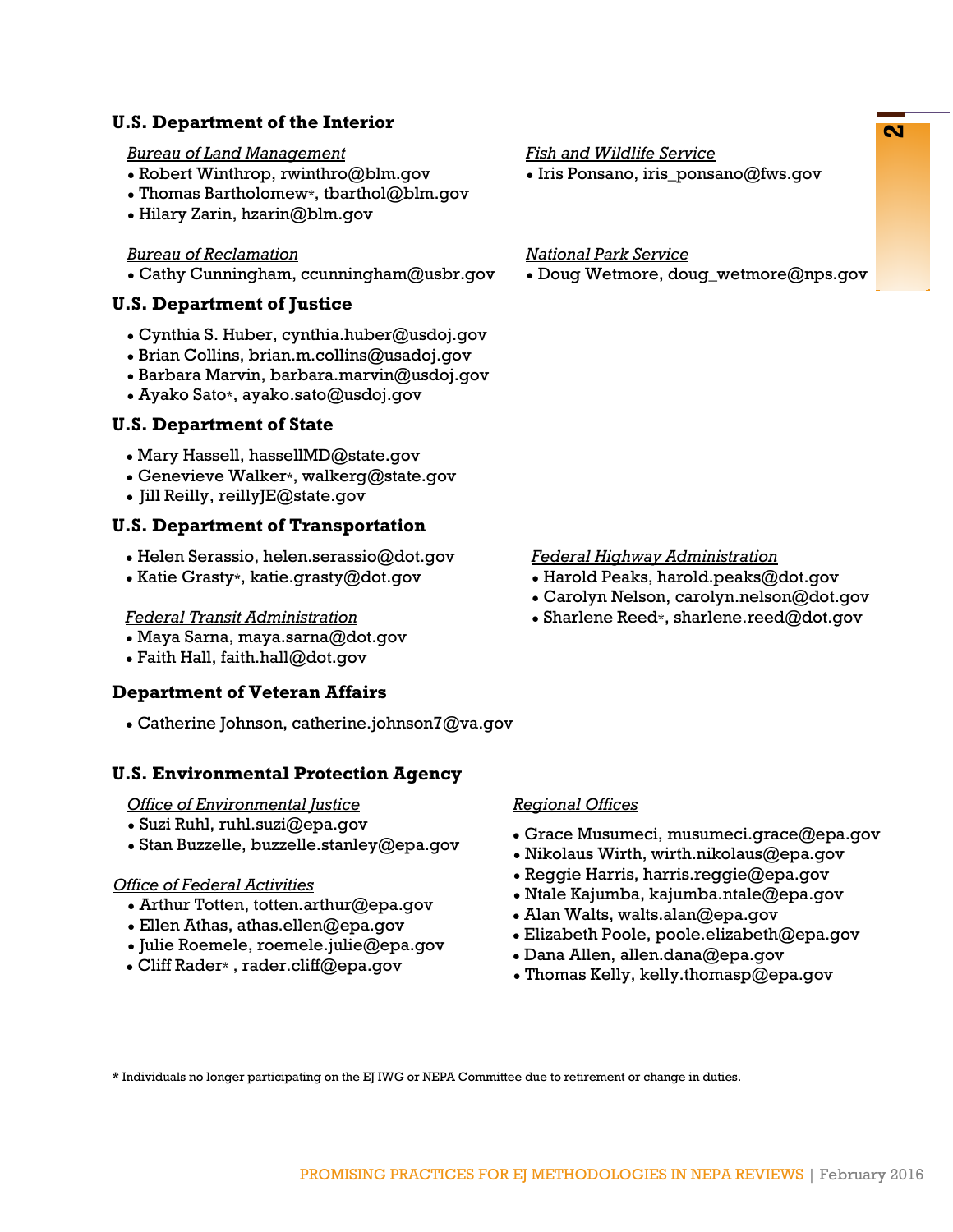### **U.S. Department of the Interior**

#### *Bureau of Land Management*

- Robert Winthrop, rwinthro@blm.gov
- Thomas Bartholomew\*, tbarthol@blm.gov
- Hilary Zarin, hzarin@blm.gov

#### *Bureau of Reclamation*

• Cathy Cunningham, ccunningham $@$ usbr.gov

### **U.S. Department of Justice**

- Cynthia S. Huber, cynthia.huber@usdoj.gov
- Brian Collins, brian.m.collins@usadoj.gov
- Barbara Marvin, barbara.marvin@usdoj.gov
- Ayako Sato\*, ayako.sato@usdoj.gov

### **U.S. Department of State**

- $\bullet$  Mary Hassell, hassellMD@state.gov
- Genevieve Walker\*, [walkerg@state.gov](mailto:walkerg@state.gov)
- Jill Reilly, reilly  $E@$  state.gov

### **U.S. Department of Transportation**

- Helen Serassio, helen.serassio@dot.gov
- Katie Grasty\*, katie.grasty@dot.gov

#### *Federal Transit Administration*

- Maya Sarna, maya.sarna@dot.gov
- Faith Hall, [faith.hall@dot.gov](mailto:faith.hall@dot.gov)

### **Department of Veteran Affairs**

• Catherine Johnson, catherine.johnson $7@$ va.gov

### **U.S. Environmental Protection Agency**

#### *Office of Environmental Justice*

- Suzi Ruhl, ruhl.suzi@epa.gov
- Stan Buzzelle, [buzzelle.stanley@epa.gov](mailto:buzzelle.stanley@epa.gov)

#### *Office of Federal Activities*

- Arthur Totten, [totten.arthur@epa.gov](mailto:totten.arthur@epa.gov)
- $\bullet$  Ellen Athas, [athas.ellen@epa.gov](mailto:athas.ellen@epa.gov)
- Julie Roemele, [roemele.julie@epa.gov](mailto:roemele.julie@epa.gov)
- Cliff Rader\* , [rader.cliff@epa.gov](mailto:rader.cliff@epa.gov)

### *Fish and Wildlife Service*

 $\bullet$  Iris Ponsano, iris ponsano@fws.gov

### *National Park Service*

• Doug Wetmore, doug\_wetmore@nps.gov

#### *Federal Highway Administration*

- $\bullet$  Harold Peaks, harold.peaks@dot.gov
- Carolyn Nelson, [carolyn.nelson@dot.gov](mailto:carolyn.nelson@dot.gov)
- $\bullet$  Sharlene Reed\*, sharlene.reed@dot.gov

### *Regional Offices*

- Grace Musumeci, [musumeci.grace@epa.gov](mailto:musumeci.grace@epa.gov)
- Nikolaus Wirth, wirth.nikolaus@epa.gov
- $\bullet$  Reggie Harris, [harris.reggie@epa.gov](mailto:harris.reggie@epa.gov)
- $\bullet$  Ntale Kajumba, kajumba.ntale@epa.gov
- Alan Walts, walts.alan@epa.gov
- Elizabeth Poole, [poole.elizabeth@epa.gov](mailto:poole.elizabeth@epa.gov)
- Dana Allen, allen.dana@epa.gov
- Thomas Kelly, [kelly.thomasp@epa.gov](mailto:kelly.thomasp@epa.gov)

**\*** Individuals no longer participating on the EJ IWG or NEPA Committee due to retirement or change in duties.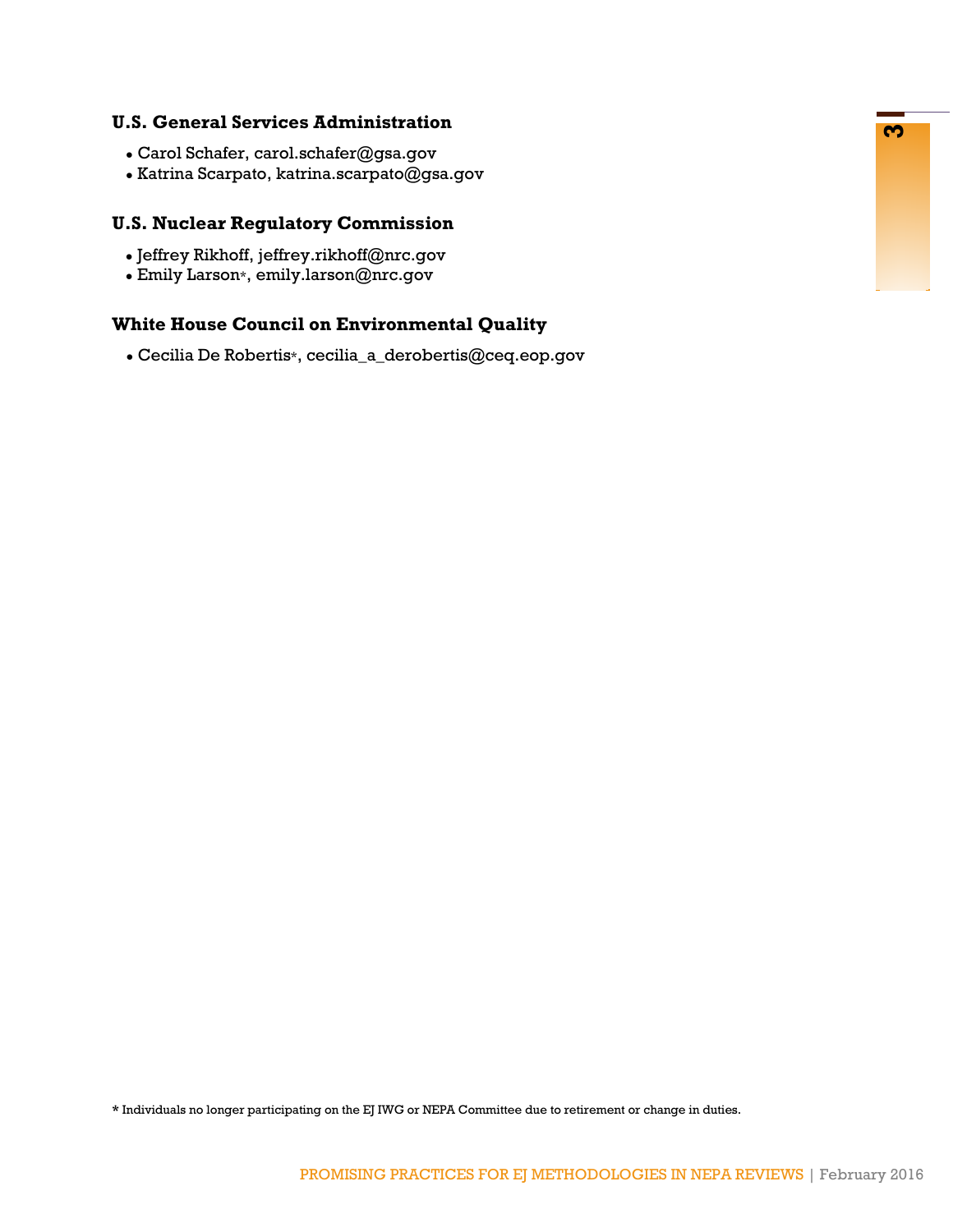### **U.S. General Services Administration**

- Carol Schafer, carol.schafer@gsa.gov
- Katrina Scarpato, katrina.scarpato@gsa.gov

### **U.S. Nuclear Regulatory Commission**

- Jeffrey Rikhoff, jeffrey.rikhoff@nrc.gov
- Emily Larson\*, [emily.larson@nrc.gov](mailto:emily.larson@nrc.gov)

### **White House Council on Environmental Quality**

● Cecilia De Robertis\*, cecilia\_a\_derobertis@ceq.eop.gov

**\*** Individuals no longer participating on the EJ IWG or NEPA Committee due to retirement or change in duties.

<u>რე</u>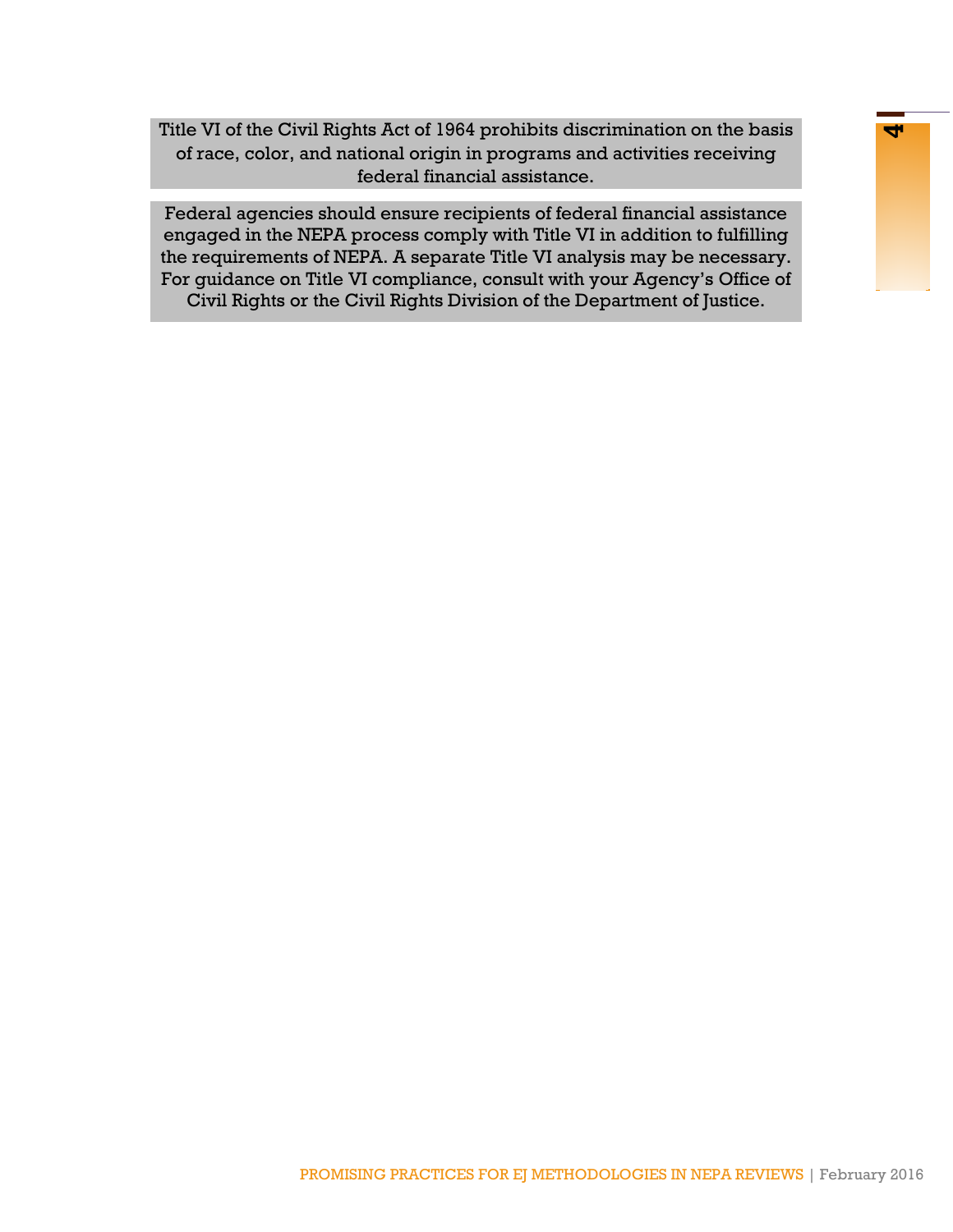Title VI of the Civil Rights Act of 1964 prohibits discrimination on the basis **4** of race, color, and national origin in programs and activities receiving federal financial assistance.

Federal agencies should ensure recipients of federal financial assistance engaged in the NEPA process comply with Title VI in addition to fulfilling the requirements of NEPA. A separate Title VI analysis may be necessary. For guidance on Title VI compliance, consult with your Agency's Office of Civil Rights or the Civil Rights Division of the Department of Justice.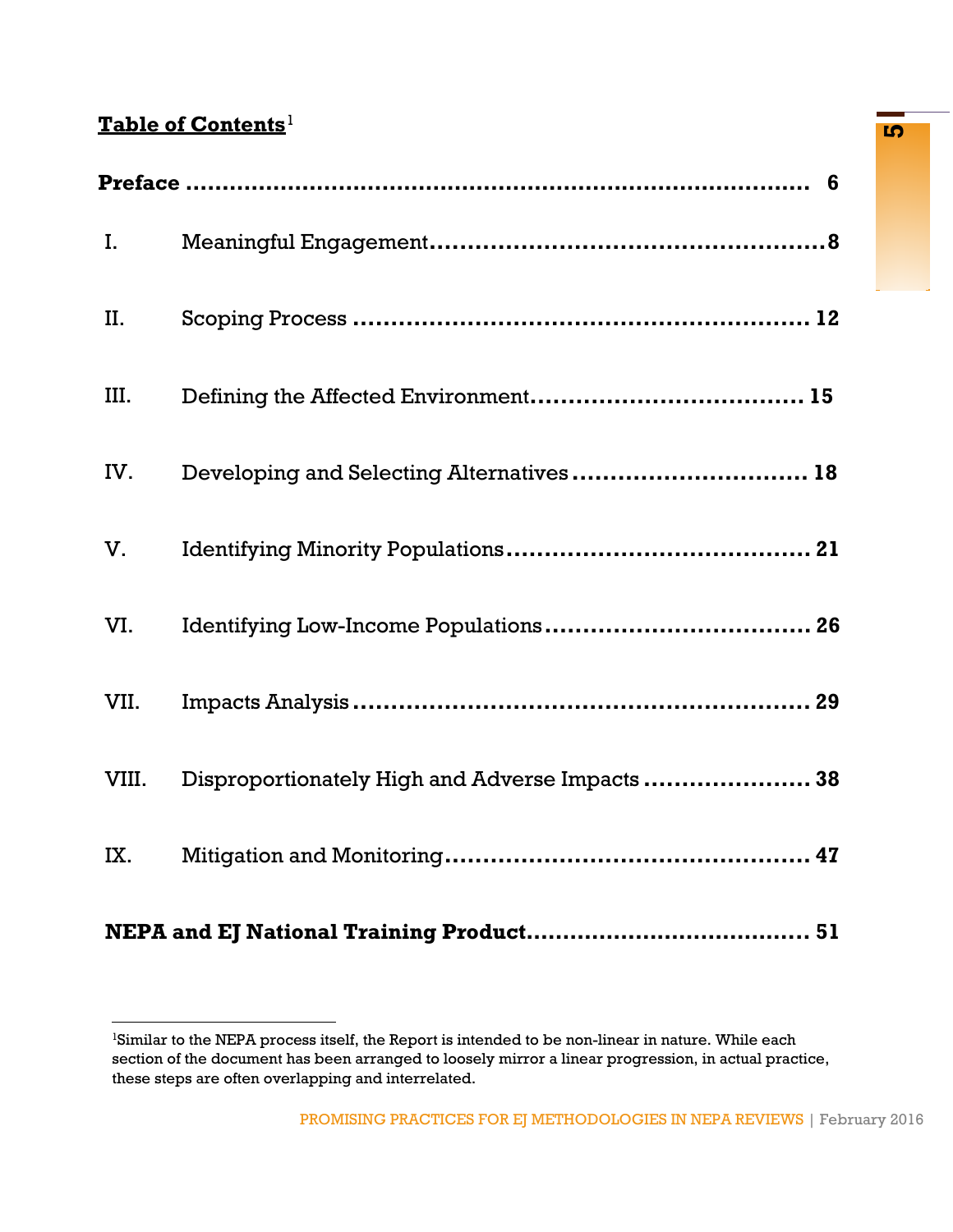# **Table of Contents <sup>5</sup>**[1](#page-6-1)

| $\mathbf{I}$ . |                                                 |
|----------------|-------------------------------------------------|
| II.            |                                                 |
| III.           |                                                 |
| IV.            | Developing and Selecting Alternatives  18       |
| V.             |                                                 |
| VI.            |                                                 |
| VII.           |                                                 |
| VIII.          | Disproportionately High and Adverse Impacts  38 |
| IX.            |                                                 |
|                |                                                 |

<span id="page-6-1"></span><span id="page-6-0"></span><sup>1</sup>Similar to the NEPA process itself, the Report is intended to be non-linear in nature. While each section of the document has been arranged to loosely mirror a linear progression, in actual practice, these steps are often overlapping and interrelated.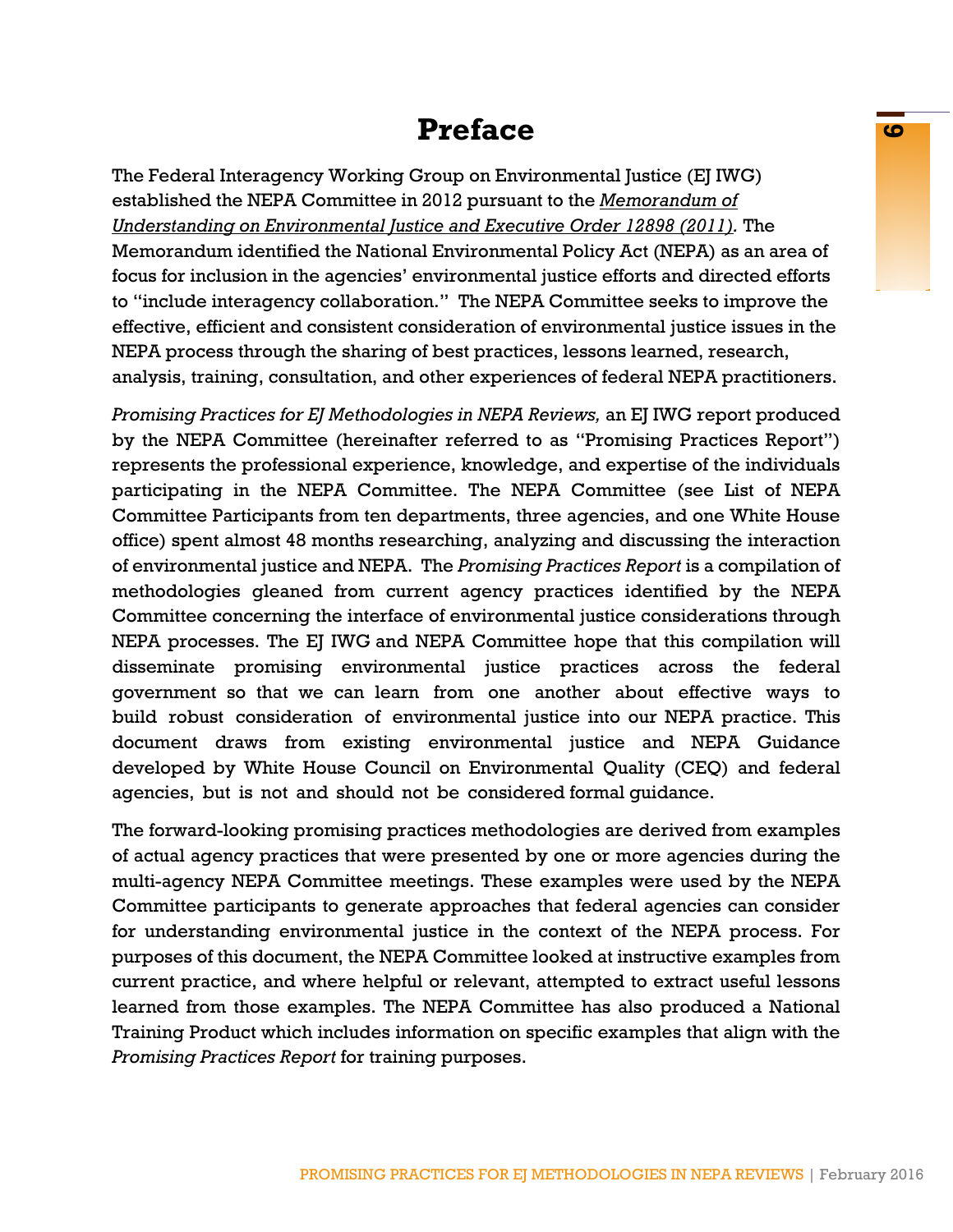# **Preface <sup>6</sup>**

The Federal Interagency Working Group on Environmental Justice (EJ IWG) established the NEPA Committee in 2012 pursuant to the *[Memorandum of](http://www3.epa.gov/environmentaljustice/resources/publications/interagency/ej-mou-2011-08.pdf)  [Understanding on Environmental Justice and Executive Order 12898 \(2011\).](http://www3.epa.gov/environmentaljustice/resources/publications/interagency/ej-mou-2011-08.pdf)* The Memorandum identified the National Environmental Policy Act (NEPA) as an area of focus for inclusion in the agencies' environmental justice efforts and directed efforts to "include interagency collaboration." The NEPA Committee seeks to improve the effective, efficient and consistent consideration of environmental justice issues in the NEPA process through the sharing of best practices, lessons learned, research, analysis, training, consultation, and other experiences of federal NEPA practitioners.

*Promising Practices for EJ Methodologies in NEPA Reviews,* an EJ IWG report produced by the NEPA Committee (hereinafter referred to as "Promising Practices Report") represents the professional experience, knowledge, and expertise of the individuals participating in the NEPA Committee. The NEPA Committee (see List of NEPA Committee Participants from ten departments, three agencies, and one White House office) spent almost 48 months researching, analyzing and discussing the interaction of environmental justice and NEPA. The *Promising Practices Report* is a compilation of methodologies gleaned from current agency practices identified by the NEPA Committee concerning the interface of environmental justice considerations through NEPA processes. The EJ IWG and NEPA Committee hope that this compilation will disseminate promising environmental justice practices across the federal government so that we can learn from one another about effective ways to build robust consideration of environmental justice into our NEPA practice. This document draws from existing environmental justice and NEPA Guidance developed by White House Council on Environmental Quality (CEQ) and federal agencies, but is not and should not be considered formal guidance.

The forward-looking promising practices methodologies are derived from examples of actual agency practices that were presented by one or more agencies during the multi-agency NEPA Committee meetings. These examples were used by the NEPA Committee participants to generate approaches that federal agencies can consider for understanding environmental justice in the context of the NEPA process. For purposes of this document, the NEPA Committee looked at instructive examples from current practice, and where helpful or relevant, attempted to extract useful lessons learned from those examples. The NEPA Committee has also produced a National Training Product which includes information on specific examples that align with the *Promising Practices Report* for training purposes.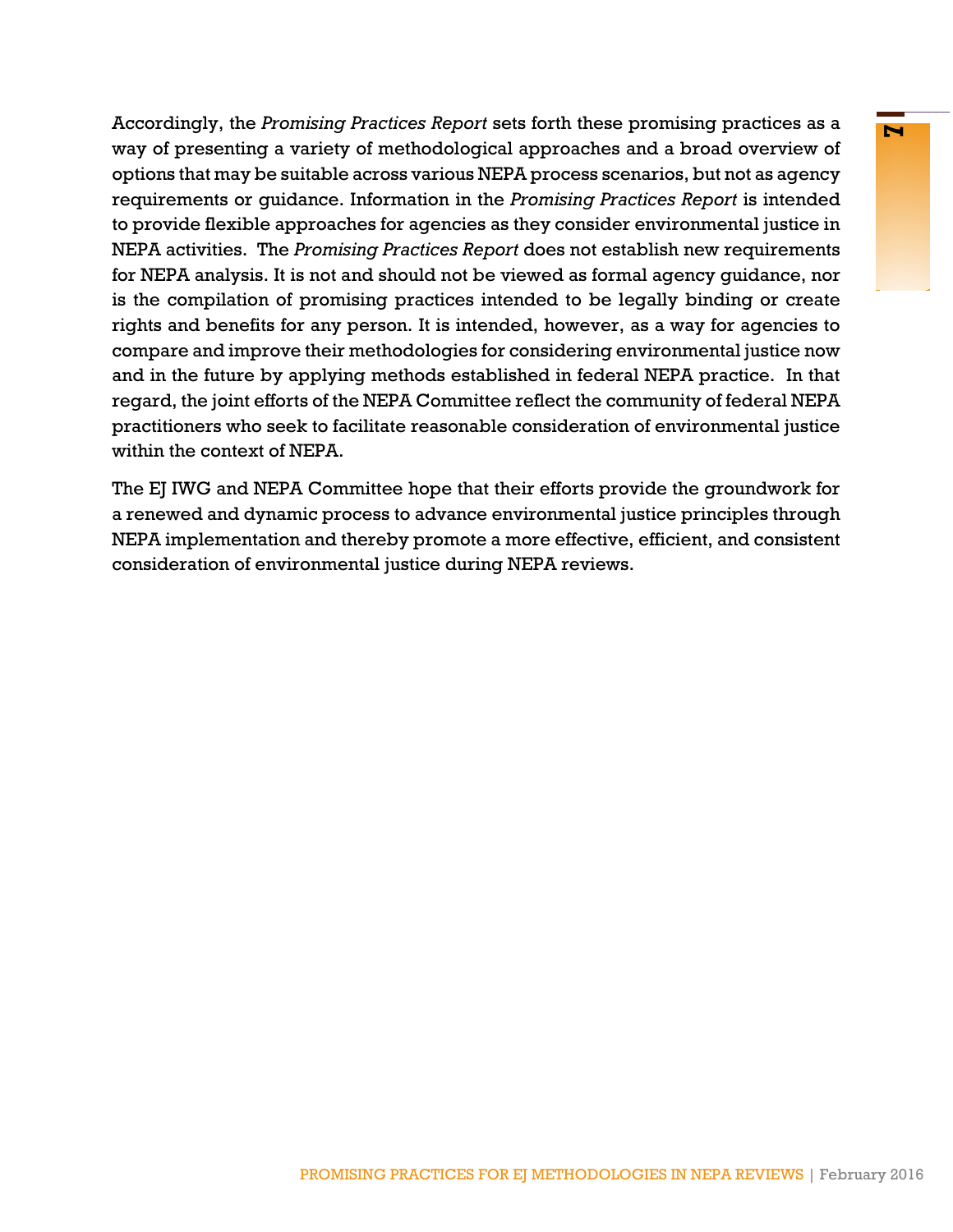Accordingly, the *Promising Practices Report* sets forth these promising practices as a way of presenting a variety of methodological approaches and a broad overview of options that may be suitable across various NEPA process scenarios, but not as agency requirements or guidance. Information in the *Promising Practices Report* is intended to provide flexible approaches for agencies as they consider environmental justice in NEPA activities. The *Promising Practices Report* does not establish new requirements for NEPA analysis. It is not and should not be viewed as formal agency guidance, nor is the compilation of promising practices intended to be legally binding or create rights and benefits for any person. It is intended, however, as a way for agencies to compare and improve their methodologies for considering environmental justice now and in the future by applying methods established in federal NEPA practice. In that regard, the joint efforts of the NEPA Committee reflect the community of federal NEPA practitioners who seek to facilitate reasonable consideration of environmental justice within the context of NEPA.

The EJ IWG and NEPA Committee hope that their efforts provide the groundwork for a renewed and dynamic process to advance environmental justice principles through NEPA implementation and thereby promote a more effective, efficient, and consistent consideration of environmental justice during NEPA reviews.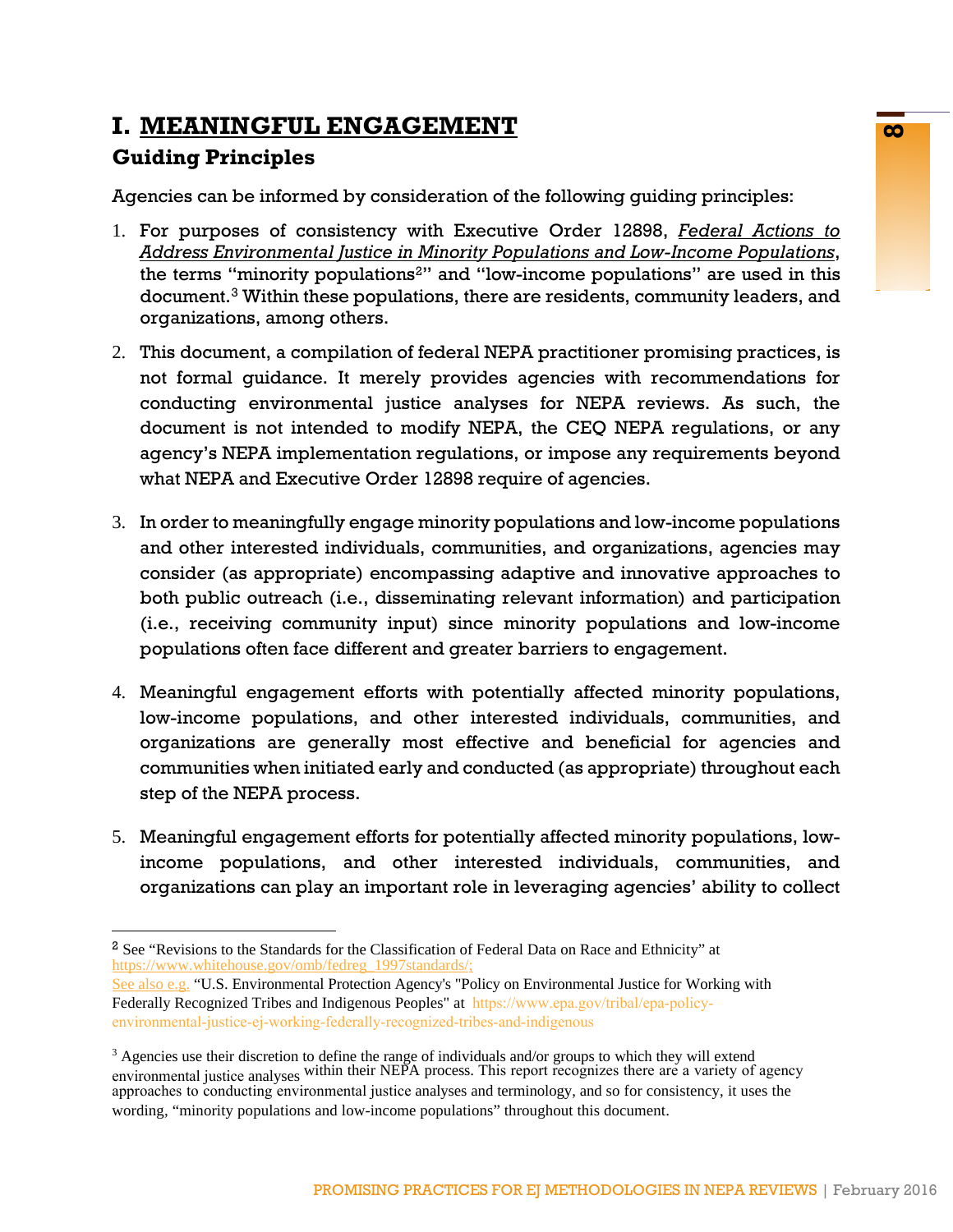# **I. MEANINGFUL ENGAGEMENT Guiding Principles**

Agencies can be informed by consideration of the following guiding principles:

- 1. For purposes of consistency with Executive Order 12898, *[Federal Actions to](http://www.archives.gov/federal-register/executive-orders/pdf/12899.pdf) [Address Environmental Justice in Minority Populations and Low-Income Populations](http://www.archives.gov/federal-register/executive-orders/pdf/12899.pdf)*, the terms "minority populations<sup>[2](#page-9-0)</sup>" and "low-income populations" are used in this document.[3](#page-9-1) Within these populations, there are residents, community leaders, and organizations, among others.
- 2. This document, a compilation of federal NEPA practitioner promising practices, is not formal guidance. It merely provides agencies with recommendations for conducting environmental justice analyses for NEPA reviews. As such, the document is not intended to modify NEPA, the CEQ NEPA regulations, or any agency's NEPA implementation regulations, or impose any requirements beyond what NEPA and Executive Order 12898 require of agencies.
- 3. In order to meaningfully engage minority populations and low-income populations and other interested individuals, communities, and organizations, agencies may consider (as appropriate) encompassing adaptive and innovative approaches to both public outreach (i.e., disseminating relevant information) and participation (i.e., receiving community input) since minority populations and low-income populations often face different and greater barriers to engagement.
- 4. Meaningful engagement efforts with potentially affected minority populations, low-income populations, and other interested individuals, communities, and organizations are generally most effective and beneficial for agencies and communities when initiated early and conducted (as appropriate) throughout each step of the NEPA process.
- 5. Meaningful engagement efforts for potentially affected minority populations, lowincome populations, and other interested individuals, communities, and organizations can play an important role in leveraging agencies' ability to collect

<span id="page-9-0"></span><sup>&</sup>lt;sup>2</sup> See "Revisions to the Standards for the Classification of Federal Data on Race and Ethnicity" at https://www.whitehouse.gov/omb/fedreg\_1997standards/

See also e.g. "U.S. Environmental Protection Agency's "Policy on Environmental Justice for Working with Federally Recognized Tribes and Indigenous Peoples" at https://www.epa.gov/tribal/epa-policy[environmental-justice-ej-working-federally-recognized-tribes-and-indigenous](http://www3.epa.gov/environmentaljustice/resources/policy/indigenous/ej-indigenous-policy.pdf)

<span id="page-9-1"></span> $3$  Agencies use their discretion to define the range of individuals and/or groups to which they will extend environmental justice analyses within their NEPA process. This report recognizes there are a variety of agency approaches to conducting environmental justice analyses and terminology, and so for consistency, it uses the wording, "minority populations and low-income populations" throughout this document.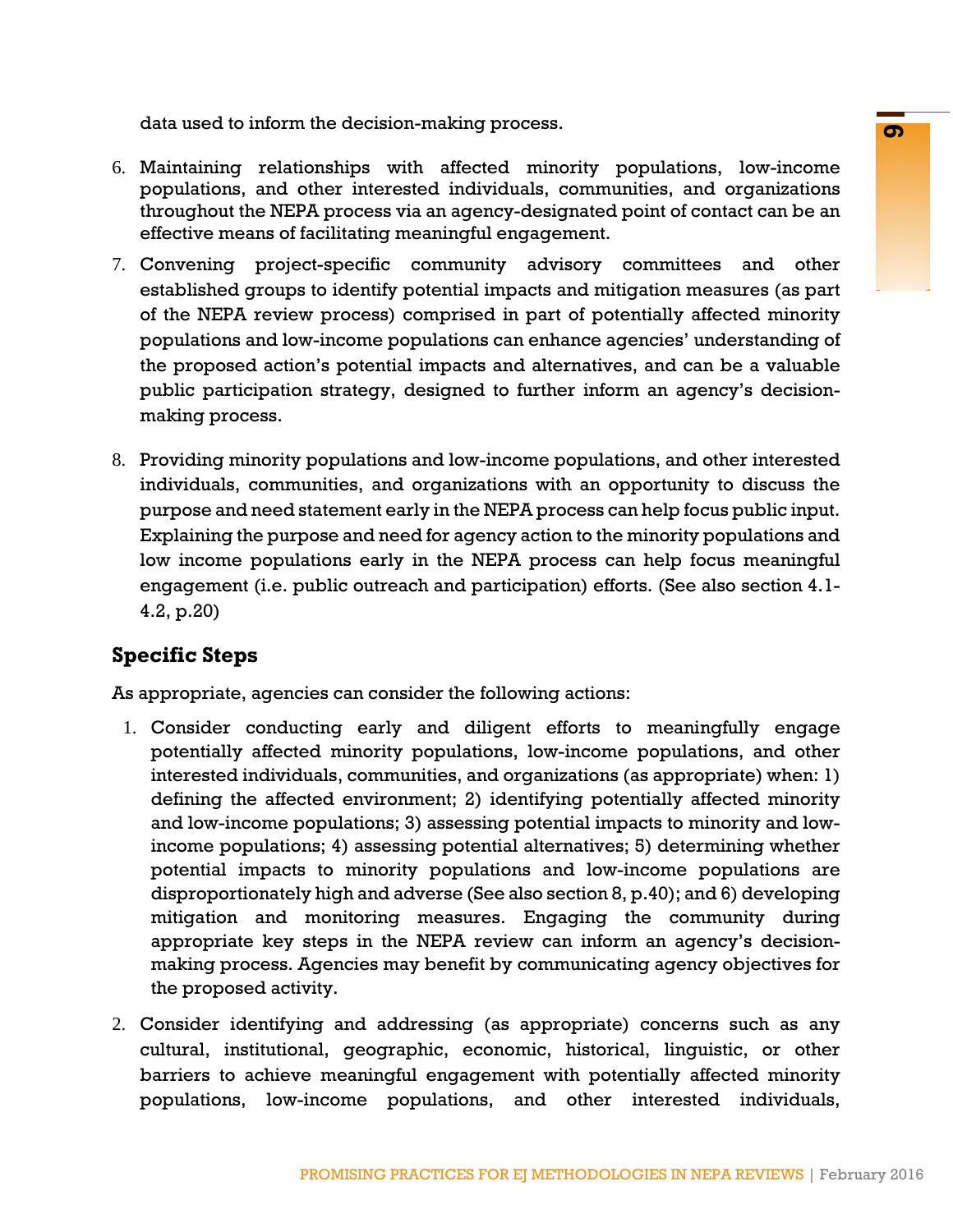data used to inform the decision-making process.

- 6. Maintaining relationships with affected minority populations, low-income populations, and other interested individuals, communities, and organizations throughout the NEPA process via an agency-designated point of contact can be an effective means of facilitating meaningful engagement.
- 7. Convening project-specific community advisory committees and other established groups to identify potential impacts and mitigation measures (as part of the NEPA review process) comprised in part of potentially affected minority populations and low-income populations can enhance agencies' understanding of the proposed action's potential impacts and alternatives, and can be a valuable public participation strategy, designed to further inform an agency's decisionmaking process.
- 8. Providing minority populations and low-income populations, and other interested individuals, communities, and organizations with an opportunity to discuss the purpose and need statement early in the NEPA process can help focus public input. Explaining the purpose and need for agency action to the minority populations and low income populations early in the NEPA process can help focus meaningful engagement (i.e. public outreach and participation) efforts. (See also section 4.1- 4.2, p.20)

# **Specific Steps**

As appropriate, agencies can consider the following actions:

- 1. Consider conducting early and diligent efforts to meaningfully engage potentially affected minority populations, low-income populations, and other interested individuals, communities, and organizations (as appropriate) when: 1) defining the affected environment; 2) identifying potentially affected minority and low-income populations; 3) assessing potential impacts to minority and lowincome populations; 4) assessing potential alternatives; 5) determining whether potential impacts to minority populations and low-income populations are disproportionately high and adverse (See also section 8, p.40); and 6) developing mitigation and monitoring measures. Engaging the community during appropriate key steps in the NEPA review can inform an agency's decisionmaking process. Agencies may benefit by communicating agency objectives for the proposed activity.
- 2. Consider identifying and addressing (as appropriate) concerns such as any cultural, institutional, geographic, economic, historical, linguistic, or other barriers to achieve meaningful engagement with potentially affected minority populations, low-income populations, and other interested individuals,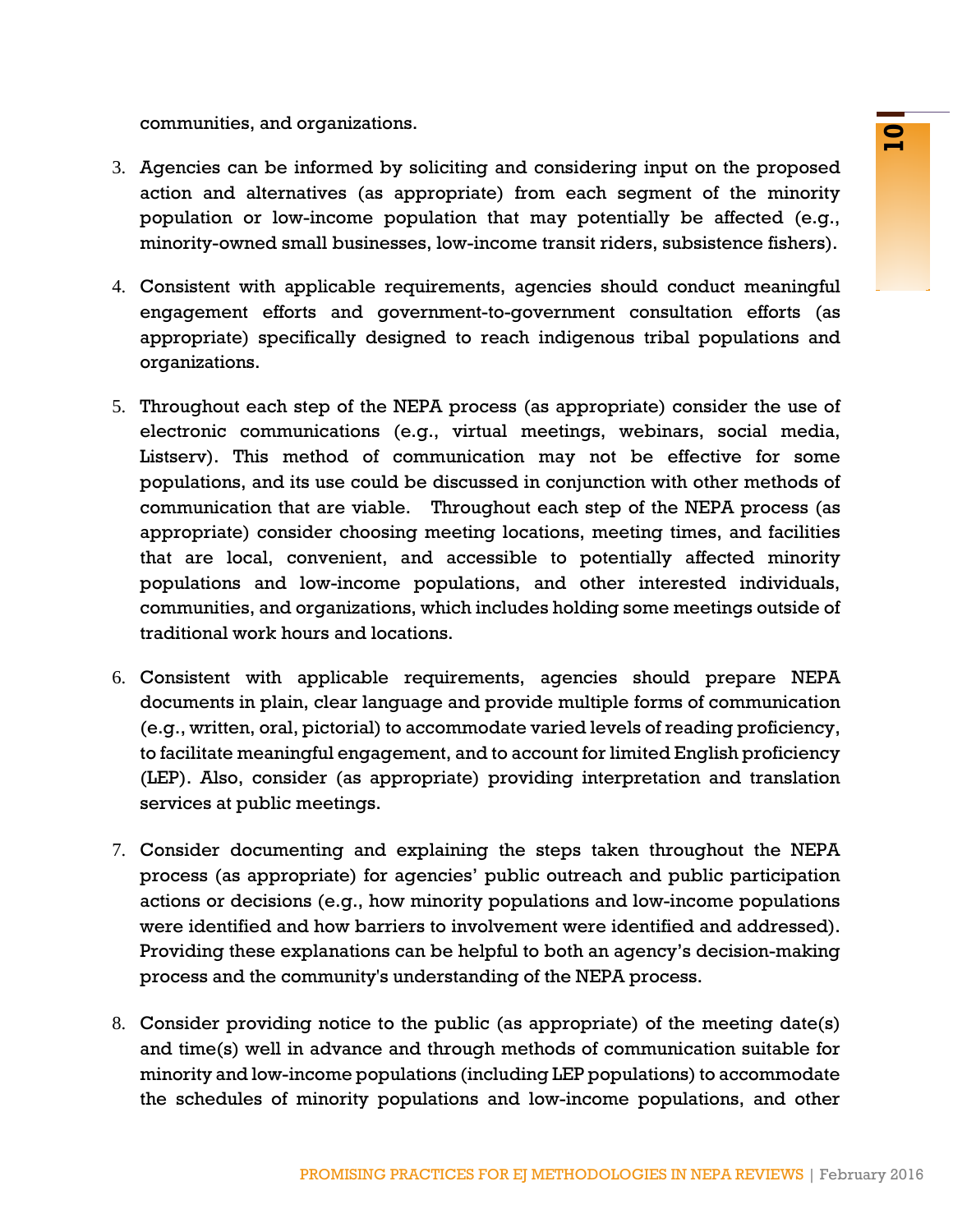communities, and organizations.

- 3. Agencies can be informed by soliciting and considering input on the proposed action and alternatives (as appropriate) from each segment of the minority population or low-income population that may potentially be affected (e.g., minority-owned small businesses, low-income transit riders, subsistence fishers).
- 4. Consistent with applicable requirements, agencies should conduct meaningful engagement efforts and government-to-government consultation efforts (as appropriate) specifically designed to reach indigenous tribal populations and organizations.
- dynamations.<br>
Informed by soliciting and considering input on the proposed<br>
Informed by soliciting and considering input on the minority<br>
Informed population that may potentially be affected (e.g.,<br>
Initially dissigned to 5. Throughout each step of the NEPA process (as appropriate) consider the use of electronic communications (e.g., virtual meetings, webinars, social media, Listserv). This method of communication may not be effective for some populations, and its use could be discussed in conjunction with other methods of communication that are viable. Throughout each step of the NEPA process (as appropriate) consider choosing meeting locations, meeting times, and facilities that are local, convenient, and accessible to potentially affected minority populations and low-income populations, and other interested individuals, communities, and organizations, which includes holding some meetings outside of traditional work hours and locations.
- 6. Consistent with applicable requirements, agencies should prepare NEPA documents in plain, clear language and provide multiple forms of communication (e.g., written, oral, pictorial) to accommodate varied levels of reading proficiency, to facilitate meaningful engagement, and to account for limited English proficiency (LEP). Also, consider (as appropriate) providing interpretation and translation services at public meetings.
- 7. Consider documenting and explaining the steps taken throughout the NEPA process (as appropriate) for agencies' public outreach and public participation actions or decisions (e.g., how minority populations and low-income populations were identified and how barriers to involvement were identified and addressed). Providing these explanations can be helpful to both an agency's decision-making process and the community's understanding of the NEPA process.
- 8. Consider providing notice to the public (as appropriate) of the meeting date(s) and time(s) well in advance and through methods of communication suitable for minority and low-income populations (including LEP populations) to accommodate the schedules of minority populations and low-income populations, and other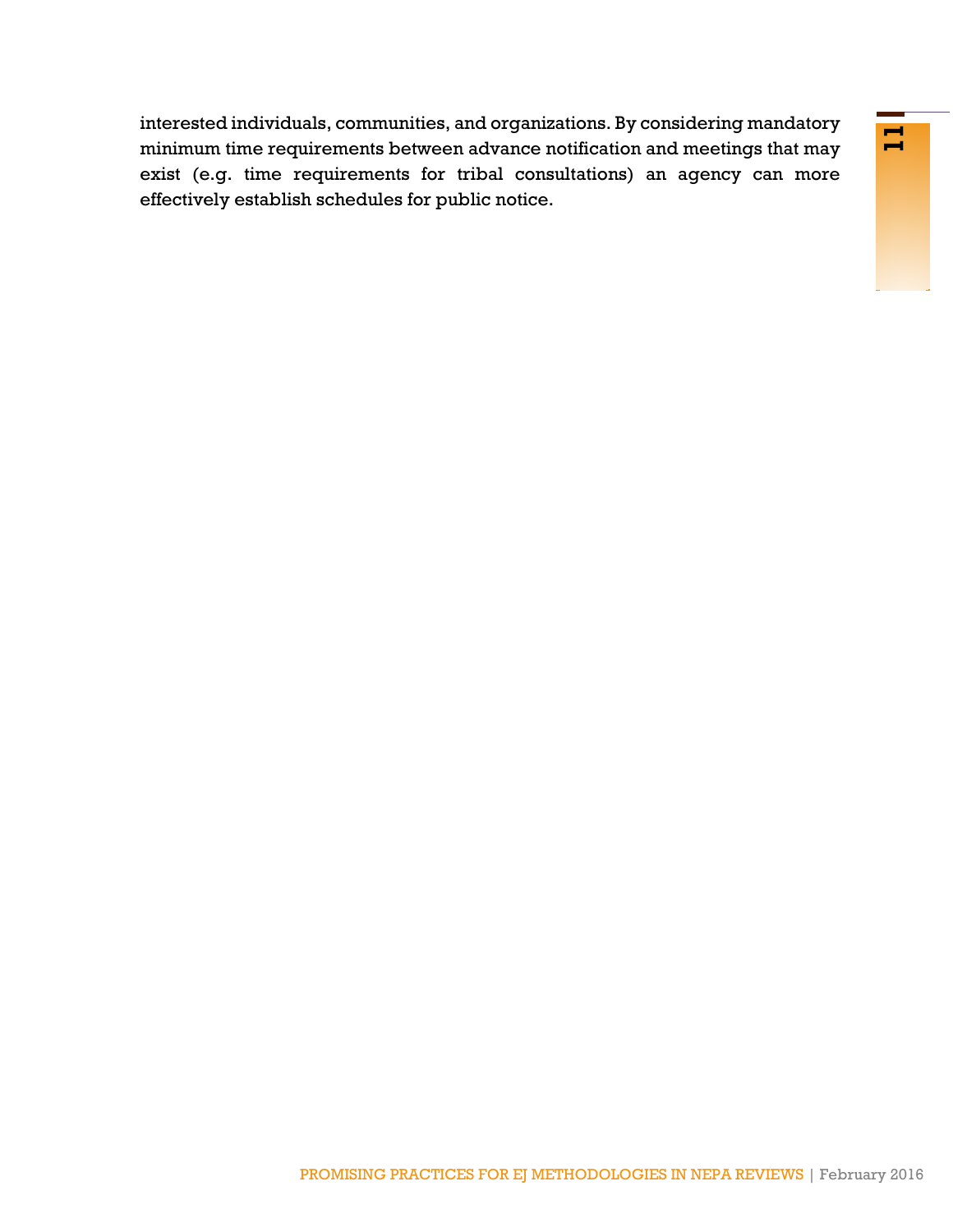<span id="page-12-0"></span>may connunctuous, and syntamic methodologies in the control of the method by the control of the construction and meetings that may equivements for tribal consultations) an agency can more as a schedules for public notice. interested individuals, communities, and organizations. By considering mandatory minimum time requirements between advance notification and meetings that may exist (e.g. time requirements for tribal consultations) an agency can more effectively establish schedules for public notice.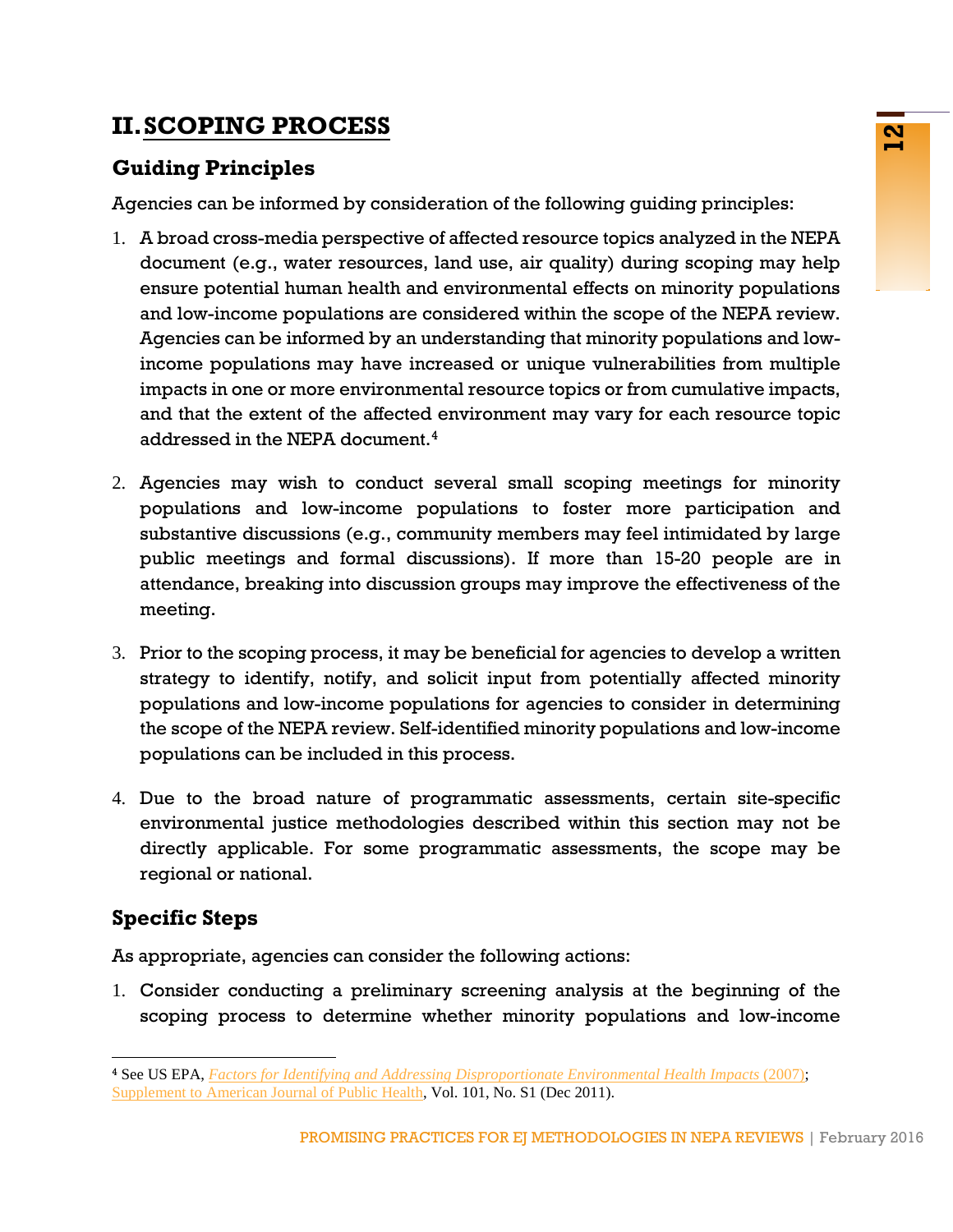# **II.SCOPING PROCESS**

# **Guiding Principles**

Agencies can be informed by consideration of the following guiding principles:

- **EXERCT:**<br> **EXERCT:**<br> **EXERCT:**<br> **EXERCT:**<br> **EXERCT:**<br> **EXERCT:**<br> **EXERCT:**<br> **EXERCT:**<br> **EXERCT:**<br> **EXERCT:**<br> **EXERCT:**<br> **EXERCT:**<br> **EXERCT:**<br> **EXERCT:**<br> **EXERCT:**<br> **EXERCT:**<br> **EXERCT:**<br> **EXERCT:**<br> **EXERCT:**<br> **EXERCT:**<br> **E** 1. A broad cross-media perspective of affected resource topics analyzed in the NEPA document (e.g., water resources, land use, air quality) during scoping may help ensure potential human health and environmental effects on minority populations and low-income populations are considered within the scope of the NEPA review. Agencies can be informed by an understanding that minority populations and lowincome populations may have increased or unique vulnerabilities from multiple impacts in one or more environmental resource topics or from cumulative impacts, and that the extent of the affected environment may vary for each resource topic addressed in the NEPA document.<sup>[4](#page-13-0)</sup>
- 2. Agencies may wish to conduct several small scoping meetings for minority populations and low-income populations to foster more participation and substantive discussions (e.g., community members may feel intimidated by large public meetings and formal discussions). If more than 15-20 people are in attendance, breaking into discussion groups may improve the effectiveness of the meeting.
- 3. Prior to the scoping process, it may be beneficial for agencies to develop a written strategy to identify, notify, and solicit input from potentially affected minority populations and low-income populations for agencies to consider in determining the scope of the NEPA review. Self-identified minority populations and low-income populations can be included in this process.
- 4. Due to the broad nature of programmatic assessments, certain site-specific environmental justice methodologies described within this section may not be directly applicable. For some programmatic assessments, the scope may be regional or national.

# **Specific Steps**

As appropriate, agencies can consider the following actions:

1. Consider conducting a preliminary screening analysis at the beginning of the scoping process to determine whether minority populations and low-income

<span id="page-13-0"></span><sup>4</sup> See US EPA, *[Factors for Identifying and Addressing Disproportionate](http://archive.epa.gov/ncer/ej/web/pdf/whitepaper.pdf) Environmental Health Impacts* (2007); [Supplement to American Journal of Public Health,](http://ajph.aphapublications.org/toc/ajph/101/S1) Vol. 101, No. S1 (Dec 2011).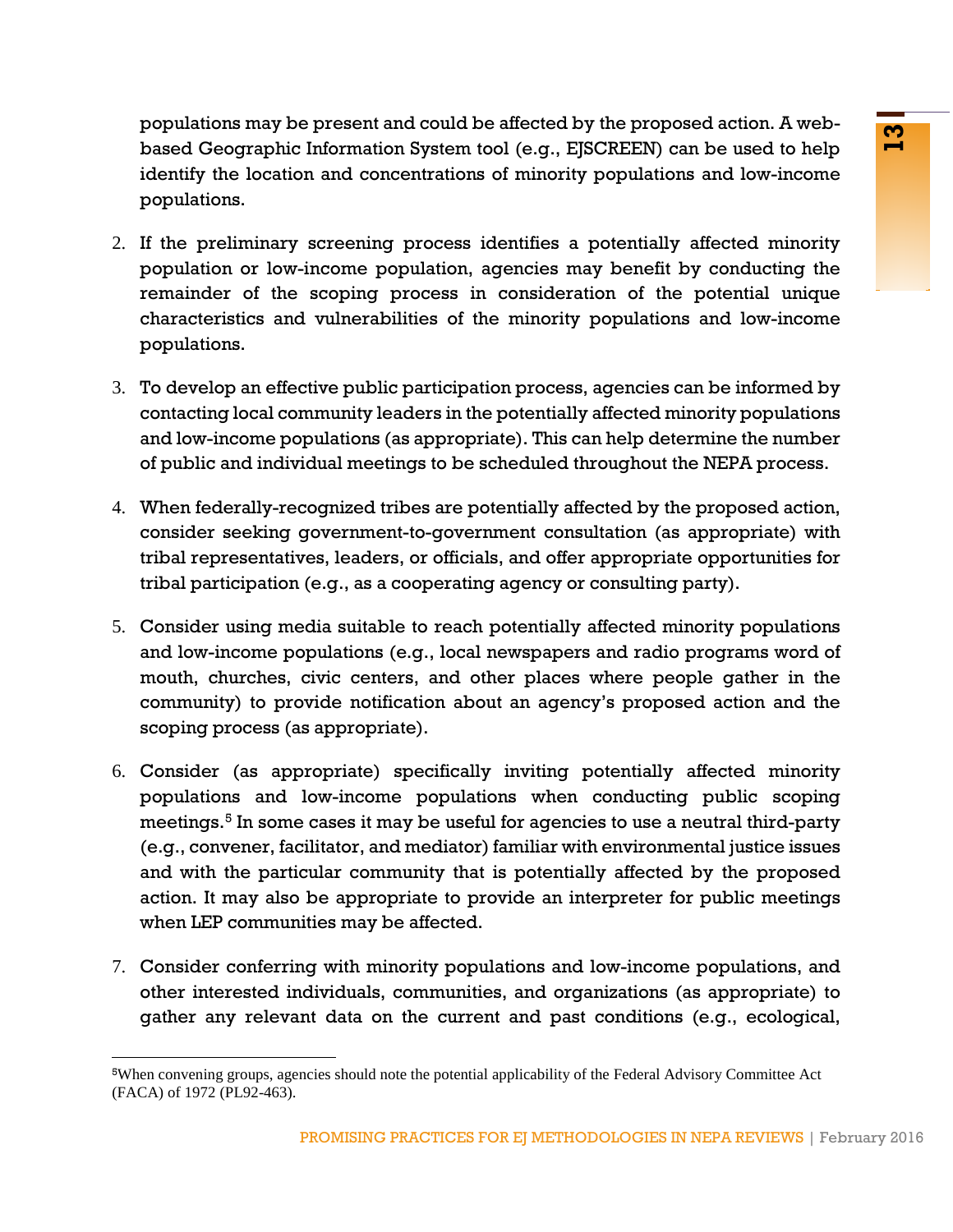populations may be present and could be affected by the proposed action. A webbased Geographic Information System tool (e.g., EJSCREEN) can be used to help identify the location and concentrations of minority populations and low-income populations.

- 2. If the preliminary screening process identifies a potentially affected minority population or low-income population, agencies may benefit by conducting the remainder of the scoping process in consideration of the potential unique characteristics and vulnerabilities of the minority populations and low-income populations.
- 3. To develop an effective public participation process, agencies can be informed by contacting local community leaders in the potentially affected minority populations and low-income populations (as appropriate). This can help determine the number of public and individual meetings to be scheduled throughout the NEPA process.
- 4. When federally-recognized tribes are potentially affected by the proposed action, consider seeking government-to-government consultation (as appropriate) with tribal representatives, leaders, or officials, and offer appropriate opportunities for tribal participation (e.g., as a cooperating agency or consulting party).
- 5. Consider using media suitable to reach potentially affected minority populations and low-income populations (e.g., local newspapers and radio programs word of mouth, churches, civic centers, and other places where people gather in the community) to provide notification about an agency's proposed action and the scoping process (as appropriate).
- preservation to court and contently proposed action and the contentline may be method in the proposed action in the proposed action in and concentrations of minority populations and low-income screening process identifies 6. Consider (as appropriate) specifically inviting potentially affected minority populations and low-income populations when conducting public scoping meetings.<sup>[5](#page-14-0)</sup> In some cases it may be useful for agencies to use a neutral third-party (e.g., convener, facilitator, and mediator) familiar with environmental justice issues and with the particular community that is potentially affected by the proposed action. It may also be appropriate to provide an interpreter for public meetings when LEP communities may be affected.
- 7. Consider conferring with minority populations and low-income populations, and other interested individuals, communities, and organizations (as appropriate) to gather any relevant data on the current and past conditions (e.g., ecological,

<span id="page-14-0"></span><sup>5</sup>When convening groups, agencies should note the potential applicability of the Federal Advisory Committee Act (FACA) of 1972 (PL92-463).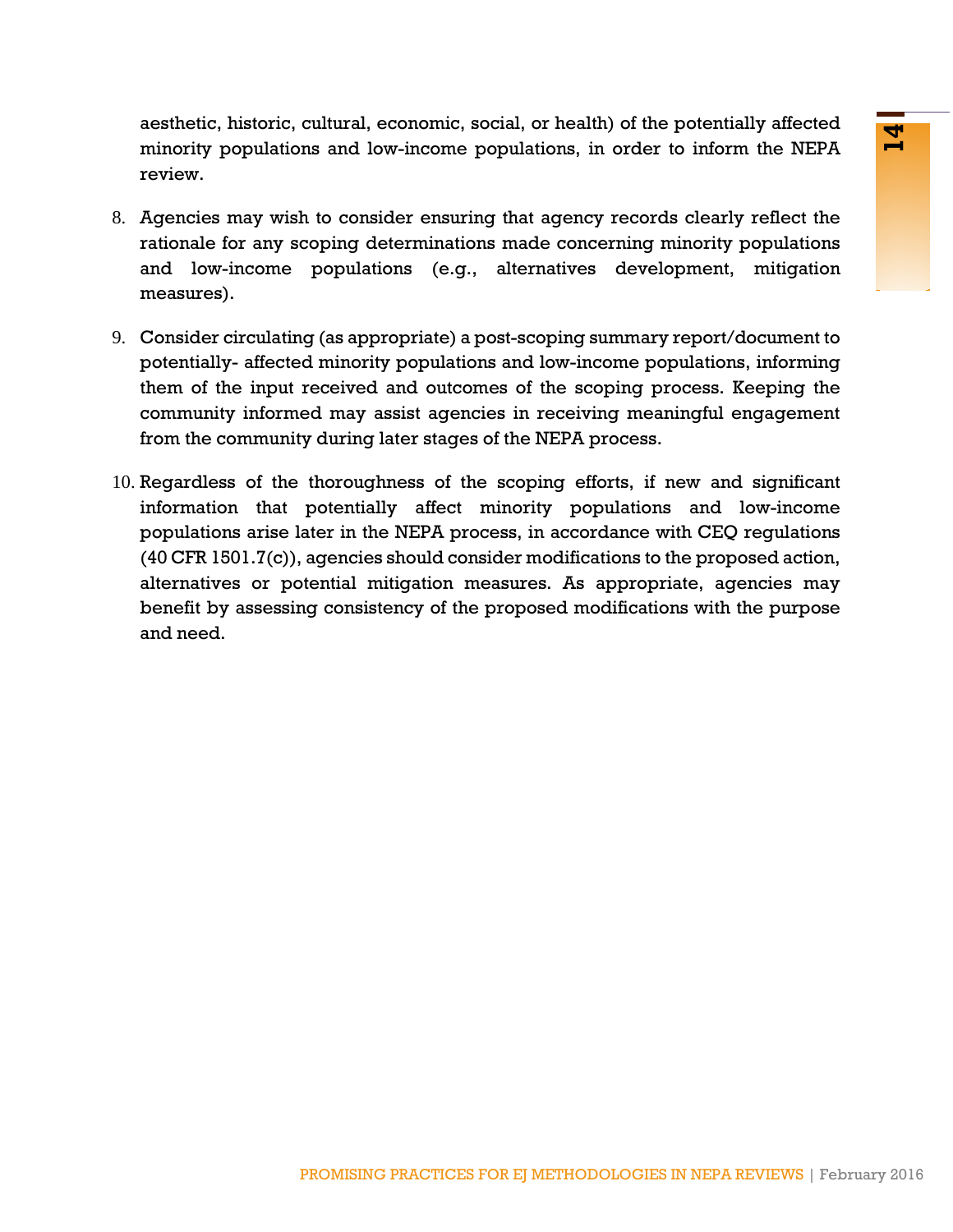aesthetic, historic, cultural, economic, social, or health) of the potentially affected minority populations and low-income populations, in order to inform the NEPA review.

- 8. Agencies may wish to consider ensuring that agency records clearly reflect the rationale for any scoping determinations made concerning minority populations and low-income populations (e.g., alternatives development, mitigation measures).
- <span id="page-15-0"></span>9. Consider circulating (as appropriate) a post-scoping summary report/document to potentially- affected minority populations and low-income populations, informing them of the input received and outcomes of the scoping process. Keeping the community informed may assist agencies in receiving meaningful engagement from the community during later stages of the NEPA process.
- columia, scoriality, social, of the substantine many of the potential y sense and low-income populations, in order to inform the NEPA<br>
the cooping determinations rade concerning minority populations<br>
populations (e.g., alt 10. Regardless of the thoroughness of the scoping efforts, if new and significant information that potentially affect minority populations and low-income populations arise later in the NEPA process, in accordance with CEQ regulations (40 CFR 1501.7(c)), agencies should consider modifications to the proposed action, alternatives or potential mitigation measures. As appropriate, agencies may benefit by assessing consistency of the proposed modifications with the purpose and need.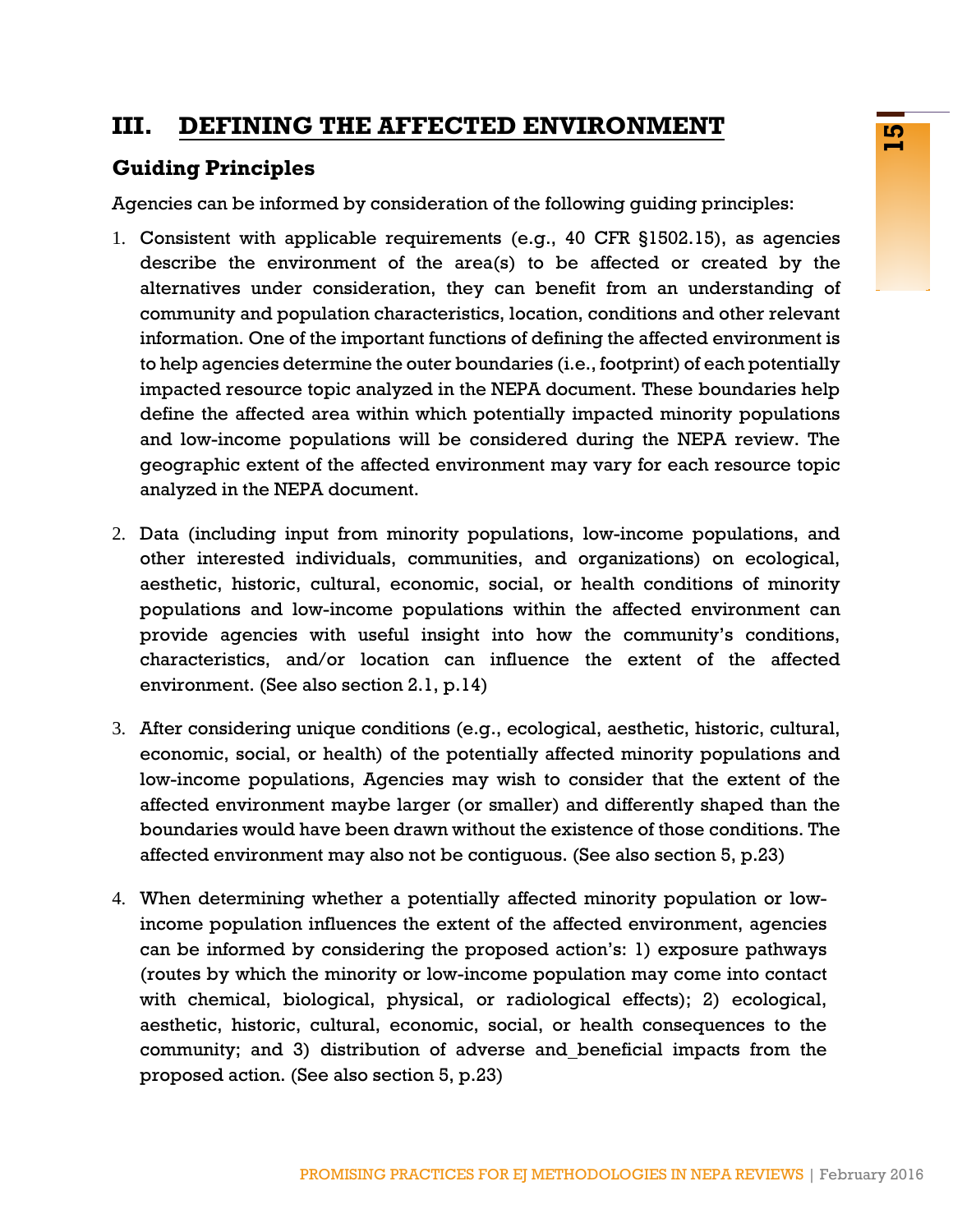# **III. DEFINING THE AFFECTED ENVIRONMENT**

### **Guiding Principles**

Agencies can be informed by consideration of the following guiding principles:

- **PROMISING PROMISING PROMISING PROMISING PROPERTIONS (SUPPRED AND CONSTRATED)**<br> **PROMISING PROMISING PROMISING CONSTRATES (C.G., 40 CFR §1502.15), as agencies by the consideration characteristic, location conditions and ot** 1. Consistent with applicable requirements (e.g., 40 CFR §1502.15), as agencies describe the environment of the area(s) to be affected or created by the alternatives under consideration, they can benefit from an understanding of community and population characteristics, location, conditions and other relevant information. One of the important functions of defining the affected environment is to help agencies determine the outer boundaries (i.e., footprint) of each potentially impacted resource topic analyzed in the NEPA document. These boundaries help define the affected area within which potentially impacted minority populations and low-income populations will be considered during the NEPA review. The geographic extent of the affected environment may vary for each resource topic analyzed in the NEPA document.
- 2. Data (including input from minority populations, low-income populations, and other interested individuals, communities, and organizations) on ecological, aesthetic, historic, cultural, economic, social, or health conditions of minority populations and low-income populations within the affected environment can provide agencies with useful insight into how the community's conditions, characteristics, and/or location can influence the extent of the affected environment. (See also section 2.1, p.14)
- 3. After considering unique conditions (e.g., ecological, aesthetic, historic, cultural, economic, social, or health) of the potentially affected minority populations and low-income populations, Agencies may wish to consider that the extent of the affected environment maybe larger (or smaller) and differently shaped than the boundaries would have been drawn without the existence of those conditions. The affected environment may also not be contiguous. (See also section 5, p.23)
- 4. When determining whether a potentially affected minority population or lowincome population influences the extent of the affected environment, agencies can be informed by considering the proposed action's: 1) exposure pathways (routes by which the minority or low-income population may come into contact with chemical, biological, physical, or radiological effects); 2) ecological, aesthetic, historic, cultural, economic, social, or health consequences to the community; and 3) distribution of adverse and beneficial impacts from the proposed action. (See also section 5, p.23)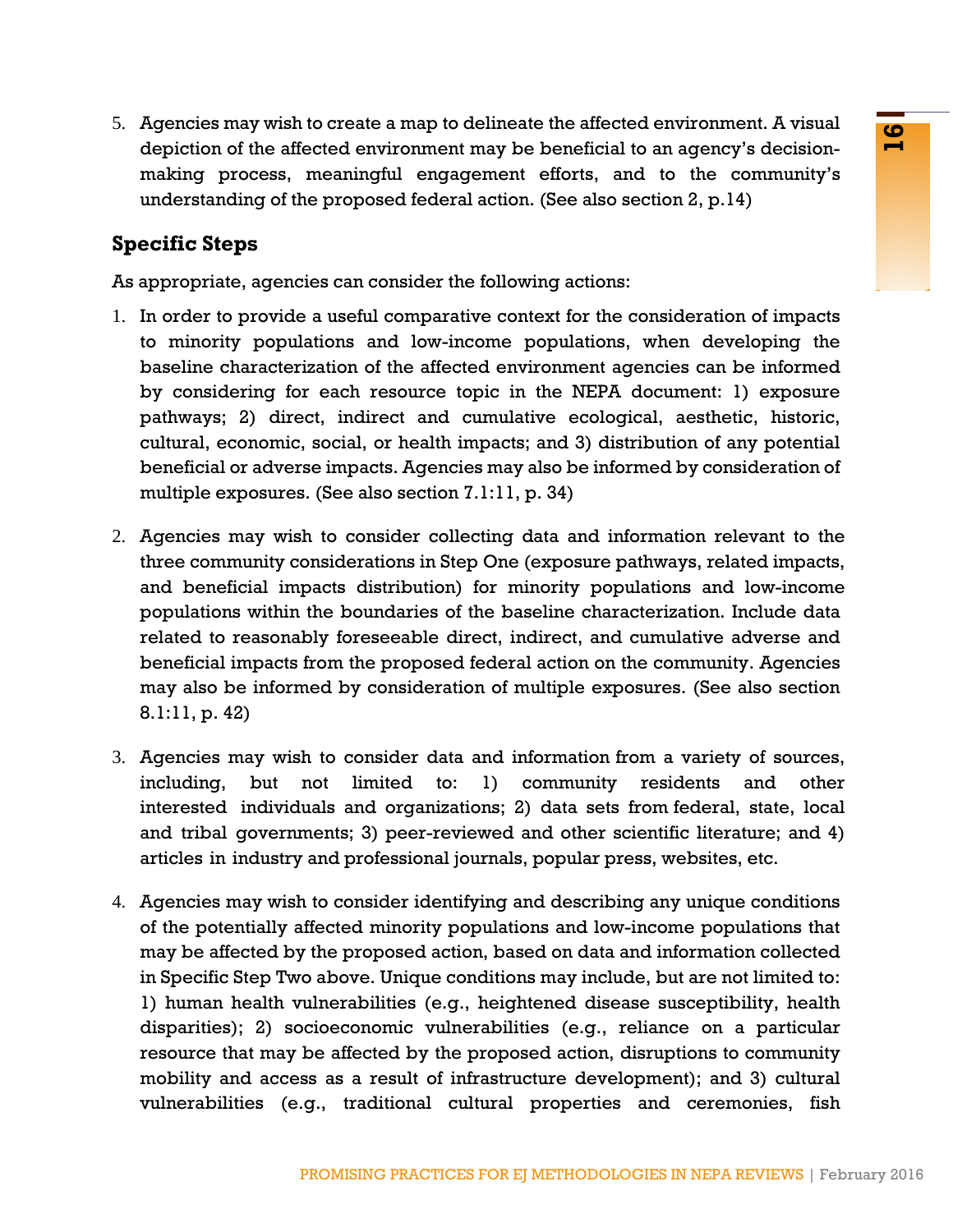5. Agencies may wish to create a map to delineate the affected environment. A visual depiction of the affected environment may be beneficial to an agency's decisionmaking process, meaningful engagement efforts, and to the community's understanding of the proposed federal action. (See also section 2, p.14)

### **Specific Steps**

As appropriate, agencies can consider the following actions:

- 1. In order to provide a useful comparative context for the consideration of impacts to minority populations and low-income populations, when developing the baseline characterization of the affected environment agencies can be informed by considering for each resource topic in the NEPA document: 1) exposure pathways; 2) direct, indirect and cumulative ecological, aesthetic, historic, cultural, economic, social, or health impacts; and 3) distribution of any potential beneficial or adverse impacts. Agencies may also be informed by consideration of multiple exposures. (See also section 7.1:11, p. 34)
- 2. Agencies may wish to consider collecting data and information relevant to the three community considerations in Step One (exposure pathways, related impacts, and beneficial impacts distribution) for minority populations and low-income populations within the boundaries of the baseline characterization. Include data related to reasonably foreseeable direct, indirect, and cumulative adverse and beneficial impacts from the proposed federal action on the community. Agencies may also be informed by consideration of multiple exposures. (See also section 8.1:11, p. 42)
- 3. Agencies may wish to consider data and information from a variety of sources, including, but not limited to: 1) community residents and other interested individuals and organizations; 2) data sets from federal, state, local and tribal governments; 3) peer-reviewed and other scientific literature; and 4) articles in industry and professional journals, popular press, websites, etc.
- For the mail of the main of the matched with the results of the continuality and the permutative proposed for the control of the control of the control of the control of the control of the control of the section of the pe 4. Agencies may wish to consider identifying and describing any unique conditions of the potentially affected minority populations and low-income populations that may be affected by the proposed action, based on data and information collected in Specific Step Two above. Unique conditions may include, but are not limited to: 1) human health vulnerabilities (e.g., heightened disease susceptibility, health disparities); 2) socioeconomic vulnerabilities (e.g., reliance on a particular resource that may be affected by the proposed action, disruptions to community mobility and access as a result of infrastructure development); and 3) cultural vulnerabilities (e.g., traditional cultural properties and ceremonies, fish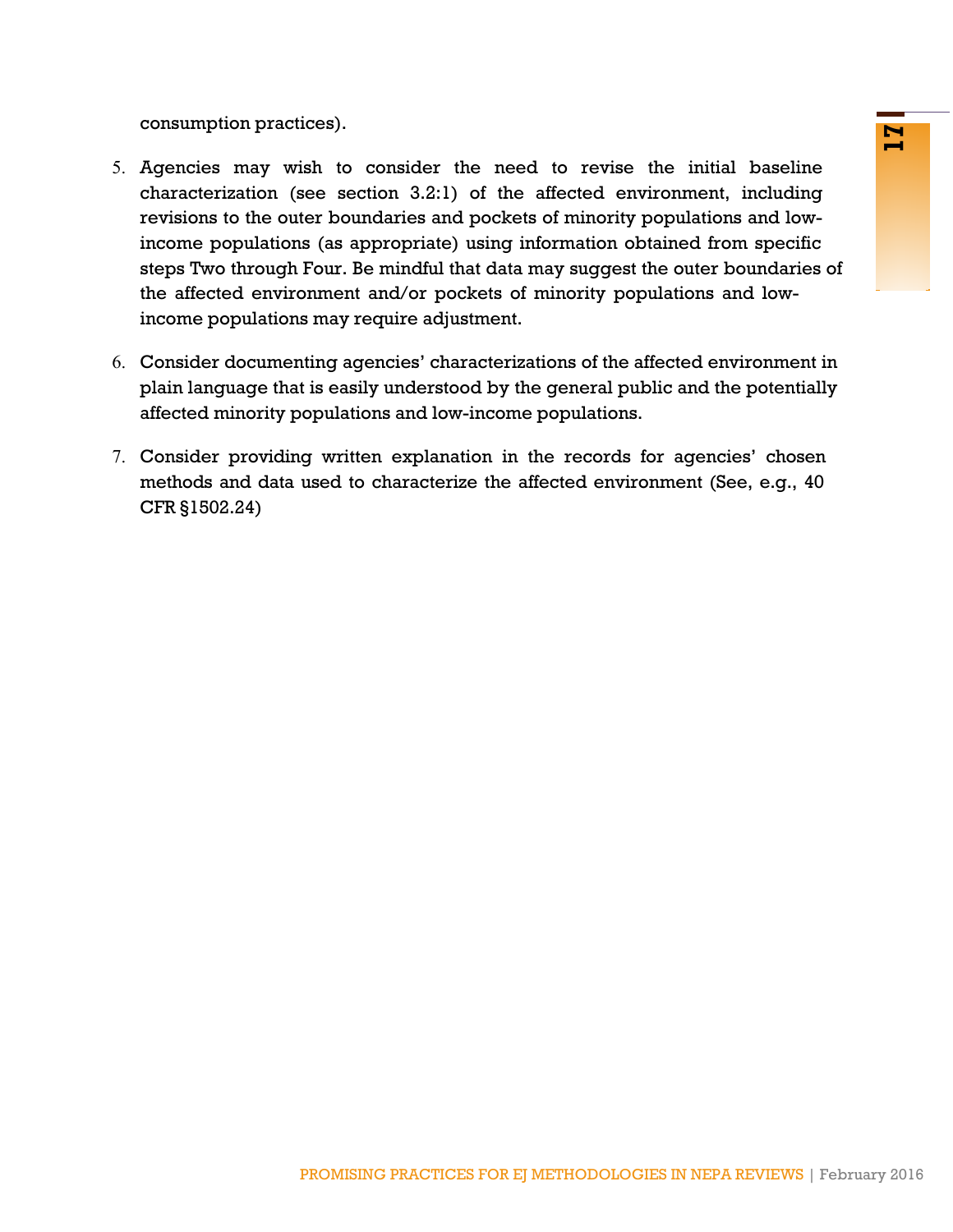consumption practices).

- External to consider the need to revise the initial baseline<br>tee section 3.2:1) of the affected environment, including<br>response and pockets of minority populations and low-<br>four. Be minidlul that data may suggest the outer 5. Agencies may wish to consider the need to revise the initial baseline characterization (see section 3.2:1) of the affected environment, including revisions to the outer boundaries and pockets of minority populations and lowincome populations (as appropriate) using information obtained from specific steps Two through Four. Be mindful that data may suggest the outer boundaries of the affected environment and/or pockets of minority populations and lowincome populations may require adjustment.
- 6. Consider documenting agencies' characterizations of the affected environment in plain language that is easily understood by the general public and the potentially affected minority populations and low-income populations.
- <span id="page-18-0"></span>7. Consider providing written explanation in the records for agencies' chosen methods and data used to characterize the affected environment (See, e.g., 40 CFR §1502.24)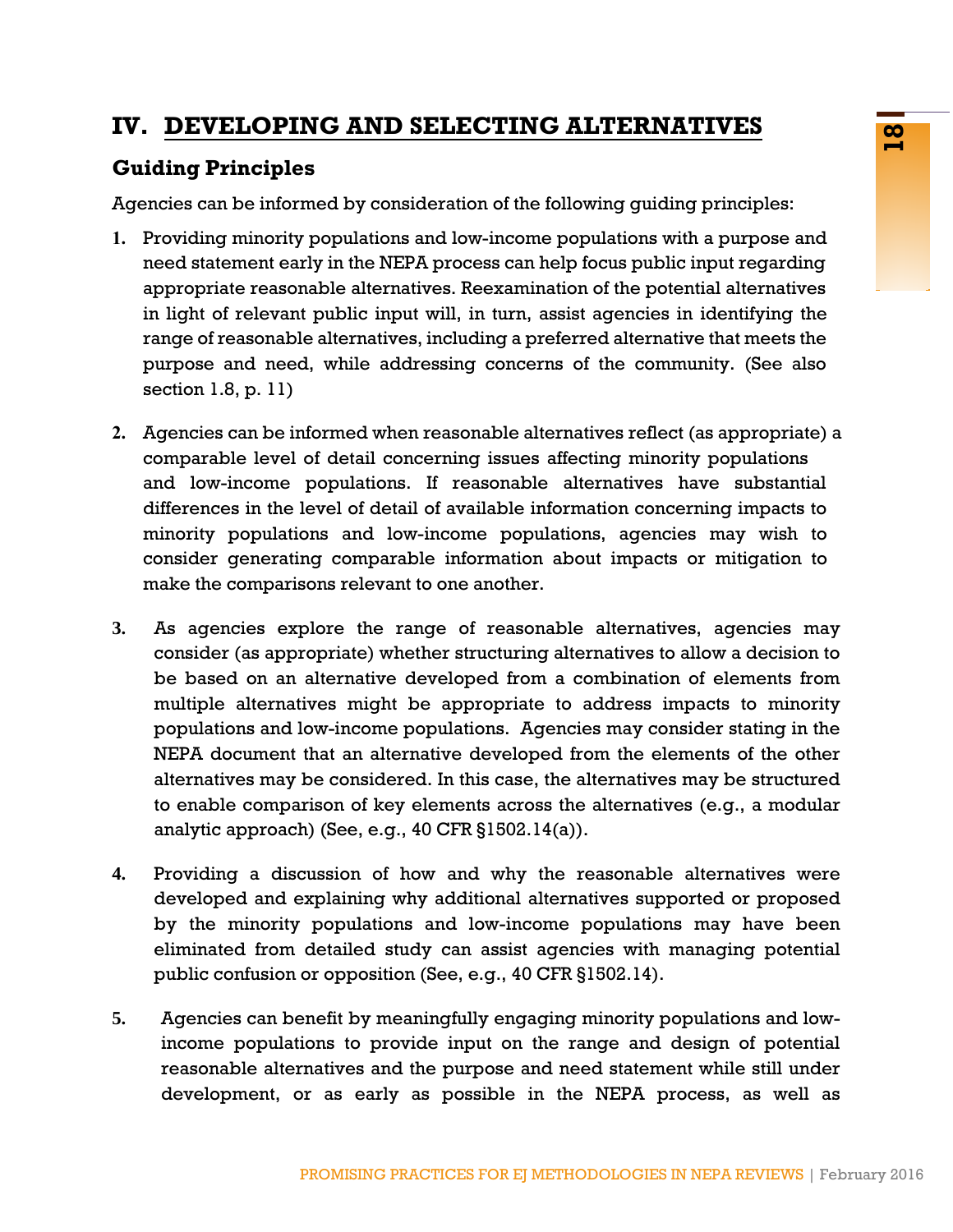# **IV. DEVELOPING AND SELECTING ALTERNATIVES**

# **Guiding Principles**

Agencies can be informed by consideration of the following guiding principles:

- **1.** Providing minority populations and low-income populations with a purpose and need statement early in the NEPA process can help focus public input regarding appropriate reasonable alternatives. Reexamination of the potential alternatives in light of relevant public input will, in turn, assist agencies in identifying the range of reasonable alternatives, including a preferred alternative that meets the purpose and need, while addressing concerns of the community. (See also section 1.8, p. 11)
- **2.** Agencies can be informed when reasonable alternatives reflect (as appropriate) a comparable level of detail concerning issues affecting minority populations and low-income populations. If reasonable alternatives have substantial differences in the level of detail of available information concerning impacts to minority populations and low-income populations, agencies may wish to consider generating comparable information about impacts or mitigation to make the comparisons relevant to one another.
- **EVALUAT SEALE CANT CONDUP CONDUP CONDUP CONDUP CONDUP CONDUP (Fig. 1)** the METHODOLOGIES TO proposition state of the position of the potential alternatives and how-income populations with a purpose and collear propose and **3.** As agencies explore the range of reasonable alternatives, agencies may consider (as appropriate) whether structuring alternatives to allow a decision to be based on an alternative developed from a combination of elements from multiple alternatives might be appropriate to address impacts to minority populations and low-income populations. Agencies may consider stating in the NEPA document that an alternative developed from the elements of the other alternatives may be considered. In this case, the alternatives may be structured to enable comparison of key elements across the alternatives (e.g., a modular analytic approach) (See, e.g., 40 CFR §1502.14(a)).
- **4.** Providing a discussion of how and why the reasonable alternatives were developed and explaining why additional alternatives supported or proposed by the minority populations and low-income populations may have been eliminated from detailed study can assist agencies with managing potential public confusion or opposition (See, e.g., 40 CFR §1502.14).
- **5.** Agencies can benefit by meaningfully engaging minority populations and lowincome populations to provide input on the range and design of potential reasonable alternatives and the purpose and need statement while still under development, or as early as possible in the NEPA process, as well as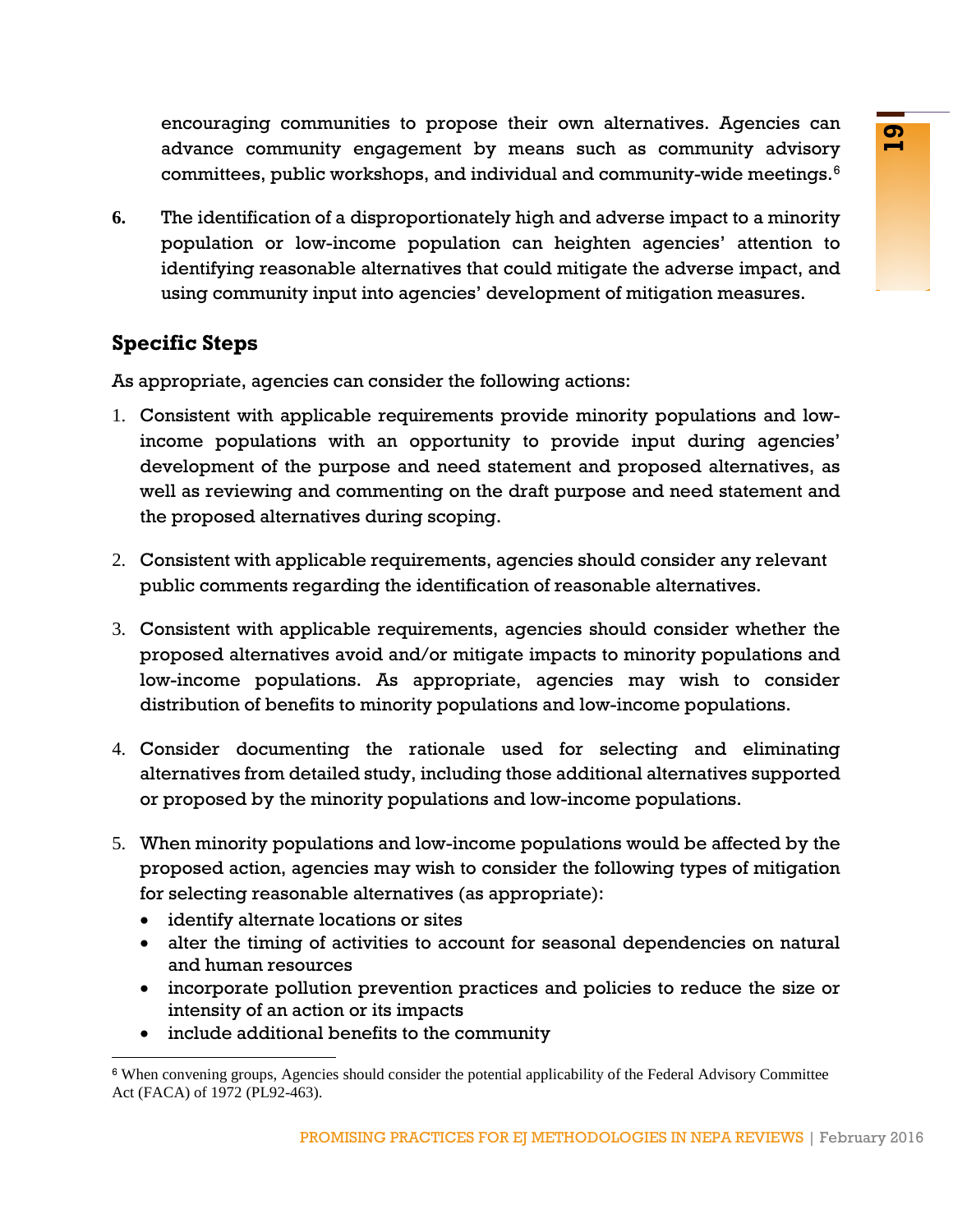encouraging communities to propose their own alternatives. Agencies can advance community engagement by means such as community advisory committees, public workshops, and individual and community-wide meetings.[6](#page-20-0)

**6.** The identification of a disproportionately high and adverse impact to a minority population or low-income population can heighten agencies' attention to identifying reasonable alternatives that could mitigate the adverse impact, and using community input into agencies' development of mitigation measures.

### **Specific Steps**

As appropriate, agencies can consider the following actions:

- manutuce of propose that with attentiontes riginalizes. The propose of the most anticolary plic workshops, and individual and community-wide meetings.<sup>9</sup><br>In of a disproportinately high and adverse impact to a minority<br>or w 1. Consistent with applicable requirements provide minority populations and lowincome populations with an opportunity to provide input during agencies' development of the purpose and need statement and proposed alternatives, as well as reviewing and commenting on the draft purpose and need statement and the proposed alternatives during scoping.
- 2. Consistent with applicable requirements, agencies should consider any relevant public comments regarding the identification of reasonable alternatives.
- 3. Consistent with applicable requirements, agencies should consider whether the proposed alternatives avoid and/or mitigate impacts to minority populations and low-income populations. As appropriate, agencies may wish to consider distribution of benefits to minority populations and low-income populations.
- 4. Consider documenting the rationale used for selecting and eliminating alternatives from detailed study, including those additional alternatives supported or proposed by the minority populations and low-income populations.
- 5. When minority populations and low-income populations would be affected by the proposed action, agencies may wish to consider the following types of mitigation for selecting reasonable alternatives (as appropriate):
	- identify alternate locations or sites
	- alter the timing of activities to account for seasonal dependencies on natural and human resources
	- incorporate pollution prevention practices and policies to reduce the size or intensity of an action or its impacts
	- include additional benefits to the community

<span id="page-20-0"></span><sup>6</sup> When convening groups, Agencies should consider the potential applicability of the Federal Advisory Committee Act (FACA) of 1972 (PL92-463).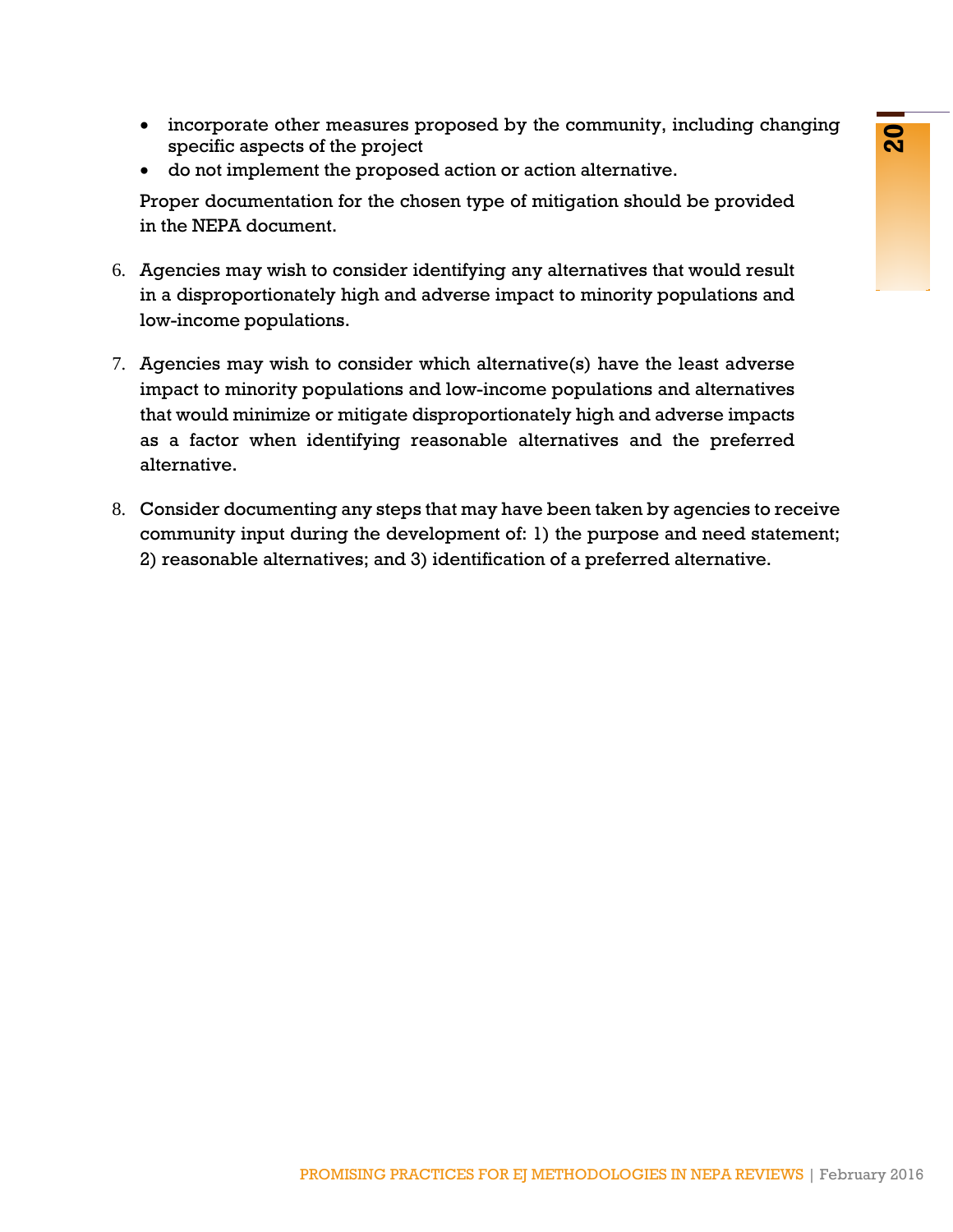- incorporate other measures proposed by the community, including changing specific aspects of the project
- do not implement the proposed action or action alternative.

Proper documentation for the chosen type of mitigation should be provided in the NEPA document.

- 6. Agencies may wish to consider identifying any alternatives that would result in a disproportionately high and adverse impact to minority populations and low-income populations.
- In the proposed ary one contrainingly, including changing<br>of the proposed action or action alternative.<br>
Into the chosen type of mitigation should be provided<br>
not to consider identifying any alternatives that would result 7. Agencies may wish to consider which alternative(s) have the least adverse impact to minority populations and low-income populations and alternatives that would minimize or mitigate disproportionately high and adverse impacts as a factor when identifying reasonable alternatives and the preferred alternative.
- 8. Consider documenting any steps that may have been taken by agencies to receive community input during the development of: 1) the purpose and need statement; 2) reasonable alternatives; and 3) identification of a preferred alternative.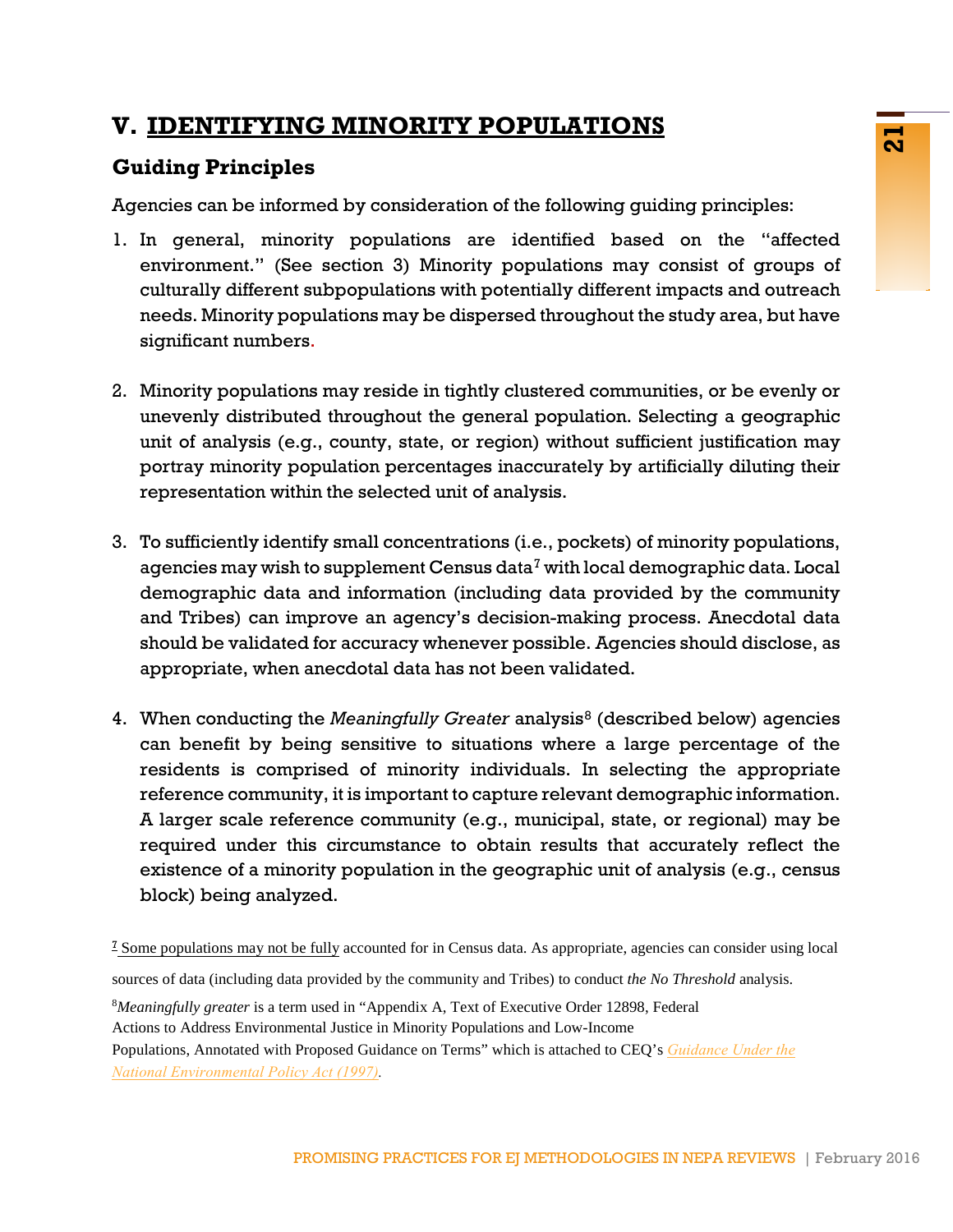# <span id="page-22-0"></span>**V. IDENTIFYING MINORITY POPULATIONS**

# **Guiding Principles**

Agencies can be informed by consideration of the following guiding principles:

- 1. In general, minority populations are identified based on the "affected environment." (See section 3) Minority populations may consist of groups of culturally different subpopulations with potentially different impacts and outreach needs. Minority populations may be dispersed throughout the study area, but have significant numbers.
- 2. Minority populations may reside in tightly clustered communities, or be evenly or unevenly distributed throughout the general population. Selecting a geographic unit of analysis (e.g., county, state, or region) without sufficient justification may portray minority population percentages inaccurately by artificially diluting their representation within the selected unit of analysis.
- 3. To sufficiently identify small concentrations (i.e., pockets) of minority populations, agencies may wish to supplement Census data<sup>[7](#page-22-1)</sup> with local demographic data. Local demographic data and information (including data provided by the community and Tribes) can improve an agency's decision-making process. Anecdotal data should be validated for accuracy whenever possible. Agencies should disclose, as appropriate, when anecdotal data has not been validated.
- 4. When conducting the *Meaningfully Greater* analysis<sup>[8](#page-22-2)</sup> (described below) agencies can benefit by being sensitive to situations where a large percentage of the residents is comprised of minority individuals. In selecting the appropriate reference community, it is important to capture relevant demographic information. A larger scale reference community (e.g., municipal, state, or regional) may be required under this circumstance to obtain results that accurately reflect the existence of a minority population in the geographic unit of analysis (e.g., census block) being analyzed.

<span id="page-22-1"></span>sources of data (including data provided by the community and Tribes) to conduct *the No Threshold* analysis.

<sup>8</sup>*Meaningfully greater* is a term used in "Appendix A, Text of Executive Order 12898, Federal

Actions to Address Environmental Justice in Minority Populations and Low-Income

<span id="page-22-2"></span>[Populations, Annotated with Proposed Guidance on Terms"](https://www.doi.gov/sites/doi.gov/files/migrated/pmb/oepc/upload/EJ-under-NEPA.pdf) which is attached to CEQ's *Guidance Under the National Environmental Policy Act (1997).*

<sup>7</sup> Some populations may not be fully accounted for in Census data. As appropriate, agencies can consider using local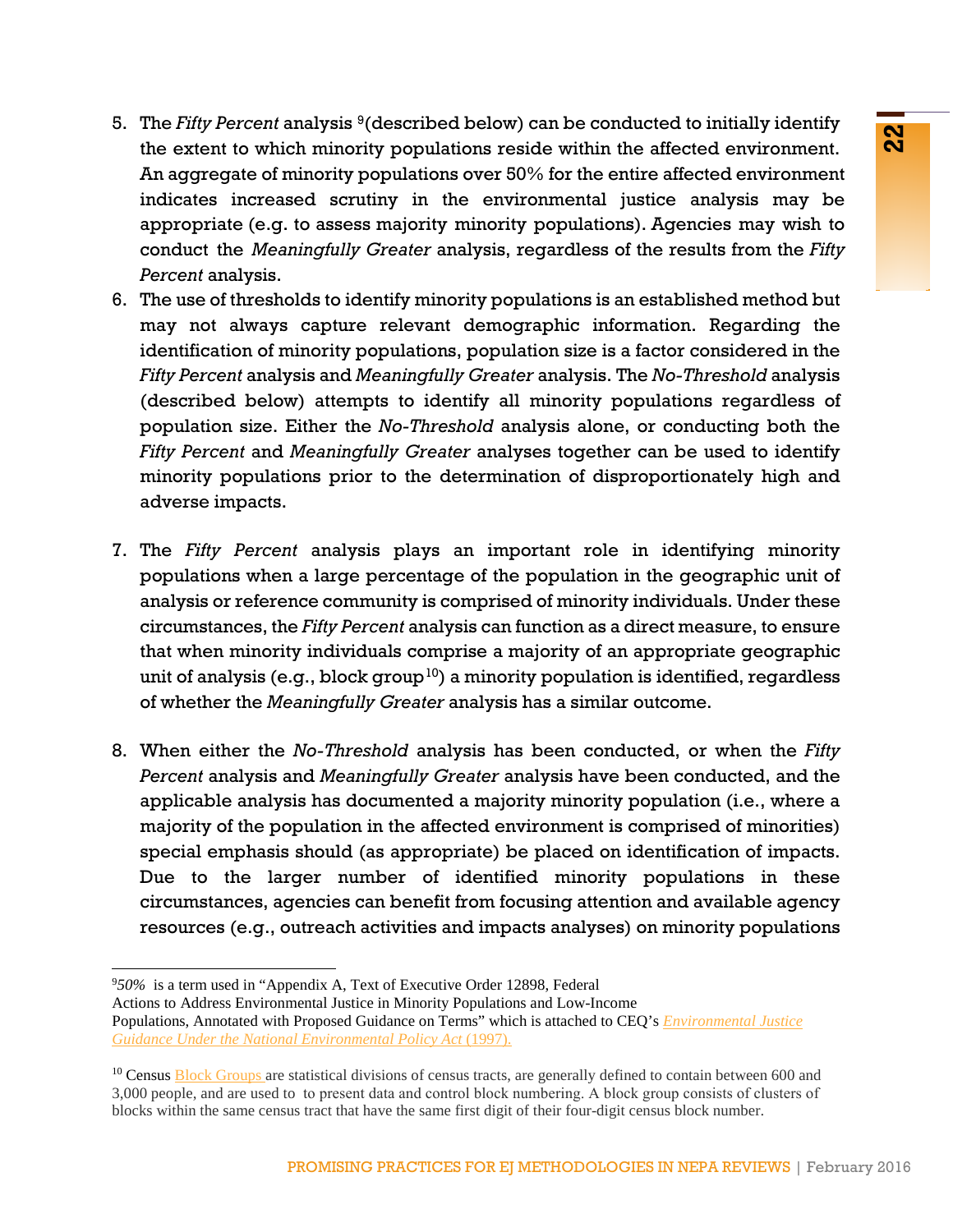- 5. The *Fifty Percent* analysis [9](#page-23-0) (described below) can be conducted to initially identify the extent to which minority populations reside within the affected environment. An aggregate of minority populations over 50% for the entire affected environment indicates increased scrutiny in the environmental justice analysis may be appropriate (e.g. to assess majority minority populations). Agencies may wish to conduct the *Meaningfully Greater* analysis, regardless of the results from the *Fifty Percent* analysis.
- 6. The use of thresholds to identify minority populations is an established method but may not always capture relevant demographic information. Regarding the identification of minority populations, population size is a factor considered in the *Fifty Percent* analysis and *Meaningfully Greater* analysis. The *No-Threshold* analysis (described below) attempts to identify all minority populations regardless of population size. Either the *No-Threshold* analysis alone, or conducting both the *Fifty Percent* and *Meaningfully Greater* analyses together can be used to identify minority populations prior to the determination of disproportionately high and adverse impacts.
- 7. The *Fifty Percent* analysis plays an important role in identifying minority populations when a large percentage of the population in the geographic unit of analysis or reference community is comprised of minority individuals. Under these circumstances, the *Fifty Percent* analysis can function as a direct measure, to ensure that when minority individuals comprise a majority of an appropriate geographic unit of analysis (e.g., block group<sup>10</sup>) a minority population is identified, regardless of whether the *Meaningfully Greater* analysis has a similar outcome.
- 8. When either the *No-Threshold* analysis has been conducted, or when the *Fifty Percent* analysis and *Meaningfully Greater* analysis have been conducted, and the applicable analysis has documented a majority minority population (i.e., where a majority of the population in the affected environment is comprised of minorities) special emphasis should (as appropriate) be placed on identification of impacts. Due to the larger number of identified minority populations in these circumstances, agencies can benefit from focusing attention and available agency resources (e.g., outreach activities and impacts analyses) on minority populations

<sup>9</sup> *50%* is a term used in "Appendix A, Text of Executive Order 12898, Federal

<span id="page-23-0"></span>Actions to Address Environmental Justice in Minority Populations and Low-Income Populations, Annotated with Proposed Guidance on Terms" which is attached to CEQ's *[Environmental Justice](http://www3.epa.gov/environmentaljustice/resources/policy/ej_guidance_nepa_ceq1297.pdf)  [Guidance Under the National Environmental Policy Act](http://www3.epa.gov/environmentaljustice/resources/policy/ej_guidance_nepa_ceq1297.pdf)* (1997).

<span id="page-23-1"></span><sup>&</sup>lt;sup>10</sup> Census [Block Groups](https://www.census.gov/geo/reference/gtc/gtc_bg.html) are statistical divisions of census tracts, are generally defined to contain between 600 and 3,000 people, and are used to to present data and control block numbering. A block group consists of clusters of blocks within the same census tract that have the same first digit of their four-digit census block number.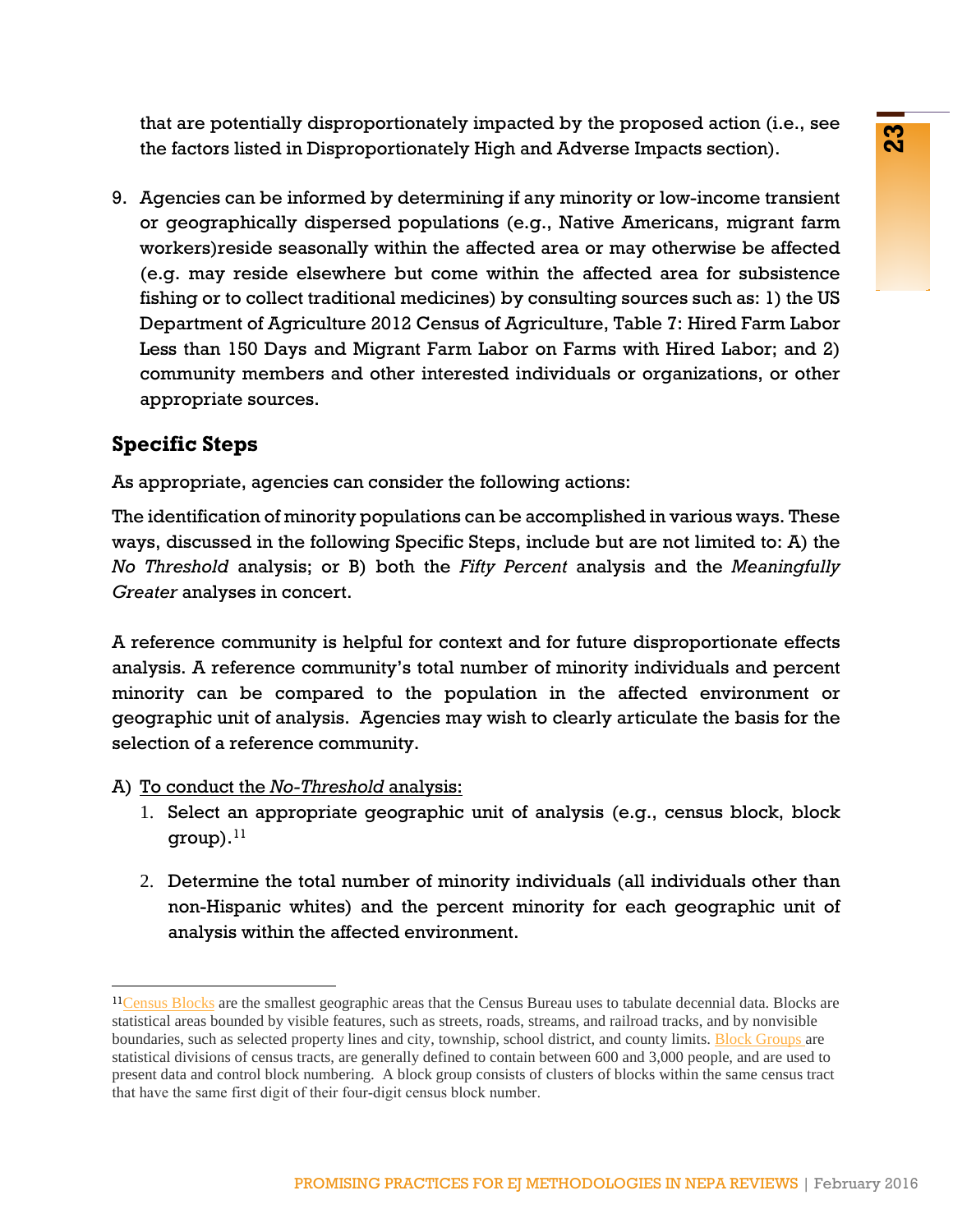that are potentially disproportionately impacted by the proposed action (i.e., see the factors listed in Disproportionately High and Adverse Impacts section).

9. Agencies can be informed by determining if any minority or low-income transient or geographically dispersed populations (e.g., Native Americans, migrant farm workers)reside seasonally within the affected area or may otherwise be affected (e.g. may reside elsewhere but come within the affected area for subsistence fishing or to collect traditional medicines) by consulting sources such as: 1) the US Department of Agriculture 2012 Census of Agriculture, Table 7: Hired Farm Labor Less than 150 Days and Migrant Farm Labor on Farms with Hired Labor; and 2) community members and other interested individuals or organizations, or other appropriate sources.

# **Specific Steps**

As appropriate, agencies can consider the following actions:

The identification of minority populations can be accomplished in various ways. These ways, discussed in the following Specific Steps, include but are not limited to: A) the *No Threshold* analysis; or B) both the *Fifty Percent* analysis and the *Meaningfully Greater* analyses in concert.

A reference community is helpful for context and for future disproportionate effects analysis. A reference community's total number of minority individuals and percent minority can be compared to the population in the affected environment or geographic unit of analysis. Agencies may wish to clearly articulate the basis for the selection of a reference community.

### A) To conduct the *No-Threshold* analysis:

- 1. Select an appropriate geographic unit of analysis (e.g., census block, block  $group).<sup>11</sup>$  $group).<sup>11</sup>$  $group).<sup>11</sup>$
- 2. Determine the total number of minority individuals (all individuals other than non-Hispanic whites) and the percent minority for each geographic unit of analysis within the affected environment.

<span id="page-24-0"></span> $11$ [Census Blocks](https://www.census.gov/geo/reference/webatlas/blocks.html?cssp=SERP) are the smallest geographic areas that the Census Bureau uses to tabulate decennial data. Blocks are statistical areas bounded by visible features, such as streets, roads, streams, and railroad tracks, and by nonvisible boundaries, such as selected property lines and city, township, school district, and county limits. [Block Groups](https://www.census.gov/geo/reference/gtc/gtc_bg.html) are statistical divisions of census tracts, are generally defined to contain between 600 and 3,000 people, and are used to present data and control block numbering. A block group consists of clusters of blocks within the same census tract that have the same first digit of their four-digit census block number.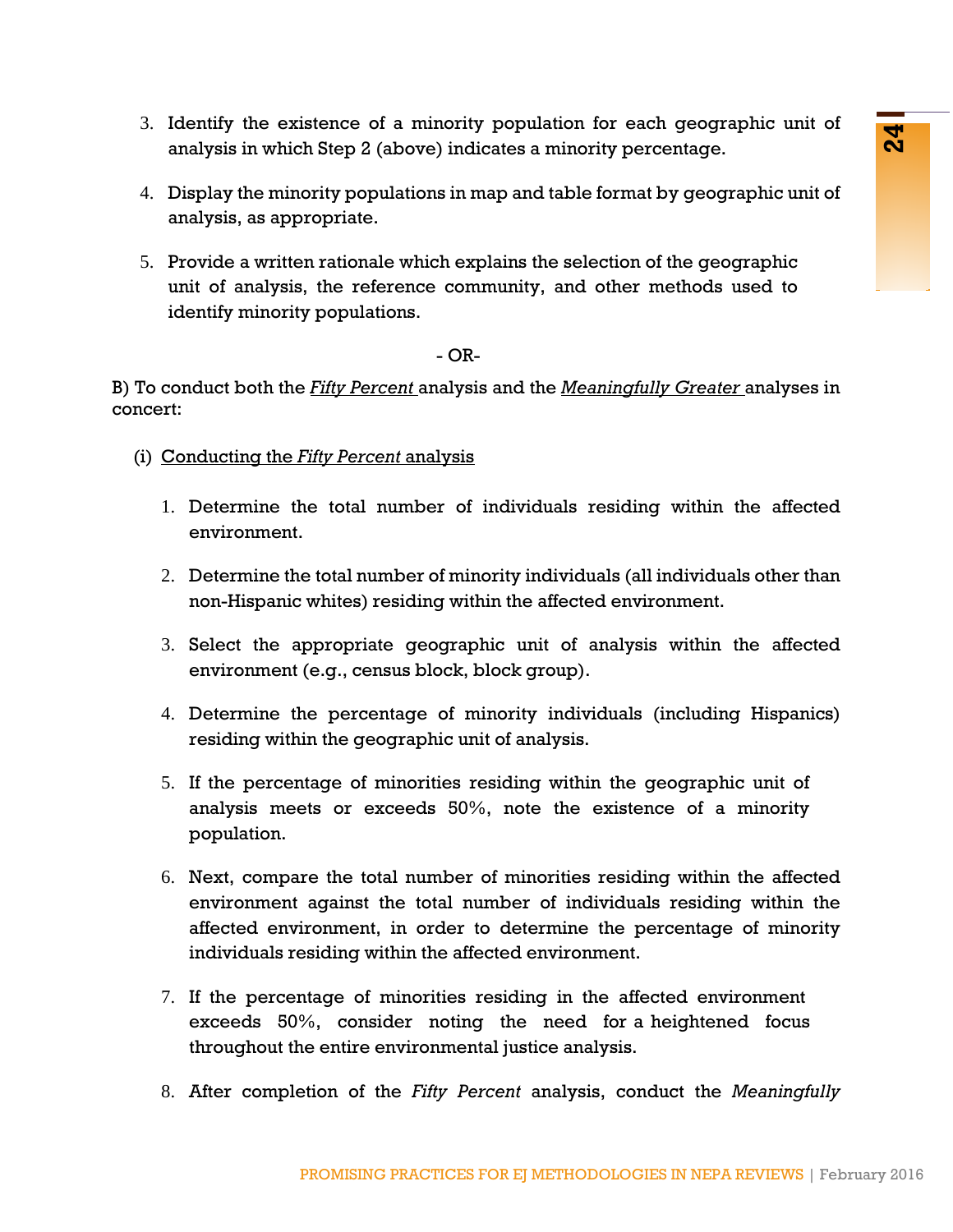- 3. Identify the existence of a minority population for each geographic unit of analysis in which Step 2 (above) indicates a minority percentage.
- 4. Display the minority populations in map and table format by geographic unit of analysis, as appropriate.
- 5. Provide a written rationale which explains the selection of the geographic unit of analysis, the reference community, and other methods used to identify minority populations.

### $-$  OR-

B) To conduct both the *Fifty Percent* analysis and the *Meaningfully Greater* analyses in concert:

- (i) Conducting the *Fifty Percent* analysis
	- 1. Determine the total number of individuals residing within the affected environment.
	- 2. Determine the total number of minority individuals (all individuals other than non-Hispanic whites) residing within the affected environment.
	- 3. Select the appropriate geographic unit of analysis within the affected environment (e.g., census block, block group).
	- 4. Determine the percentage of minority individuals (including Hispanics) residing within the geographic unit of analysis.
	- 5. If the percentage of minorities residing within the geographic unit of analysis meets or exceeds 50%, note the existence of a minority population.
- Examete to a muniory population in the subsequent time to the subsequent time of the shape 2 (above) indicates a minority percentage.<br>
Solvey propulation is many and table format by geographic unit of<br>
solvey propulations. 6. Next, compare the total number of minorities residing within the affected environment against the total number of individuals residing within the affected environment, in order to determine the percentage of minority individuals residing within the affected environment.
	- 7. If the percentage of minorities residing in the affected environment exceeds 50%, consider noting the need for a heightened focus throughout the entire environmental justice analysis.
	- 8. After completion of the *Fifty Percent* analysis, conduct the *Meaningfully*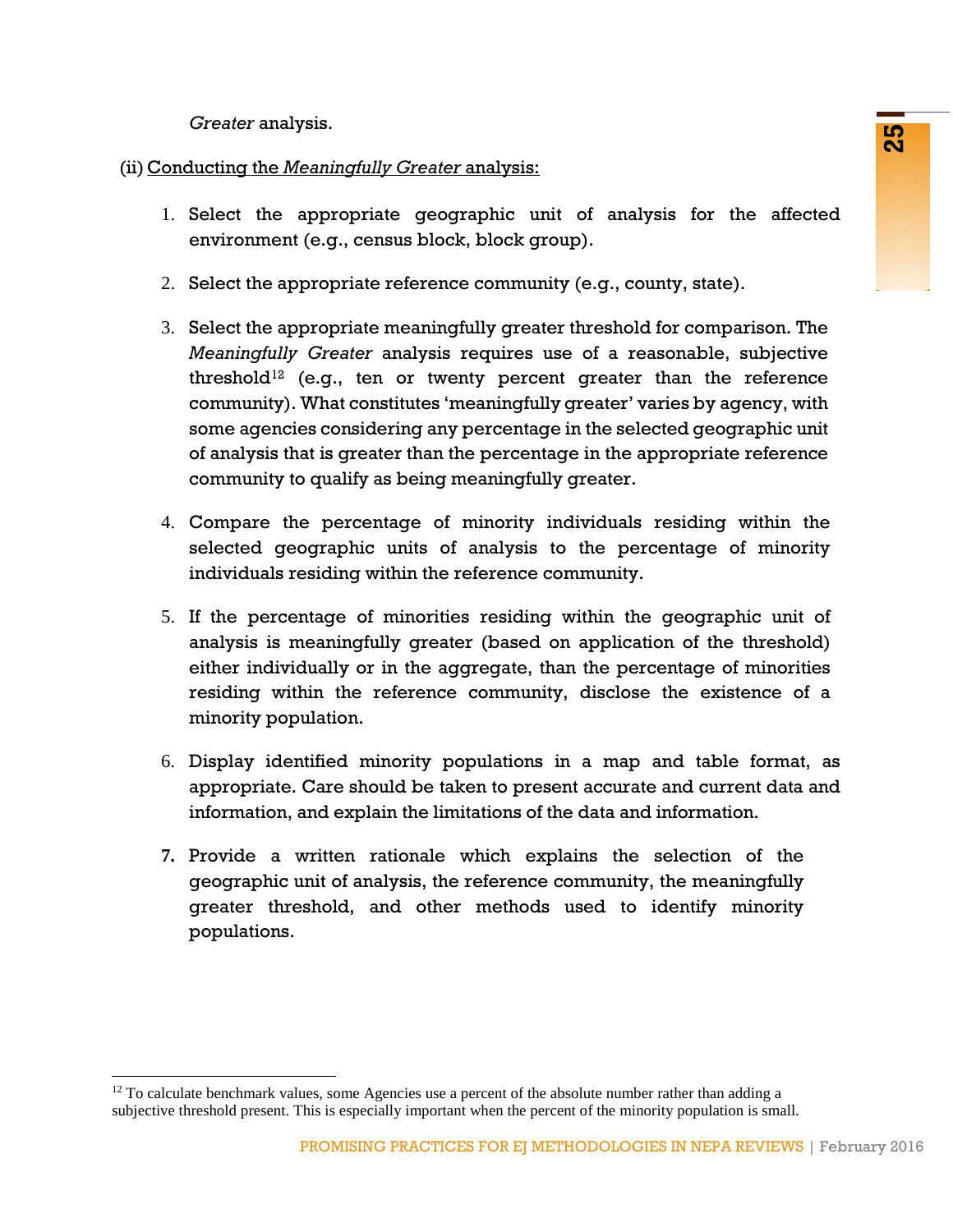*Greater* analysis.

### (ii) Conducting the *Meaningfully Greater* analysis:

- 1. Select the appropriate geographic unit of analysis for the affected environment (e.g., census block, block group).
- 2. Select the appropriate reference community (e.g., county, state).
- **Example 1998**<br> **Example 1998**<br> **Example 1998**<br> **Example 1998**<br> **Example 1998**<br> **Example 1998**<br> **Example 2016**<br> **Example 2016**<br> **Example 2016**<br> **Conserved the CF CALC CONDIT CERT CONDIT CONDITION**<br> **CCRECT analysis require** 3. Select the appropriate meaningfully greater threshold for comparison. The *Meaningfully Greater* analysis requires use of a reasonable, subjective threshold<sup>[12](#page-26-1)</sup> (e.g., ten or twenty percent greater than the reference community). What constitutes 'meaningfully greater' varies by agency, with some agencies considering any percentage in the selected geographic unit of analysis that is greater than the percentage in the appropriate reference community to qualify as being meaningfully greater.
- 4. Compare the percentage of minority individuals residing within the selected geographic units of analysis to the percentage of minority individuals residing within the reference community.
- 5. If the percentage of minorities residing within the geographic unit of analysis is meaningfully greater (based on application of the threshold) either individually or in the aggregate, than the percentage of minorities residing within the reference community, disclose the existence of a minority population.
- 6. Display identified minority populations in a map and table format, as appropriate. Care should be taken to present accurate and current data and information, and explain the limitations of the data and information.
- <span id="page-26-0"></span>**7.** Provide a written rationale which explains the selection of the geographic unit of analysis, the reference community, the meaningfully greater threshold, and other methods used to identify minority populations.

<span id="page-26-1"></span> $12$  To calculate benchmark values, some Agencies use a percent of the absolute number rather than adding a subjective threshold present. This is especially important when the percent of the minority population is small.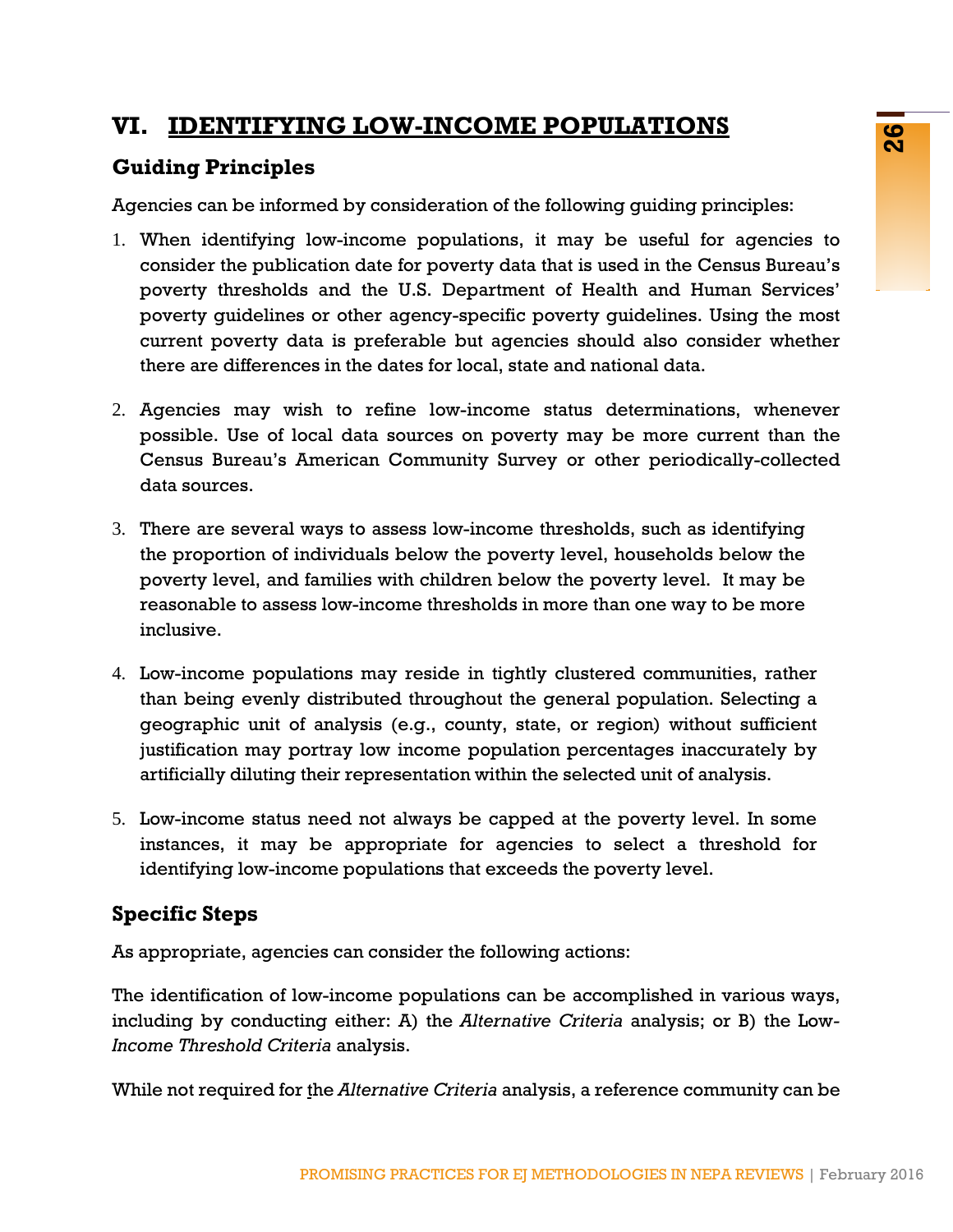### Agencies can be informed by consideration of the following guiding principles:

**VI. IDENTIFYING LOW-INCOME POPULATIONS**

- **EXECT ATTENT CONSIGNMENT CONSIGNMENT CONSIGNMENT CONSIGNMENT CONSIGNMENT CONSIGNMENT CONSIGNMENT CONSIGNMENT CONSIGNMENT CONSIGNMENT CONSIGNMENT CONSIGNMENT CONSIGNMENT CONSIGNMENT CONSIGNMENT CONSIGNMENT CONSIGNMENT CONS** 1. When identifying low-income populations, it may be useful for agencies to consider the publication date for poverty data that is used in the Census Bureau's poverty thresholds and the U.S. Department of Health and Human Services' poverty guidelines or other agency-specific poverty guidelines. Using the most current poverty data is preferable but agencies should also consider whether there are differences in the dates for local, state and national data.
- 2. Agencies may wish to refine low-income status determinations, whenever possible. Use of local data sources on poverty may be more current than the Census Bureau's American Community Survey or other periodically-collected data sources.
- 3. There are several ways to assess low-income thresholds, such as identifying the proportion of individuals below the poverty level, households below the poverty level, and families with children below the poverty level. It may be reasonable to assess low-income thresholds in more than one way to be more inclusive.
- 4. Low-income populations may reside in tightly clustered communities, rather than being evenly distributed throughout the general population. Selecting a geographic unit of analysis (e.g., county, state, or region) without sufficient justification may portray low income population percentages inaccurately by artificially diluting their representation within the selected unit of analysis.
- 5. Low-income status need not always be capped at the poverty level. In some instances, it may be appropriate for agencies to select a threshold for identifying low-income populations that exceeds the poverty level.

### **Specific Steps**

**Guiding Principles**

As appropriate, agencies can consider the following actions:

The identification of low-income populations can be accomplished in various ways, including by conducting either: A) the *Alternative Criteria* analysis; or B) the Low*-Income Threshold Criteria* analysis.

While not required for the *Alternative Criteria* analysis, a reference community can be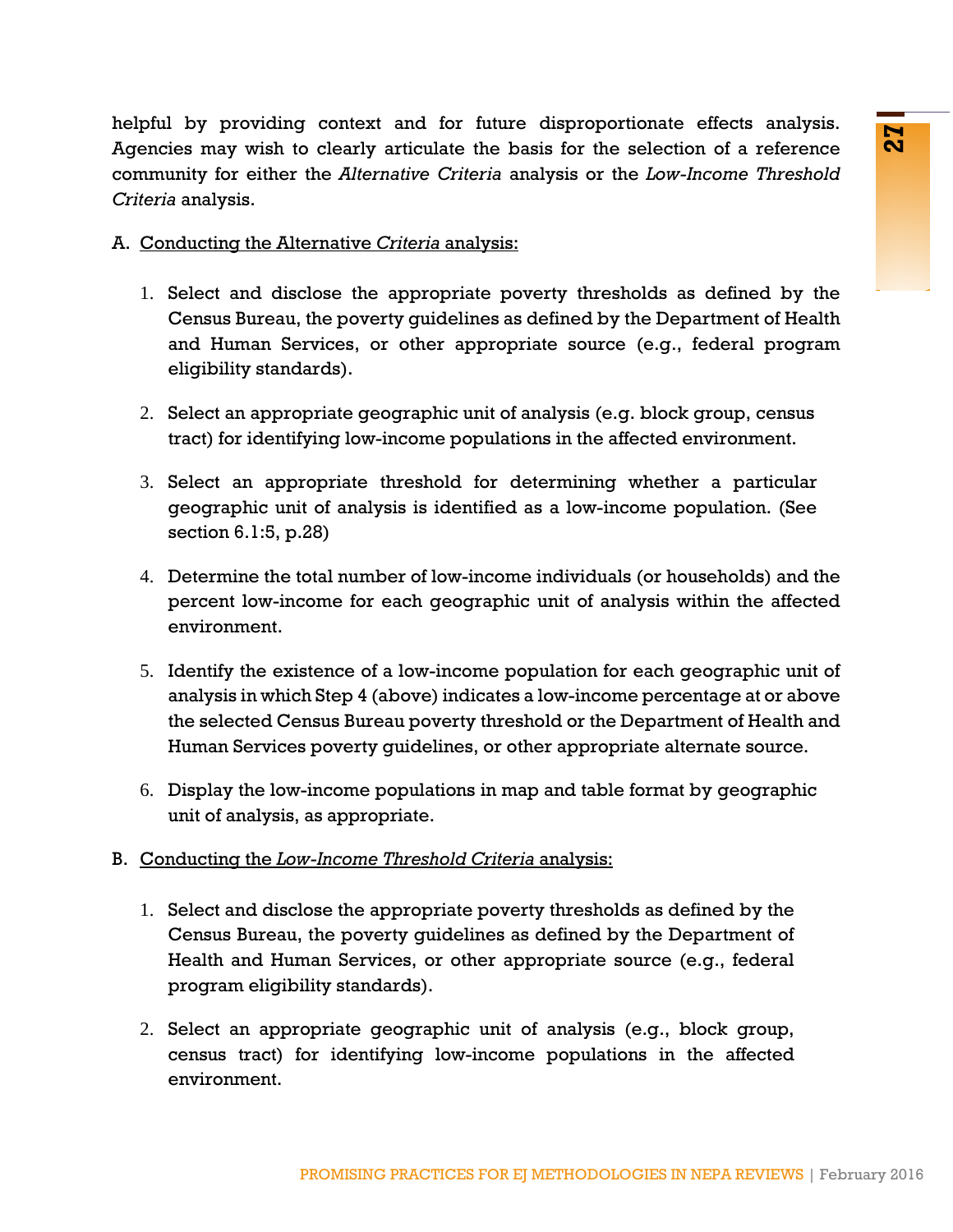helpful by providing context and for future disproportionate effects analysis. Agencies may wish to clearly articulate the basis for the selection of a reference community for either the *Alternative Criteria* analysis or the *Low-Income Threshold Criteria* analysis.

- A. Conducting the Alternative *Criteria* analysis:
	- 1. Select and disclose the appropriate poverty thresholds as defined by the Census Bureau, the poverty guidelines as defined by the Department of Health and Human Services, or other appropriate source (e.g., federal program eligibility standards).
	- 2. Select an appropriate geographic unit of analysis (e.g. block group, census tract) for identifying low-income populations in the affected environment.
	- 3. Select an appropriate threshold for determining whether a particular geographic unit of analysis is identified as a low-income population. (See section 6.1:5, p.28)
	- 4. Determine the total number of low-income individuals (or households) and the percent low-income for each geographic unit of analysis within the affected environment.
- Fouriar and not future trappoprational encodes diaryses<br>o clearly articulate the basis for the selection of a reference<br>the *Alternative Criteria* analysis:<br>
Elose the appropriate poverty thresholds as defined by the<br>
mart 5. Identify the existence of a low-income population for each geographic unit of analysis in which Step 4 (above) indicates a low-income percentage at or above the selected Census Bureau poverty threshold or the Department of Health and Human Services poverty guidelines, or other appropriate alternate source.
	- 6. Display the low-income populations in map and table format by geographic unit of analysis, as appropriate.
- B. Conducting the *Low-Income Threshold Criteria* analysis:
	- 1. Select and disclose the appropriate poverty thresholds as defined by the Census Bureau, the poverty guidelines as defined by the Department of Health and Human Services, or other appropriate source (e.g., federal program eligibility standards).
	- 2. Select an appropriate geographic unit of analysis (e.g., block group, census tract) for identifying low-income populations in the affected environment.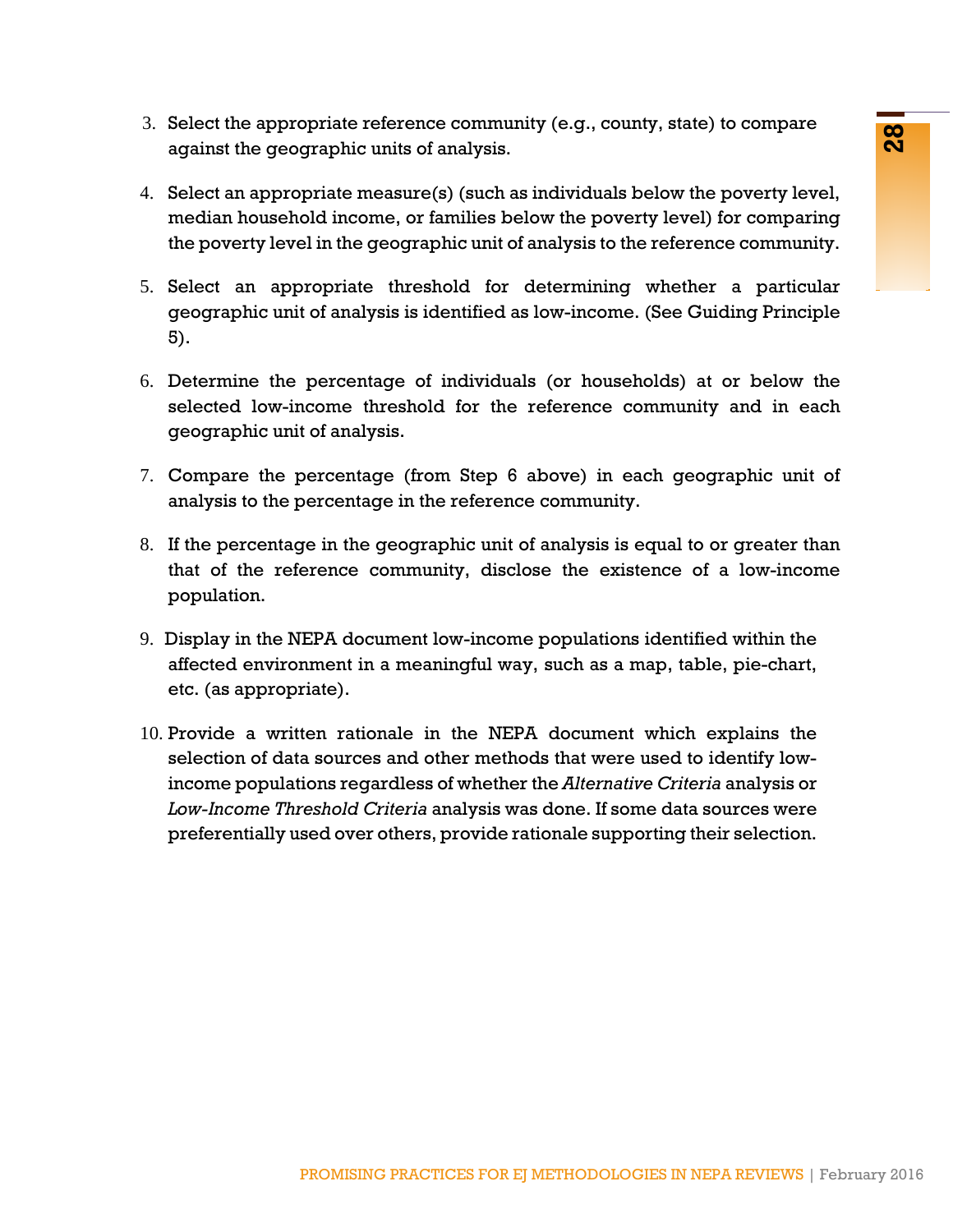<span id="page-29-0"></span>

- 3. Select the appropriate reference community (e.g., county, state) to compare against the geographic units of analysis.
- 4. Select an appropriate measure(s) (such as individuals below the poverty level, median household income, or families below the poverty level) for comparing the poverty level in the geographic unit of analysis to the reference community.
- 5. Select an appropriate threshold for determining whether a particular geographic unit of analysis is identified as low-income. (See Guiding Principle 5).
- 6. Determine the percentage of individuals (or households) at or below the selected low-income threshold for the reference community and in each geographic unit of analysis.
- 7. Compare the percentage (from Step 6 above) in each geographic unit of analysis to the percentage in the reference community.
- 8. If the percentage in the geographic unit of analysis is equal to or greater than that of the reference community, disclose the existence of a low-income population.
- 9. Display in the NEPA document low-income populations identified within the affected environment in a meaningful way, such as a map, table, pie-chart, etc. (as appropriate).
- phaels executed community (erg., cocompy, state) to complete<br>
prachic massure(s) (such as individuals bolow the poverty level,<br>
priate massure(s) (such as individuals bolow the poverty level,<br>
priate massure(s) (such as in 10. Provide a written rationale in the NEPA document which explains the selection of data sources and other methods that were used to identify lowincome populations regardless of whether the *Alternative Criteria* analysis or *Low-Income Threshold Criteria* analysis was done. If some data sources were preferentially used over others, provide rationale supporting their selection.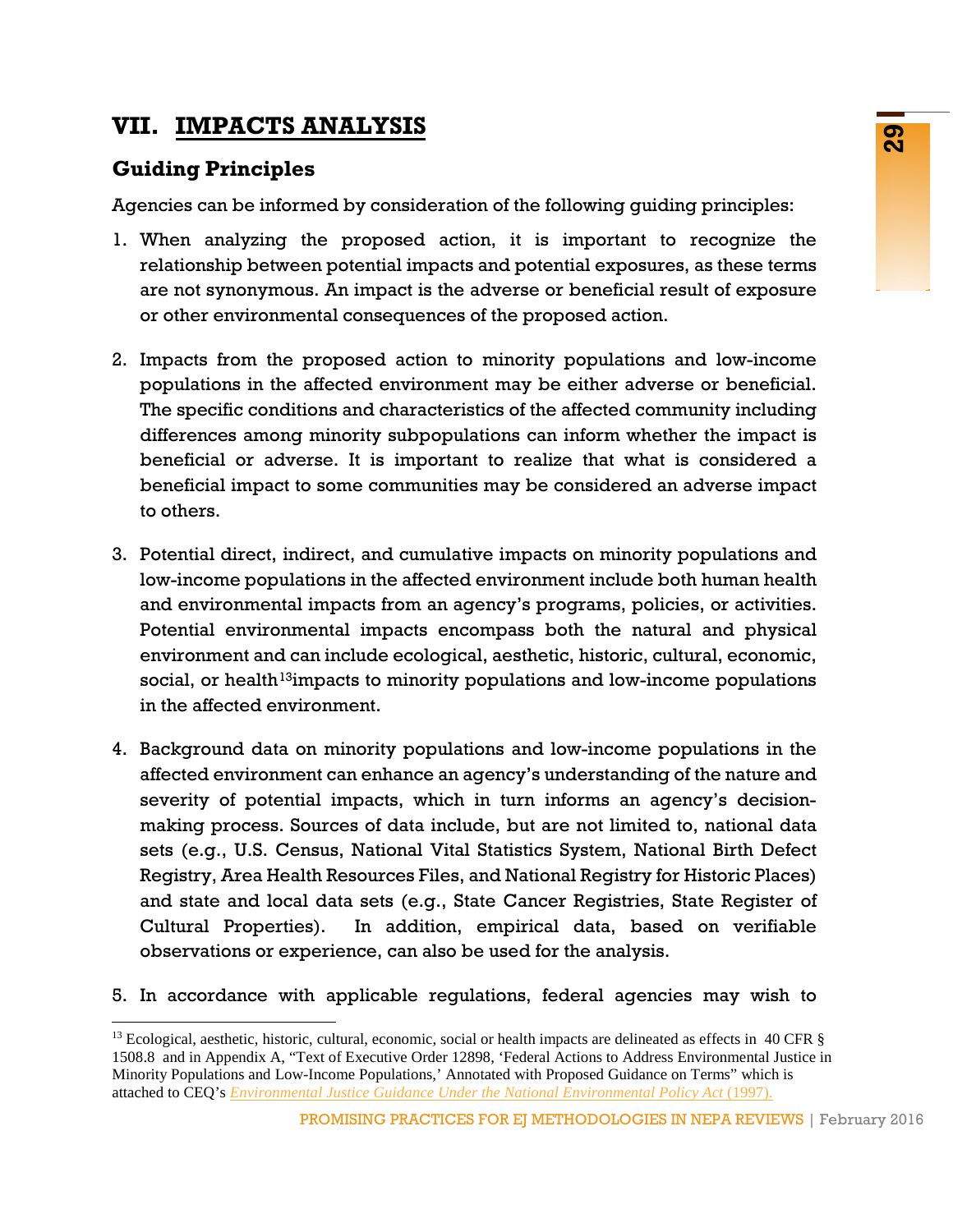# **VII. IMPACTS ANALYSIS**

# **Guiding Principles**

Agencies can be informed by consideration of the following guiding principles:

- 1. When analyzing the proposed action, it is important to recognize the relationship between potential impacts and potential exposures, as these terms are not synonymous. An impact is the adverse or beneficial result of exposure or other environmental consequences of the proposed action.
- 2. Impacts from the proposed action to minority populations and low-income populations in the affected environment may be either adverse or beneficial. The specific conditions and characteristics of the affected community including differences among minority subpopulations can inform whether the impact is beneficial or adverse. It is important to realize that what is considered a beneficial impact to some communities may be considered an adverse impact to others.
- 3. Potential direct, indirect, and cumulative impacts on minority populations and low-income populations in the affected environment include both human health and environmental impacts from an agency's programs, policies, or activities. Potential environmental impacts encompass both the natural and physical environment and can include ecological, aesthetic, historic, cultural, economic, social, or health<sup>13</sup>impacts to minority populations and low-income populations in the affected environment.
- **EXPLAIT STEP**<br>
mead by consideration of the following guiding principles:<br>
the proposed action, it is important to recognize the<br>
en potential impacts and potential exposures, as these terms<br>
is. An impact is the adverse 4. Background data on minority populations and low-income populations in the affected environment can enhance an agency's understanding of the nature and severity of potential impacts, which in turn informs an agency's decisionmaking process. Sources of data include, but are not limited to, national data sets (e.g., U.S. Census, National Vital Statistics System, National Birth Defect Registry, Area Health Resources Files, and National Registry for Historic Places) and state and local data sets (e.g., State Cancer Registries, State Register of Cultural Properties). In addition, empirical data, based on verifiable observations or experience, can also be used for the analysis.
- 5. In accordance with applicable regulations, federal agencies may wish to

<span id="page-30-0"></span><sup>&</sup>lt;sup>13</sup> Ecological, aesthetic, historic, cultural, economic, social or health impacts are delineated as effects in 40 CFR  $\S$ 1508.8 and in Appendix A, "Text of Executive Order 12898, 'Federal Actions to Address Environmental Justice in Minority Populations and Low-Income Populations,' Annotated with Proposed Guidance on Terms" which is attached to CEQ's *[Environmental Justice Guidance Under the National Environmental Policy Act](http://www3.epa.gov/environmentaljustice/resources/policy/ej_guidance_nepa_ceq1297.pdf)* (1997).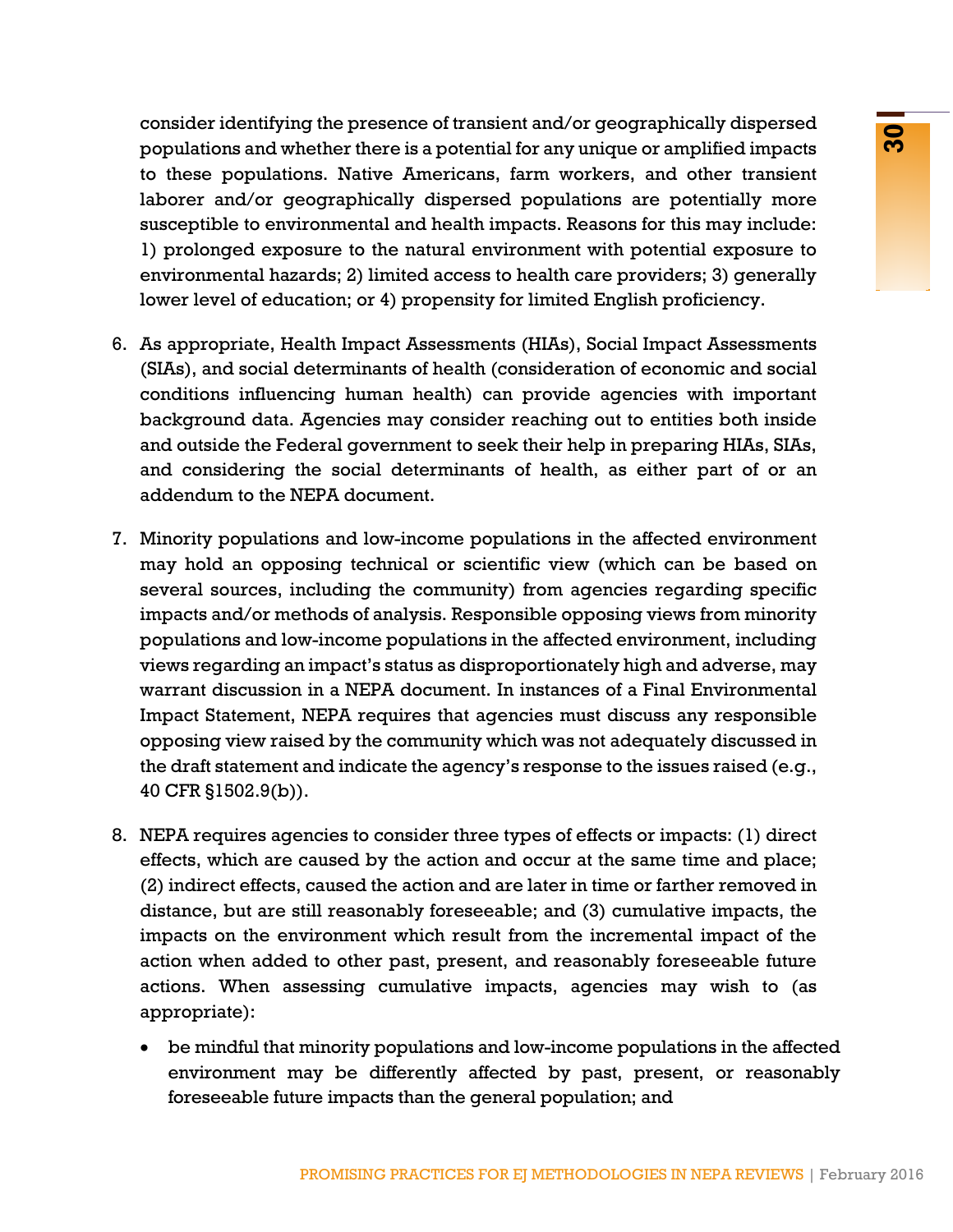consider identifying the presence of transient and/or geographically dispersed populations and whether there is a potential for any unique or amplified impacts to these populations. Native Americans, farm workers, and other transient laborer and/or geographically dispersed populations are potentially more susceptible to environmental and health impacts. Reasons for this may include: 1) prolonged exposure to the natural environment with potential exposure to environmental hazards; 2) limited access to health care providers; 3) generally lower level of education; or 4) propensity for limited English proficiency.

- 6. As appropriate, Health Impact Assessments (HIAs), Social Impact Assessments (SIAs), and social determinants of health (consideration of economic and social conditions influencing human health) can provide agencies with important background data. Agencies may consider reaching out to entities both inside and outside the Federal government to seek their help in preparing HIAs, SIAs, and considering the social determinants of health, as either part of or an addendum to the NEPA document.
- y are presented or instantion and or geographical more internet is a potential for any unique or amplified impacts<br>organization, farm workers, and other transient to prographically dispersed populations are potentially mor 7. Minority populations and low-income populations in the affected environment may hold an opposing technical or scientific view (which can be based on several sources, including the community) from agencies regarding specific impacts and/or methods of analysis. Responsible opposing views from minority populations and low-income populations in the affected environment, including views regarding an impact's status as disproportionately high and adverse, may warrant discussion in a NEPA document. In instances of a Final Environmental Impact Statement, NEPA requires that agencies must discuss any responsible opposing view raised by the community which was not adequately discussed in the draft statement and indicate the agency's response to the issues raised (e.g., 40 CFR §1502.9(b)).
- 8. NEPA requires agencies to consider three types of effects or impacts: (1) direct effects, which are caused by the action and occur at the same time and place; (2) indirect effects, caused the action and are later in time or farther removed in distance, but are still reasonably foreseeable; and (3) cumulative impacts, the impacts on the environment which result from the incremental impact of the action when added to other past, present, and reasonably foreseeable future actions. When assessing cumulative impacts, agencies may wish to (as appropriate):
	- be mindful that minority populations and low-income populations in the affected environment may be differently affected by past, present, or reasonably foreseeable future impacts than the general population; and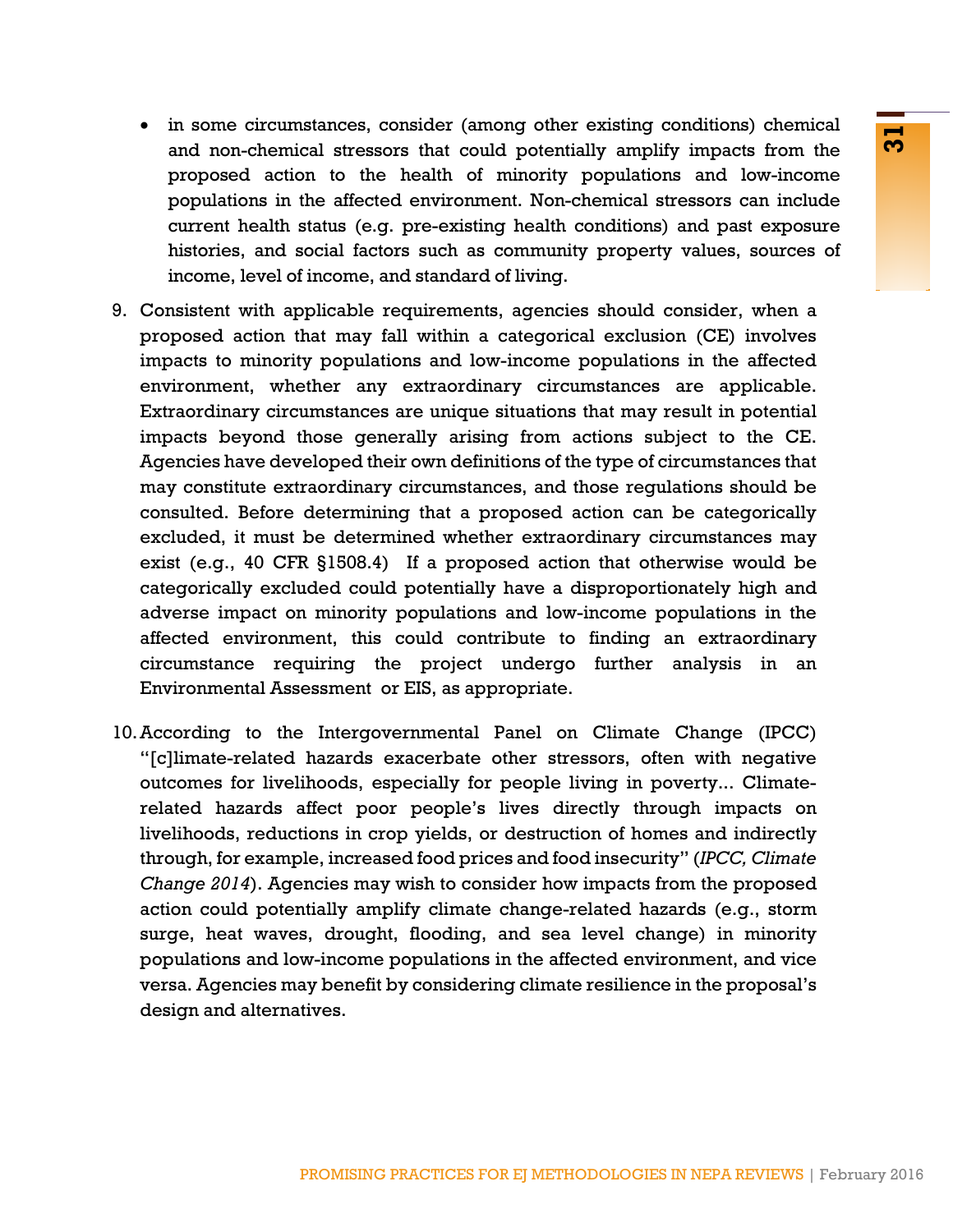- in some circumstances, consider (among other existing conditions) chemical and non-chemical stressors that could potentially amplify impacts from the proposed action to the health of minority populations and low-income populations in the affected environment. Non-chemical stressors can include current health status (e.g. pre-existing health conditions) and past exposure histories, and social factors such as community property values, sources of income, level of income, and standard of living.
- Extended to the health of thin the minitive populations and low-theorem and the health of the minitive populations and low-incoment to the dietected environment. Non-chemical stressors can include<br>the affected environment. 9. Consistent with applicable requirements, agencies should consider, when a proposed action that may fall within a categorical exclusion (CE) involves impacts to minority populations and low-income populations in the affected environment, whether any extraordinary circumstances are applicable. Extraordinary circumstances are unique situations that may result in potential impacts beyond those generally arising from actions subject to the CE. Agencies have developed their own definitions of the type of circumstances that may constitute extraordinary circumstances, and those regulations should be consulted. Before determining that a proposed action can be categorically excluded, it must be determined whether extraordinary circumstances may exist (e.g., 40 CFR §1508.4) If a proposed action that otherwise would be categorically excluded could potentially have a disproportionately high and adverse impact on minority populations and low-income populations in the affected environment, this could contribute to finding an extraordinary circumstance requiring the project undergo further analysis in an Environmental Assessment or EIS, as appropriate.
- 10.According to the Intergovernmental Panel on Climate Change (IPCC) "[c]limate-related hazards exacerbate other stressors, often with negative outcomes for livelihoods, especially for people living in poverty... Climaterelated hazards affect poor people's lives directly through impacts on livelihoods, reductions in crop yields, or destruction of homes and indirectly through, for example, increased food prices and food insecurity" (*[IPCC, Climate](https://ipcc-wg2.gov/AR5/report/) [Change 2014](https://ipcc-wg2.gov/AR5/report/)*). Agencies may wish to consider how impacts from the proposed action could potentially amplify climate change-related hazards (e.g., storm surge, heat waves, drought, flooding, and sea level change) in minority populations and low-income populations in the affected environment, and vice versa. Agencies may benefit by considering climate resilience in the proposal's design and alternatives.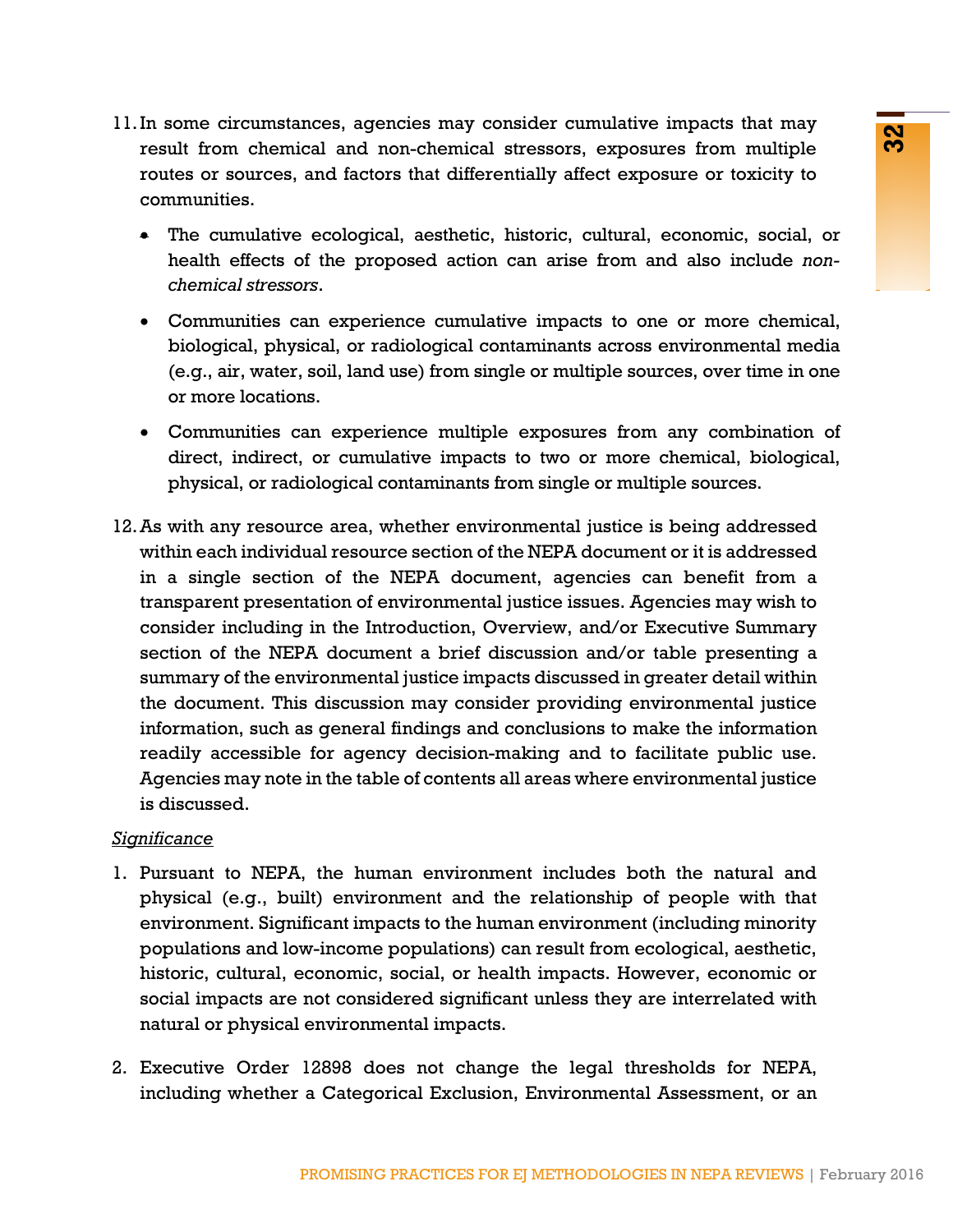- 11.In some circumstances, agencies may consider cumulative impacts that may result from chemical and non-chemical stressors, exposures from multiple routes or sources, and factors that differentially affect exposure or toxicity to communities.
	- The cumulative ecological, aesthetic, historic, cultural, economic, social, or health effects of the proposed action can arise from and also include *nonchemical stressors*.
	- Communities can experience cumulative impacts to one or more chemical, biological, physical, or radiological contaminants across environmental media (e.g., air, water, soil, land use) from single or multiple sources, over time in one or more locations.
	- Communities can experience multiple exposures from any combination of direct, indirect, or cumulative impacts to two or more chemical, biological, physical, or radiological contaminants from single or multiple sources.
- notes, espectral and the change of the hard of the hard and product of the proposed and non-chemical affectors, exposures from multiple and factors that differentially affect exposure or toxicity to ecological, a asthetic, 12.As with any resource area, whether environmental justice is being addressed within each individual resource section of the NEPA document or it is addressed in a single section of the NEPA document, agencies can benefit from a transparent presentation of environmental justice issues. Agencies may wish to consider including in the Introduction, Overview, and/or Executive Summary section of the NEPA document a brief discussion and/or table presenting a summary of the environmental justice impacts discussed in greater detail within the document. This discussion may consider providing environmental justice information, such as general findings and conclusions to make the information readily accessible for agency decision-making and to facilitate public use. Agencies may note in the table of contents all areas where environmental justice is discussed.

### *Significance*

- 1. Pursuant to NEPA, the human environment includes both the natural and physical (e.g., built) environment and the relationship of people with that environment. Significant impacts to the human environment (including minority populations and low-income populations) can result from ecological, aesthetic, historic, cultural, economic, social, or health impacts. However, economic or social impacts are not considered significant unless they are interrelated with natural or physical environmental impacts.
- 2. Executive Order 12898 does not change the legal thresholds for NEPA, including whether a Categorical Exclusion, Environmental Assessment, or an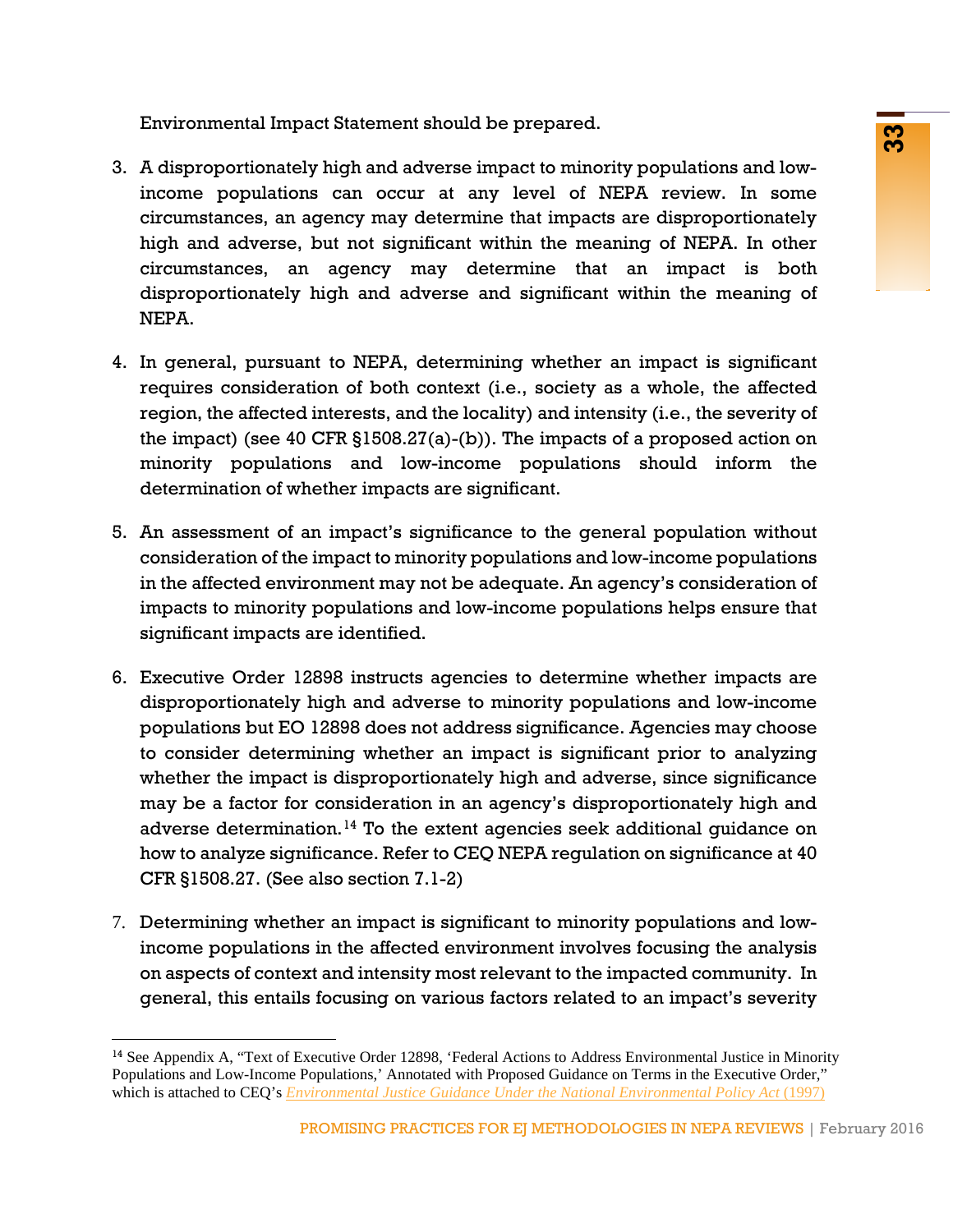Environmental Impact Statement should be prepared.

- 3. A disproportionately high and adverse impact to minority populations and lowincome populations can occur at any level of NEPA review. In some circumstances, an agency may determine that impacts are disproportionately high and adverse, but not significant within the meaning of NEPA. In other circumstances, an agency may determine that an impact is both disproportionately high and adverse and significant within the meaning of NEPA.
- 4. In general, pursuant to NEPA, determining whether an impact is significant requires consideration of both context (i.e., society as a whole, the affected region, the affected interests, and the locality) and intensity (i.e., the severity of the impact) (see 40 CFR §1508.27(a)-(b)). The impacts of a proposed action on minority populations and low-income populations should inform the determination of whether impacts are significant.
- 5. An assessment of an impact's significance to the general population without consideration of the impact to minority populations and low-income populations in the affected environment may not be adequate. An agency's consideration of impacts to minority populations and low-income populations helps ensure that significant impacts are identified.
- **Example 12** and adverse in mode of proparcial control of NEPA review. In some<br>as can occur at any level of NEPA review. In some<br>as can occur at any level of NEPA review. In some<br>by but not significant within the meaning o 6. Executive Order 12898 instructs agencies to determine whether impacts are disproportionately high and adverse to minority populations and low-income populations but EO 12898 does not address significance. Agencies may choose to consider determining whether an impact is significant prior to analyzing whether the impact is disproportionately high and adverse, since significance may be a factor for consideration in an agency's disproportionately high and adverse determination.<sup>[14](#page-34-0)</sup> To the extent agencies seek additional guidance on how to analyze significance. Refer to CEQ NEPA regulation on significance at 40 CFR §1508.27. (See also section 7.1-2)
- 7. Determining whether an impact is significant to minority populations and lowincome populations in the affected environment involves focusing the analysis on aspects of context and intensity most relevant to the impacted community. In general, this entails focusing on various factors related to an impact's severity

<span id="page-34-0"></span><sup>&</sup>lt;sup>14</sup> See Appendix A, "Text of Executive Order 12898, 'Federal Actions to Address Environmental Justice in Minority Populations and Low-Income Populations,' Annotated with Proposed Guidance on Terms in the Executive Order," which is attached to CEQ's *[Environmental Justice Guidance Under the National Environmental Policy Act](http://www3.epa.gov/environmentaljustice/resources/policy/ej_guidance_nepa_ceq1297.pdf)* (1997)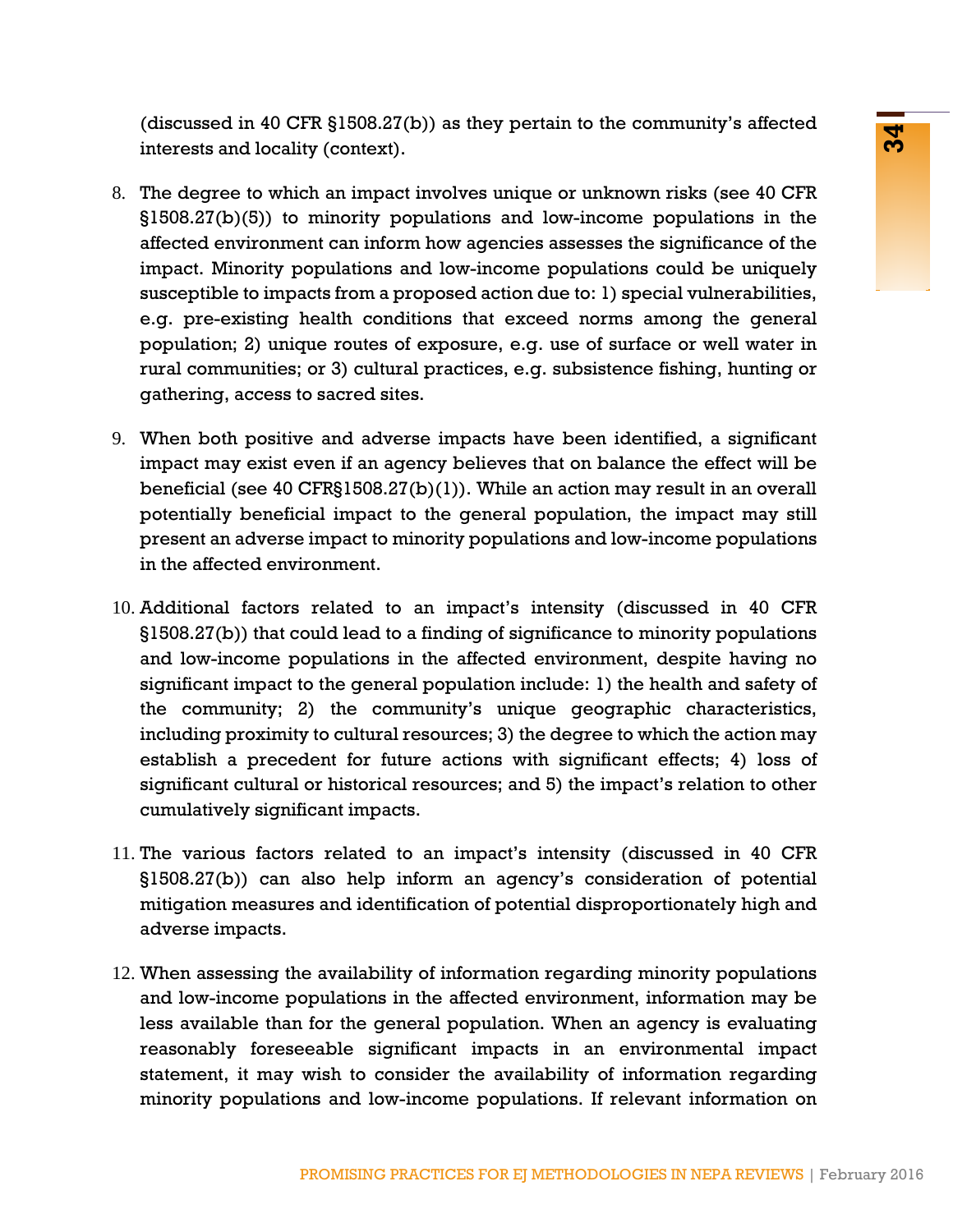(discussed in 40 CFR §1508.27(b)) as they pertain to the community's affected interests and locality (context).

- In syron-21(1), its awey perturn to the continuatiny is smected<br>in the mority populations and low-income populations in the<br>minimal model and not income populations in the minimal populations in the<br>minimal populations and 8. The degree to which an impact involves unique or unknown risks (see 40 CFR §1508.27(b)(5)) to minority populations and low-income populations in the affected environment can inform how agencies assesses the significance of the impact. Minority populations and low-income populations could be uniquely susceptible to impacts from a proposed action due to: 1) special vulnerabilities, e.g. pre-existing health conditions that exceed norms among the general population; 2) unique routes of exposure, e.g. use of surface or well water in rural communities; or 3) cultural practices, e.g. subsistence fishing, hunting or gathering, access to sacred sites.
- 9. When both positive and adverse impacts have been identified, a significant impact may exist even if an agency believes that on balance the effect will be beneficial (see 40 CFR§1508.27(b)(1)). While an action may result in an overall potentially beneficial impact to the general population, the impact may still present an adverse impact to minority populations and low-income populations in the affected environment.
- 10. Additional factors related to an impact's intensity (discussed in 40 CFR §1508.27(b)) that could lead to a finding of significance to minority populations and low-income populations in the affected environment, despite having no significant impact to the general population include: 1) the health and safety of the community; 2) the community's unique geographic characteristics, including proximity to cultural resources; 3) the degree to which the action may establish a precedent for future actions with significant effects; 4) loss of significant cultural or historical resources; and 5) the impact's relation to other cumulatively significant impacts.
- 11. The various factors related to an impact's intensity (discussed in 40 CFR §1508.27(b)) can also help inform an agency's consideration of potential mitigation measures and identification of potential disproportionately high and adverse impacts.
- 12. When assessing the availability of information regarding minority populations and low-income populations in the affected environment, information may be less available than for the general population. When an agency is evaluating reasonably foreseeable significant impacts in an environmental impact statement, it may wish to consider the availability of information regarding minority populations and low-income populations. If relevant information on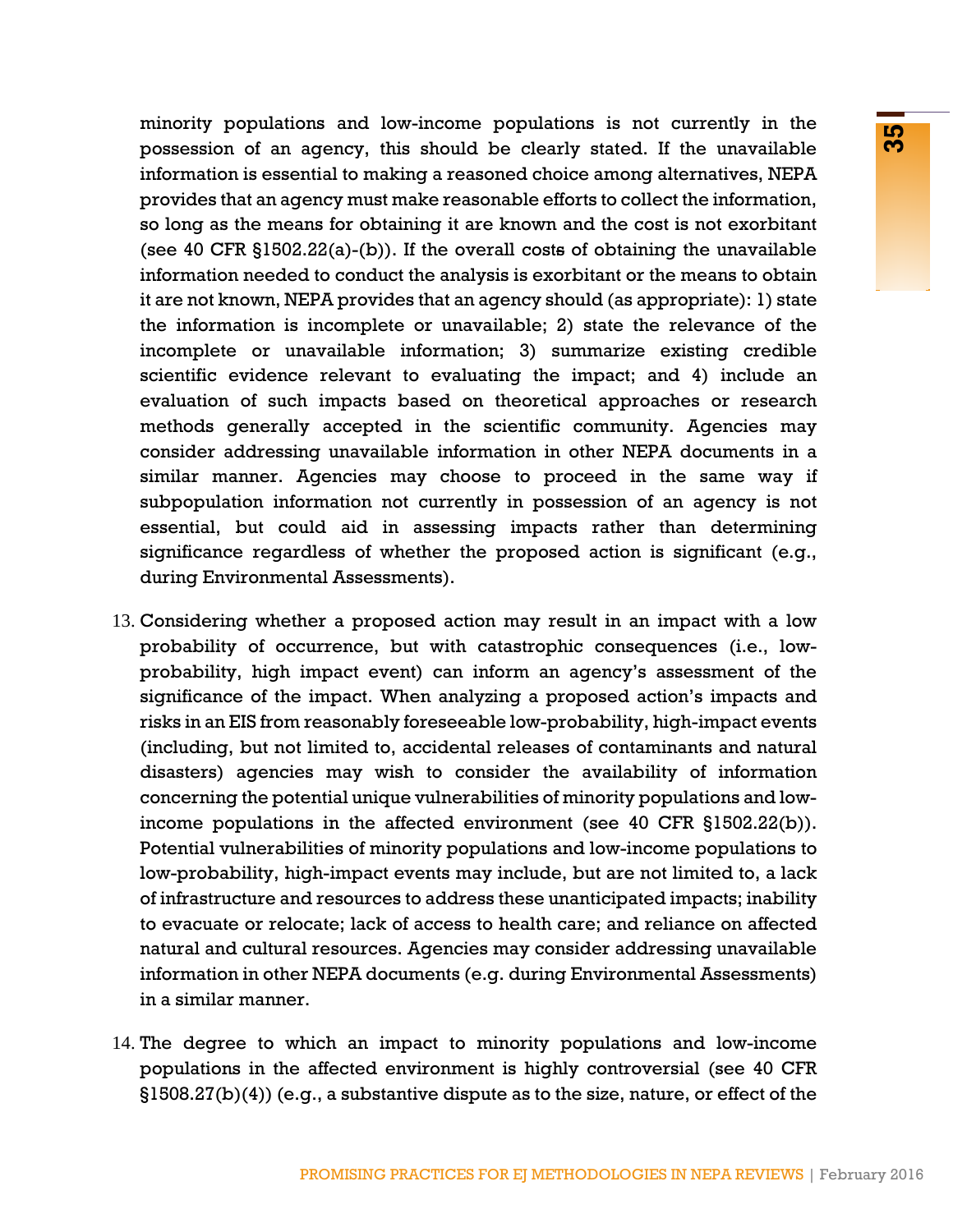ma forwardone by the scheme of the control and the maximizible mathematic matrix and the control and the control and the control and the control and the control and the control and the control and the control and the contr minority populations and low-income populations is not currently in the possession of an agency, this should be clearly stated. If the unavailable information is essential to making a reasoned choice among alternatives, NEPA provides that an agency must make reasonable efforts to collect the information, so long as the means for obtaining it are known and the cost is not exorbitant (see 40 CFR §1502.22(a)-(b)). If the overall costs of obtaining the unavailable information needed to conduct the analysis is exorbitant or the means to obtain it are not known, NEPA provides that an agency should (as appropriate): 1) state the information is incomplete or unavailable; 2) state the relevance of the incomplete or unavailable information; 3) summarize existing credible scientific evidence relevant to evaluating the impact; and 4) include an evaluation of such impacts based on theoretical approaches or research methods generally accepted in the scientific community. Agencies may consider addressing unavailable information in other NEPA documents in a similar manner. Agencies may choose to proceed in the same way if subpopulation information not currently in possession of an agency is not essential, but could aid in assessing impacts rather than determining significance regardless of whether the proposed action is significant (e.g., during Environmental Assessments).

- 13. Considering whether a proposed action may result in an impact with a low probability of occurrence, but with catastrophic consequences (i.e., lowprobability, high impact event) can inform an agency's assessment of the significance of the impact. When analyzing a proposed action's impacts and risks in an EIS from reasonably foreseeable low-probability, high-impact events (including, but not limited to, accidental releases of contaminants and natural disasters) agencies may wish to consider the availability of information concerning the potential unique vulnerabilities of minority populations and lowincome populations in the affected environment (see 40 CFR §1502.22(b)). Potential vulnerabilities of minority populations and low-income populations to low-probability, high-impact events may include, but are not limited to, a lack of infrastructure and resources to address these unanticipated impacts; inability to evacuate or relocate; lack of access to health care; and reliance on affected natural and cultural resources. Agencies may consider addressing unavailable information in other NEPA documents (e.g. during Environmental Assessments) in a similar manner.
- 14. The degree to which an impact to minority populations and low-income populations in the affected environment is highly controversial (see 40 CFR §1508.27(b)(4)) (e.g., a substantive dispute as to the size, nature, or effect of the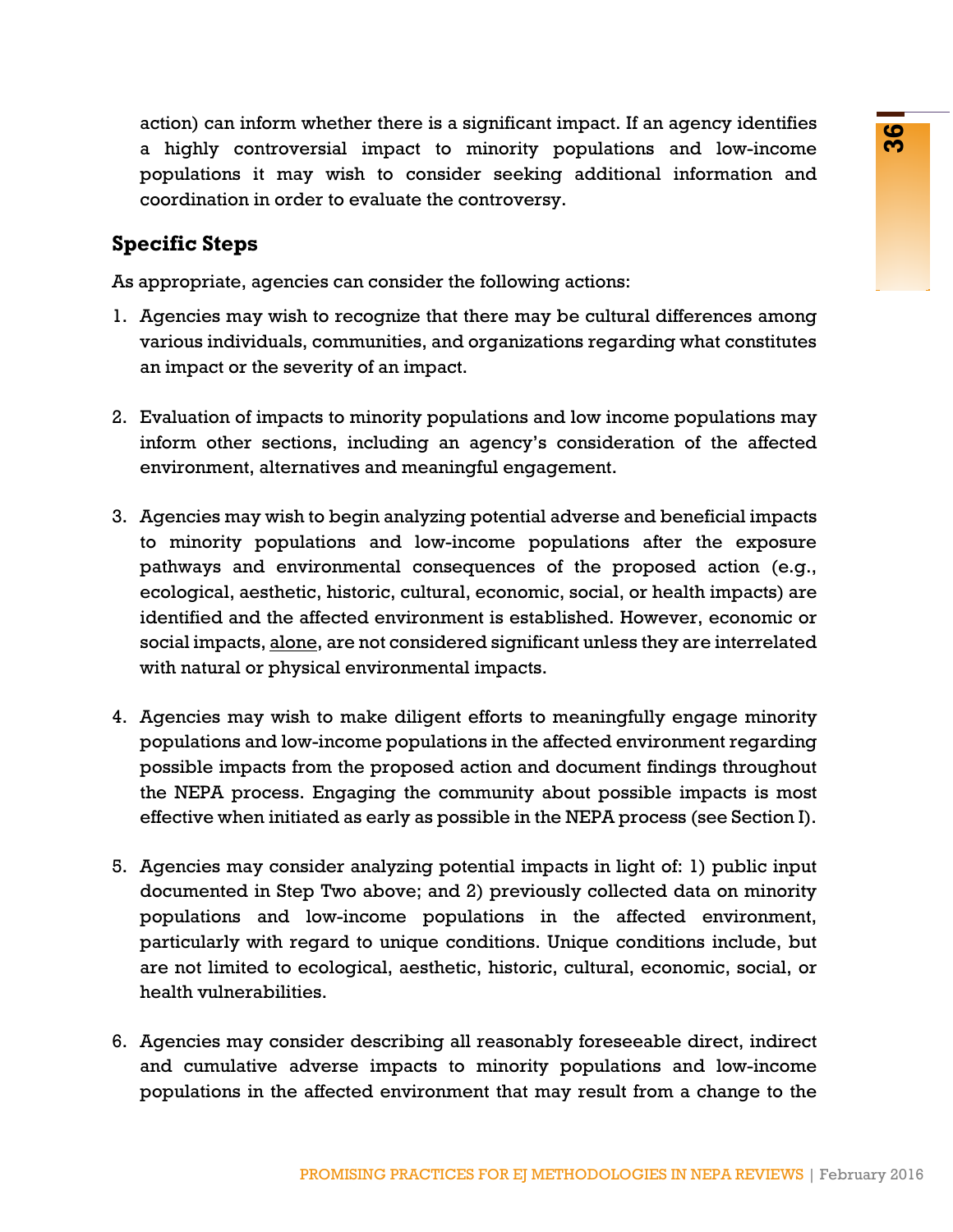action) can inform whether there is a significant impact. If an agency identifies a highly controversial impact to minority populations and low-income populations it may wish to consider seeking additional information and coordination in order to evaluate the controversy.

### **Specific Steps**

As appropriate, agencies can consider the following actions:

- 1. Agencies may wish to recognize that there may be cultural differences among various individuals, communities, and organizations regarding what constitutes an impact or the severity of an impact.
- 2. Evaluation of impacts to minority populations and low income populations may inform other sections, including an agency's consideration of the affected environment, alternatives and meaningful engagement.
- whene coeres as squared muperic and space coeres as a squared mup of the same proportions and low-incomes py wish to consider seeking additional information and to to ovaluate the controversy.<br>
Here the constraints and org 3. Agencies may wish to begin analyzing potential adverse and beneficial impacts to minority populations and low-income populations after the exposure pathways and environmental consequences of the proposed action (e.g., ecological, aesthetic, historic, cultural, economic, social, or health impacts) are identified and the affected environment is established. However, economic or social impacts, alone, are not considered significant unless they are interrelated with natural or physical environmental impacts.
- 4. Agencies may wish to make diligent efforts to meaningfully engage minority populations and low-income populations in the affected environment regarding possible impacts from the proposed action and document findings throughout the NEPA process. Engaging the community about possible impacts is most effective when initiated as early as possible in the NEPA process (see Section I).
- 5. Agencies may consider analyzing potential impacts in light of: 1) public input documented in Step Two above; and 2) previously collected data on minority populations and low-income populations in the affected environment, particularly with regard to unique conditions. Unique conditions include, but are not limited to ecological, aesthetic, historic, cultural, economic, social, or health vulnerabilities.
- 6. Agencies may consider describing all reasonably foreseeable direct, indirect and cumulative adverse impacts to minority populations and low-income populations in the affected environment that may result from a change to the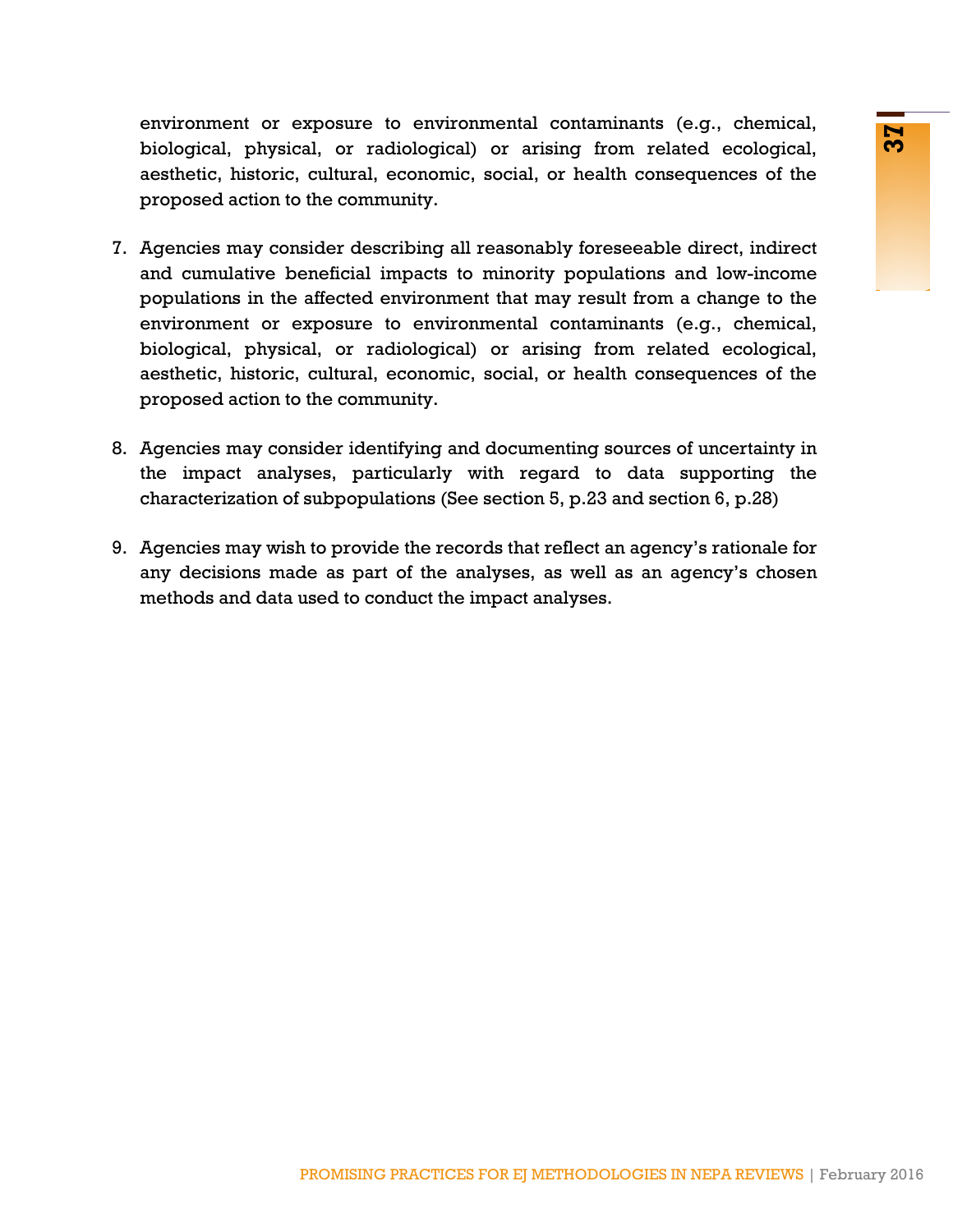environment or exposure to environmental contaminants (e.g., chemical, biological, physical, or radiological) or arising from related ecological, aesthetic, historic, cultural, economic, social, or health consequences of the proposed action to the community.

- Appear of the mondulo and continued to conditional control and (explored) or arising from related ecological, relatively about the community.<br>
For community. Sider describing all reasonably foreseeable direct, indirect<br>
ar 7. Agencies may consider describing all reasonably foreseeable direct, indirect and cumulative beneficial impacts to minority populations and low-income populations in the affected environment that may result from a change to the environment or exposure to environmental contaminants (e.g., chemical, biological, physical, or radiological) or arising from related ecological, aesthetic, historic, cultural, economic, social, or health consequences of the proposed action to the community.
- 8. Agencies may consider identifying and documenting sources of uncertainty in the impact analyses, particularly with regard to data supporting the characterization of subpopulations (See section 5, p.23 and section 6, p.28)
- <span id="page-38-0"></span>9. Agencies may wish to provide the records that reflect an agency's rationale for any decisions made as part of the analyses, as well as an agency's chosen methods and data used to conduct the impact analyses.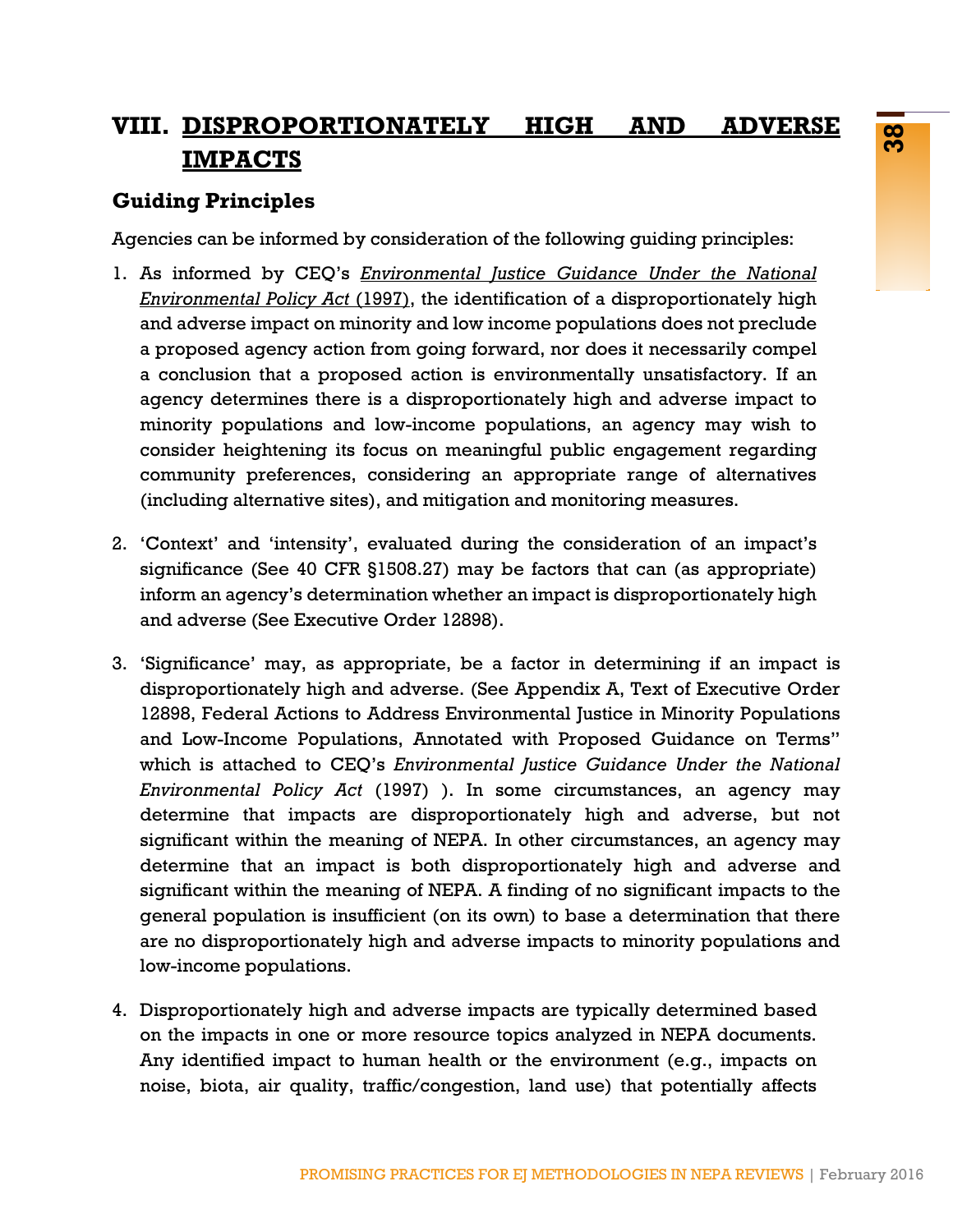# **VIII. DISPROPORTIONATELY HIGH AND ADVERSE IMPACTS**

### **Guiding Principles**

Agencies can be informed by consideration of the following guiding principles:

- 1. As informed by CEQ's *[Environmental Justice Guidance Under the National](http://www3.epa.gov/environmentaljustice/resources/policy/ej_guidance_nepa_ceq1297.pdf) [Environmental Policy Act](http://www3.epa.gov/environmentaljustice/resources/policy/ej_guidance_nepa_ceq1297.pdf)* (1997), the identification of a disproportionately high and adverse impact on minority and low income populations does not preclude a proposed agency action from going forward, nor does it necessarily compel a conclusion that a proposed action is environmentally unsatisfactory. If an agency determines there is a disproportionately high and adverse impact to minority populations and low-income populations, an agency may wish to consider heightening its focus on meaningful public engagement regarding community preferences, considering an appropriate range of alternatives (including alternative sites), and mitigation and monitoring measures.
- 2. 'Context' and 'intensity', evaluated during the consideration of an impact's significance (See 40 CFR §1508.27) may be factors that can (as appropriate) inform an agency's determination whether an impact is disproportionately high and adverse (See Executive Order 12898).
- **EXECUTE THOM AND ADVENSE FOR**<br>
SPRIMENT TO AND AND ADVENSE FOR<br>
SPRIMENT TO AND AND ADVENSE FOR THE CONSIDENCE CONSIDE TO A CHO AND AND AND A CONSIDE TO A CHO AND AND A CHO AND AND A CHO AND A CHO AND A CHO AND A CHO AND 3. 'Significance' may, as appropriate, be a factor in determining if an impact is disproportionately high and adverse. (See Appendix A, Text of Executive Order 12898, Federal Actions to Address Environmental Justice in Minority Populations and Low-Income Populations, Annotated with Proposed Guidance on Terms" which is attached to CEQ's *[Environmental Justice Guidance Under the National](http://www3.epa.gov/environmentaljustice/resources/policy/ej_guidance_nepa_ceq1297.pdf) [Environmental Policy Act](http://www3.epa.gov/environmentaljustice/resources/policy/ej_guidance_nepa_ceq1297.pdf)* (1997) ). In some circumstances, an agency may determine that impacts are disproportionately high and adverse, but not significant within the meaning of NEPA. In other circumstances, an agency may determine that an impact is both disproportionately high and adverse and significant within the meaning of NEPA. A finding of no significant impacts to the general population is insufficient (on its own) to base a determination that there are no disproportionately high and adverse impacts to minority populations and low-income populations.
- 4. Disproportionately high and adverse impacts are typically determined based on the impacts in one or more resource topics analyzed in NEPA documents. Any identified impact to human health or the environment (e.g., impacts on noise, biota, air quality, traffic/congestion, land use) that potentially affects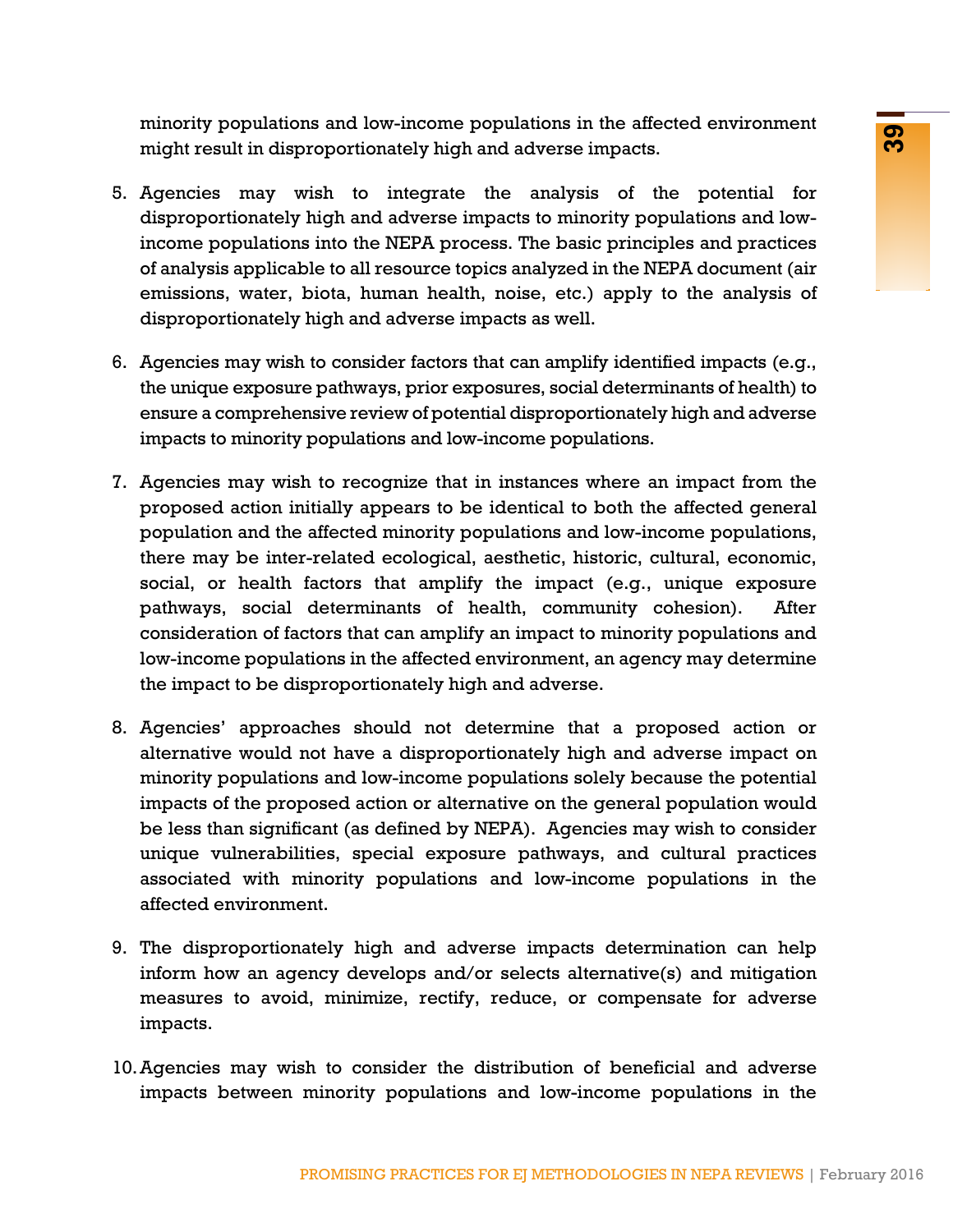minority populations and low-income populations in the affected environment might result in disproportionately high and adverse impacts.

- 5. Agencies may wish to integrate the analysis of the potential for disproportionately high and adverse impacts to minority populations and lowincome populations into the NEPA process. The basic principles and practices of analysis applicable to all resource topics analyzed in the NEPA document (air emissions, water, biota, human health, noise, etc.) apply to the analysis of disproportionately high and adverse impacts as well.
- 6. Agencies may wish to consider factors that can amplify identified impacts (e.g., the unique exposure pathways, prior exposures, social determinants of health) to ensure a comprehensive review of potential disproportionately high and adverse impacts to minority populations and low-income populations.
- is and not-metodological states in the unicodological states in the simple this hand adverse impacts.<br>
Wish to integrate the analysis of the potential for high and adverse impacts.<br>
Wish to integrate the analysis of the po 7. Agencies may wish to recognize that in instances where an impact from the proposed action initially appears to be identical to both the affected general population and the affected minority populations and low-income populations, there may be inter-related ecological, aesthetic, historic, cultural, economic, social, or health factors that amplify the impact (e.g., unique exposure pathways, social determinants of health, community cohesion). After consideration of factors that can amplify an impact to minority populations and low-income populations in the affected environment, an agency may determine the impact to be disproportionately high and adverse.
- 8. Agencies' approaches should not determine that a proposed action or alternative would not have a disproportionately high and adverse impact on minority populations and low-income populations solely because the potential impacts of the proposed action or alternative on the general population would be less than significant (as defined by NEPA). Agencies may wish to consider unique vulnerabilities, special exposure pathways, and cultural practices associated with minority populations and low-income populations in the affected environment.
- 9. The disproportionately high and adverse impacts determination can help inform how an agency develops and/or selects alternative(s) and mitigation measures to avoid, minimize, rectify, reduce, or compensate for adverse impacts.
- 10.Agencies may wish to consider the distribution of beneficial and adverse impacts between minority populations and low-income populations in the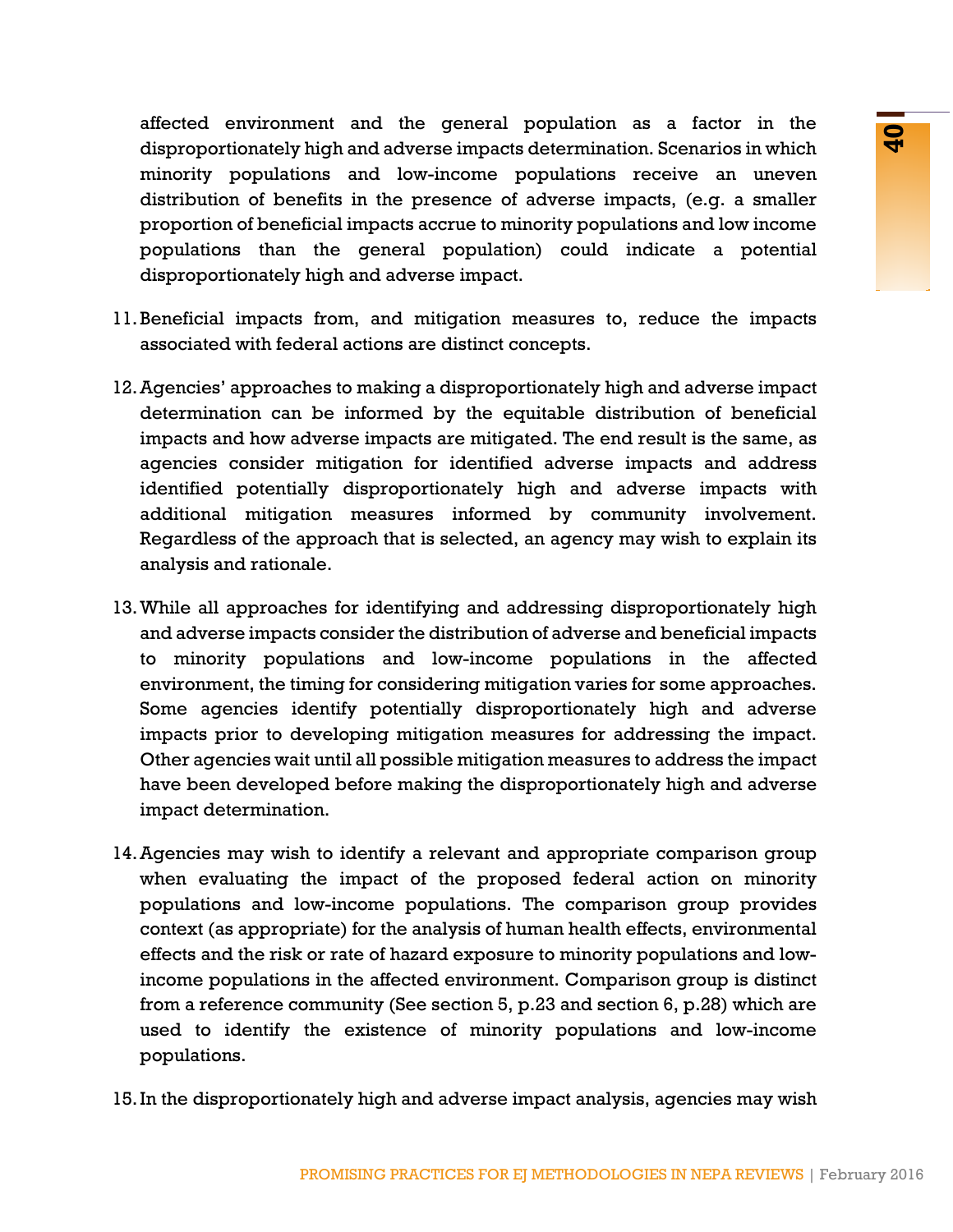affected environment and the general population as a factor in the disproportionately high and adverse impacts determination. Scenarios in which minority populations and low-income populations receive an uneven distribution of benefits in the presence of adverse impacts, (e.g. a smaller proportion of beneficial impacts accrue to minority populations and low income populations than the general population) could indicate a potential disproportionately high and adverse impact.

- 11.Beneficial impacts from, and mitigation measures to, reduce the impacts associated with federal actions are distinct concepts.
- 12.Agencies' approaches to making a disproportionately high and adverse impact determination can be informed by the equitable distribution of beneficial impacts and how adverse impacts are mitigated. The end result is the same, as agencies consider mitigation for identified adverse impacts and address identified potentially disproportionately high and adverse impacts with additional mitigation measures informed by community involvement. Regardless of the approach that is selected, an agency may wish to explain its analysis and rationale.
- 13.While all approaches for identifying and addressing disproportionately high and adverse impacts consider the distribution of adverse and beneficial impacts to minority populations and low-income populations in the affected environment, the timing for considering mitigation varies for some approaches. Some agencies identify potentially disproportionately high and adverse impacts prior to developing mitigation measures for addressing the impact. Other agencies wait until all possible mitigation measures to address the impact have been developed before making the disproportionately high and adverse impact determination.
- Figure and low-income population are series to react in the comparison and low-income and low-income population receives an uneversident position in the presence of adverse impacts, (e.g. a smaller distinguish and low-inco 14.Agencies may wish to identify a relevant and appropriate comparison group when evaluating the impact of the proposed federal action on minority populations and low-income populations. The comparison group provides context (as appropriate) for the analysis of human health effects, environmental effects and the risk or rate of hazard exposure to minority populations and lowincome populations in the affected environment. Comparison group is distinct from a reference community (See section 5, p.23 and section 6, p.28) which are used to identify the existence of minority populations and low-income populations.
- 15.In the disproportionately high and adverse impact analysis, agencies may wish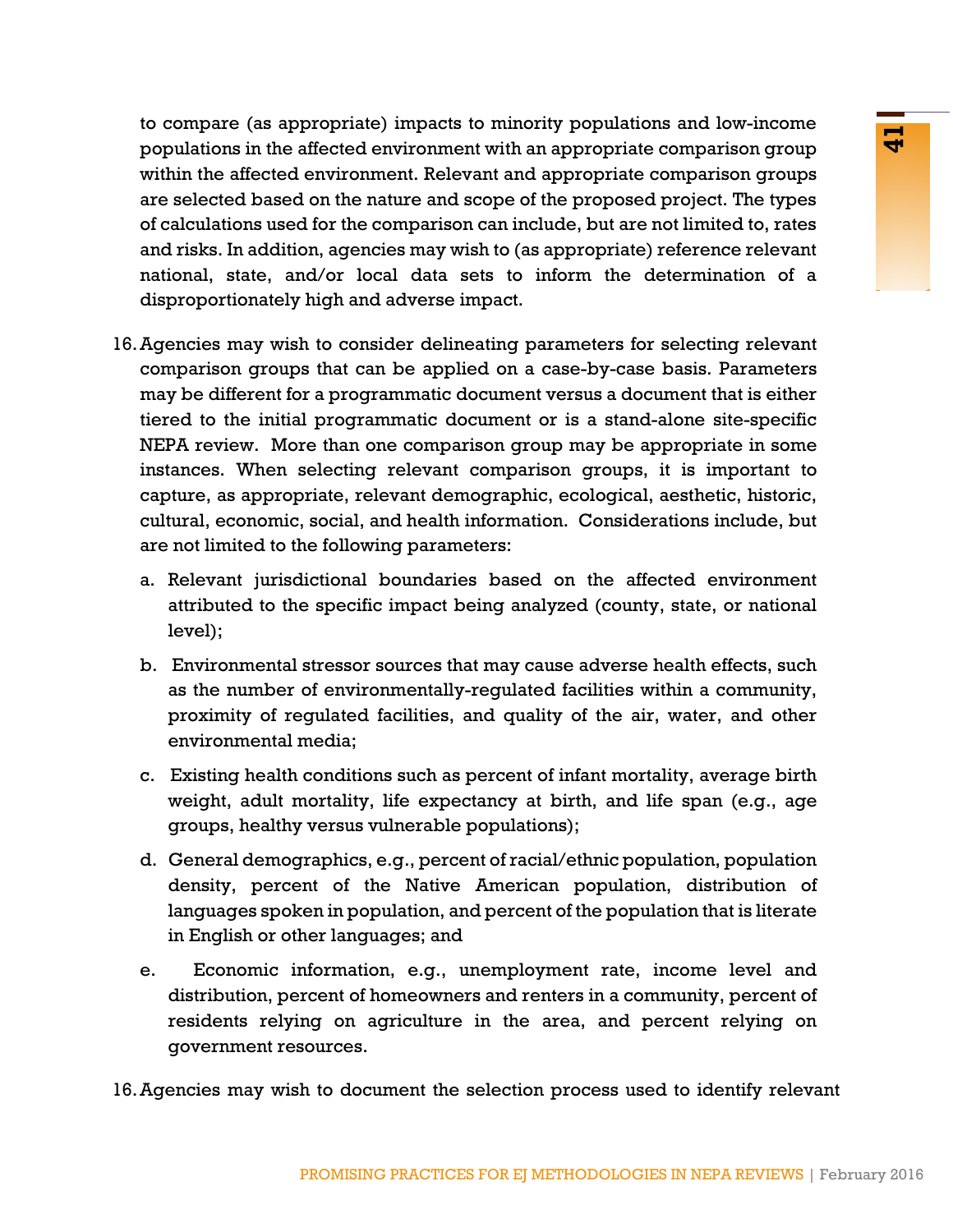to compare (as appropriate) impacts to minority populations and low-income populations in the affected environment with an appropriate comparison group within the affected environment. Relevant and appropriate comparison groups are selected based on the nature and scope of the proposed project. The types of calculations used for the comparison can include, but are not limited to, rates and risks. In addition, agencies may wish to (as appropriate) reference relevant national, state, and/or local data sets to inform the determination of a disproportionately high and adverse impact.

- propriate on the control of the brand appropriate comparison group<br>
environment with an appropriate comparison group<br>
or the hormator and appropriate comparison group<br>
on the bature and accore of the proposed project. The 16.Agencies may wish to consider delineating parameters for selecting relevant comparison groups that can be applied on a case-by-case basis. Parameters may be different for a programmatic document versus a document that is either tiered to the initial programmatic document or is a stand-alone site-specific NEPA review. More than one comparison group may be appropriate in some instances. When selecting relevant comparison groups, it is important to capture, as appropriate, relevant demographic, ecological, aesthetic, historic, cultural, economic, social, and health information. Considerations include, but are not limited to the following parameters:
	- a. Relevant jurisdictional boundaries based on the affected environment attributed to the specific impact being analyzed (county, state, or national level);
	- b. Environmental stressor sources that may cause adverse health effects, such as the number of environmentally-regulated facilities within a community, proximity of regulated facilities, and quality of the air, water, and other environmental media;
	- c. Existing health conditions such as percent of infant mortality, average birth weight, adult mortality, life expectancy at birth, and life span (e.g., age groups, healthy versus vulnerable populations);
	- d. General demographics, e.g., percent of racial/ethnic population, population density, percent of the Native American population, distribution of languages spoken in population, and percent of the population that is literate in English or other languages; and
	- e. Economic information, e.g., unemployment rate, income level and distribution, percent of homeowners and renters in a community, percent of residents relying on agriculture in the area, and percent relying on government resources.
- 16.Agencies may wish to document the selection process used to identify relevant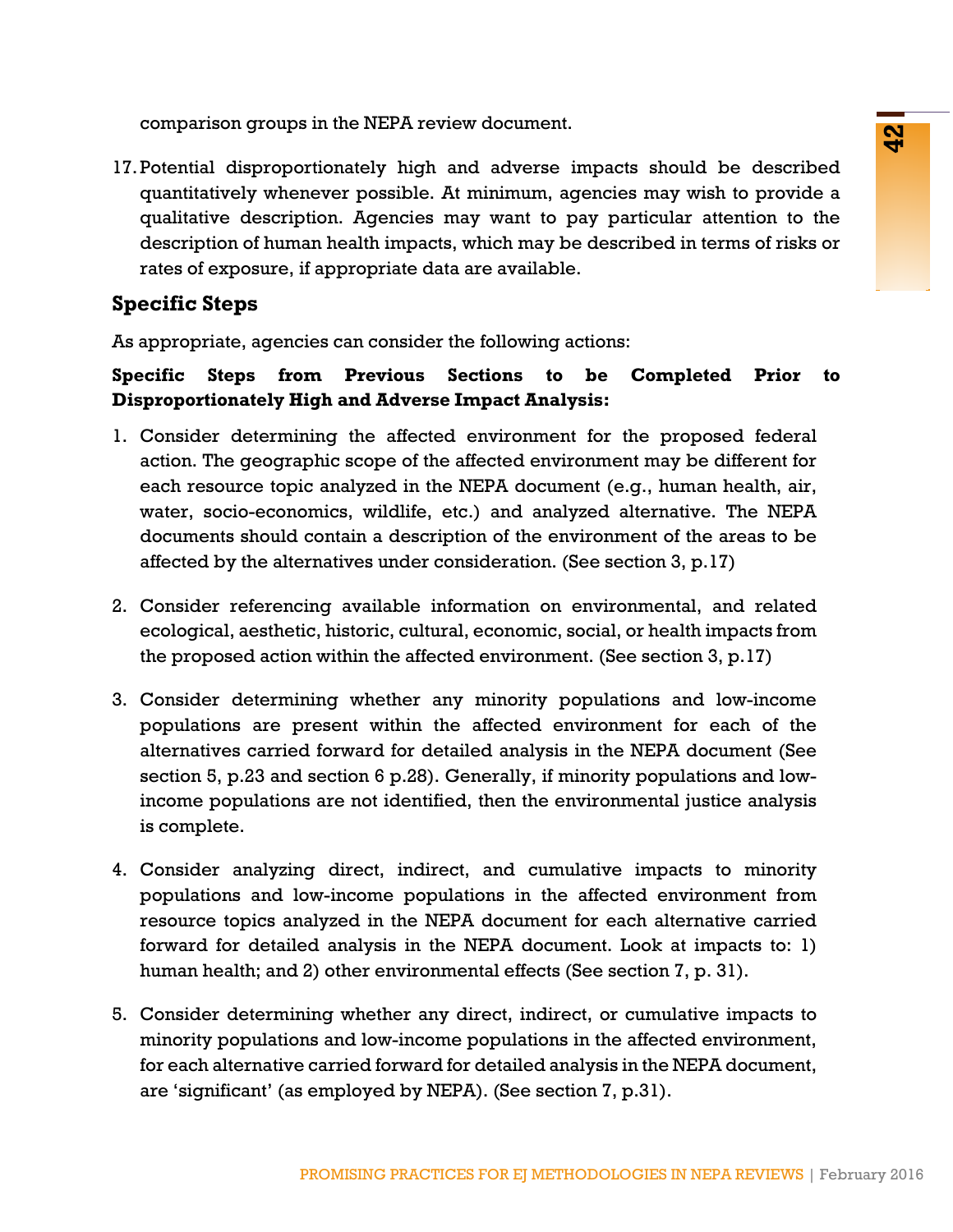comparison groups in the NEPA review document.

17.Potential disproportionately high and adverse impacts should be described quantitatively whenever possible. At minimum, agencies may wish to provide a qualitative description. Agencies may want to pay particular attention to the description of human health impacts, which may be described in terms of risks or rates of exposure, if appropriate data are available.

### **Specific Steps**

As appropriate, agencies can consider the following actions:

### **Specific Steps from Previous Sections to be Completed Prior to Disproportionately High and Adverse Impact Analysis:**

- 1. Consider determining the affected environment for the proposed federal action. The geographic scope of the affected environment may be different for each resource topic analyzed in the NEPA document (e.g., human health, air, water, socio-economics, wildlife, etc.) and analyzed alternative. The NEPA documents should contain a description of the environment of the areas to be affected by the alternatives under consideration. (See section 3, p.17)
- 2. Consider referencing available information on environmental, and related ecological, aesthetic, historic, cultural, economic, social, or health impacts from the proposed action within the affected environment. (See section 3, p.17)
- PROMISING PRACTICES FOR EJ METHODOLOGIES IN NEPA REVIEWS | February 2016 **42** 3. Consider determining whether any minority populations and low-income populations are present within the affected environment for each of the alternatives carried forward for detailed analysis in the NEPA document (See section 5, p.23 and section 6 p.28). Generally, if minority populations and lowincome populations are not identified, then the environmental justice analysis is complete.
- 4. Consider analyzing direct, indirect, and cumulative impacts to minority populations and low-income populations in the affected environment from resource topics analyzed in the NEPA document for each alternative carried forward for detailed analysis in the NEPA document. Look at impacts to: 1) human health; and 2) other environmental effects (See section 7, p. 31).
- 5. Consider determining whether any direct, indirect, or cumulative impacts to minority populations and low-income populations in the affected environment, for each alternative carried forward for detailed analysis in the NEPA document, are 'significant' (as employed by NEPA). (See section 7, p.31).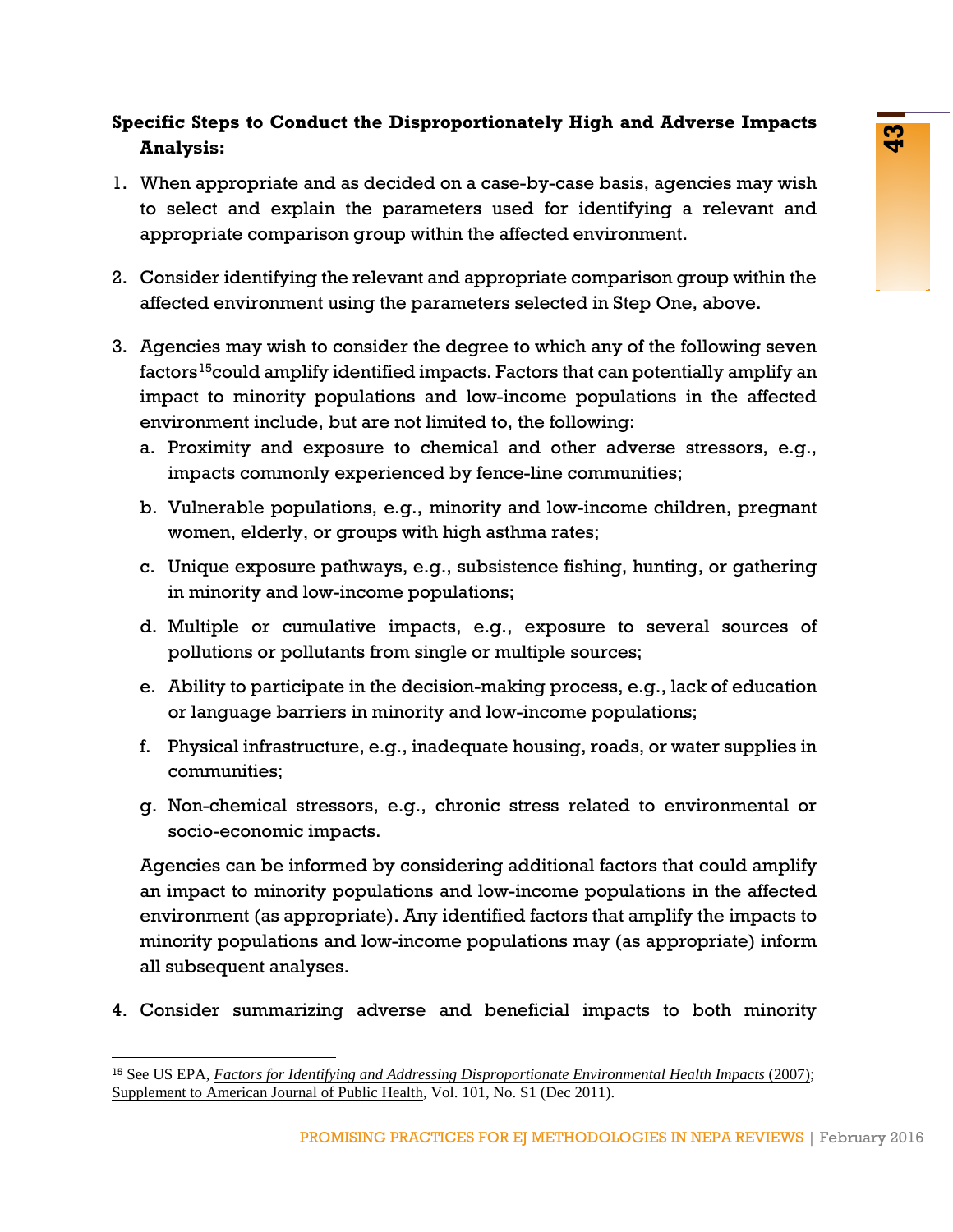## **Specific Steps to Conduct the Disproportionately High and Adverse Impacts Analysis:**

- 1. When appropriate and as decided on a case-by-case basis, agencies may wish to select and explain the parameters used for identifying a relevant and appropriate comparison group within the affected environment.
- 2. Consider identifying the relevant and appropriate comparison group within the affected environment using the parameters selected in Step One, above.
- 3. Agencies may wish to consider the degree to which any of the following seven factors<sup>[15](#page-44-0)</sup>could amplify identified impacts. Factors that can potentially amplify an impact to minority populations and low-income populations in the affected environment include, but are not limited to, the following:
	- a. Proximity and exposure to chemical and other adverse stressors, e.g., impacts commonly experienced by fence-line communities;
	- b. Vulnerable populations, e.g., minority and low-income children, pregnant women, elderly, or groups with high asthma rates;
	- c. Unique exposure pathways, e.g., subsistence fishing, hunting, or gathering in minority and low-income populations;
	- d. Multiple or cumulative impacts, e.g., exposure to several sources of pollutions or pollutants from single or multiple sources;
	- e. Ability to participate in the decision-making process, e.g., lack of education or language barriers in minority and low-income populations;
	- f. Physical infrastructure, e.g., inadequate housing, roads, or water supplies in communities;
	- g. Non-chemical stressors, e.g., chronic stress related to environmental or socio-economic impacts.

and as decided on a case-by-case basis, agencies may wish<br>and as decided on a case-by-case basis, agencies may wish<br>alain the parameters used for identifying a relevant and<br>tristin group within the affected environment.<br>Th Agencies can be informed by considering additional factors that could amplify an impact to minority populations and low-income populations in the affected environment (as appropriate). Any identified factors that amplify the impacts to minority populations and low-income populations may (as appropriate) inform all subsequent analyses.

4. Consider summarizing adverse and beneficial impacts to both minority

<span id="page-44-0"></span><sup>15</sup> See US EPA, *[Factors for Identifying and Addressing Disproportionate Environmental Health Impacts](http://archive.epa.gov/ncer/ej/web/pdf/whitepaper.pdf)* (2007); [Supplement to American Journal of Public Health,](http://ajph.aphapublications.org/toc/ajph/101/S1) Vol. 101, No. S1 (Dec 2011).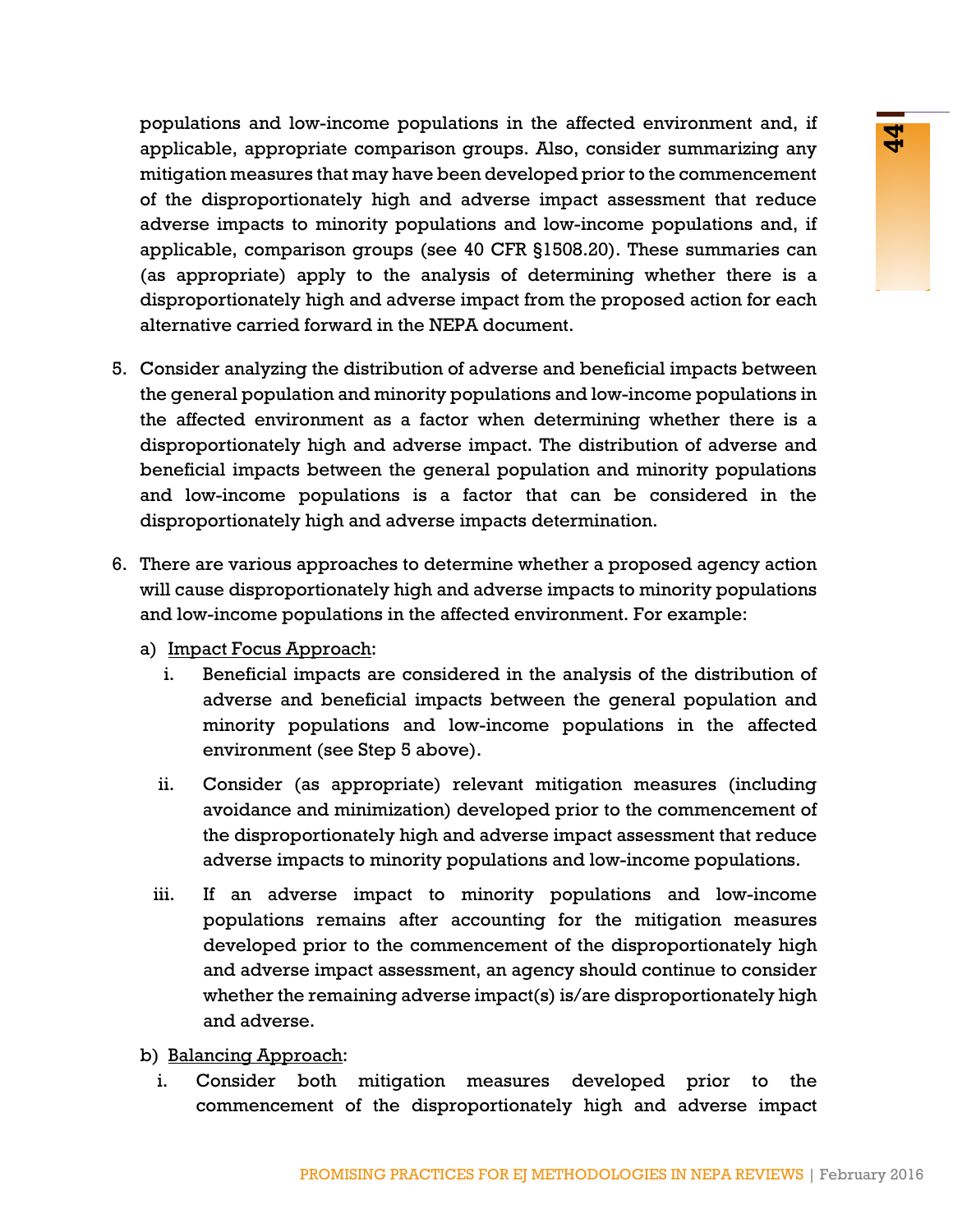Antion the pulsations in the since the communication and the displacement of the displacement of the displacement of the displacement of the communicating any is that may have been developed prior to the commencement that populations and low-income populations in the affected environment and, if applicable, appropriate comparison groups. Also, consider summarizing any mitigation measures that may have been developed prior to the commencement of the disproportionately high and adverse impact assessment that reduce adverse impacts to minority populations and low-income populations and, if applicable, comparison groups (see 40 CFR §1508.20). These summaries can (as appropriate) apply to the analysis of determining whether there is a disproportionately high and adverse impact from the proposed action for each alternative carried forward in the NEPA document.

- 5. Consider analyzing the distribution of adverse and beneficial impacts between the general population and minority populations and low-income populations in the affected environment as a factor when determining whether there is a disproportionately high and adverse impact. The distribution of adverse and beneficial impacts between the general population and minority populations and low-income populations is a factor that can be considered in the disproportionately high and adverse impacts determination.
- 6. There are various approaches to determine whether a proposed agency action will cause disproportionately high and adverse impacts to minority populations and low-income populations in the affected environment. For example:
	- a) Impact Focus Approach:
		- i. Beneficial impacts are considered in the analysis of the distribution of adverse and beneficial impacts between the general population and minority populations and low-income populations in the affected environment (see Step 5 above).
		- ii. Consider (as appropriate) relevant mitigation measures (including avoidance and minimization) developed prior to the commencement of the disproportionately high and adverse impact assessment that reduce adverse impacts to minority populations and low-income populations.
		- iii. If an adverse impact to minority populations and low-income populations remains after accounting for the mitigation measures developed prior to the commencement of the disproportionately high and adverse impact assessment, an agency should continue to consider whether the remaining adverse impact(s) is/are disproportionately high and adverse.
	- b) Balancing Approach:
		- i. Consider both mitigation measures developed prior to the commencement of the disproportionately high and adverse impact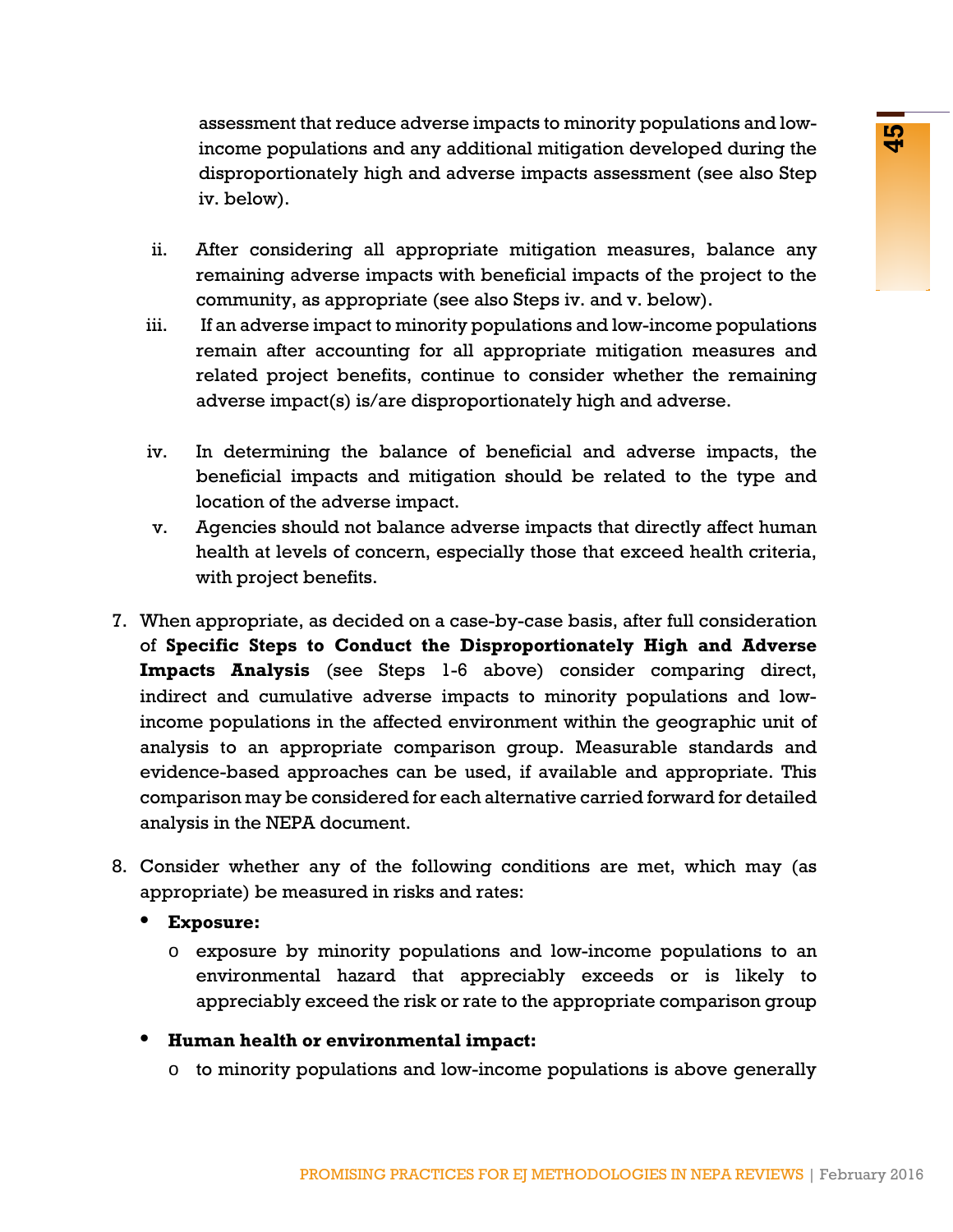assessment that reduce adverse impacts to minority populations and lowincome populations and any additional mitigation developed during the disproportionately high and adverse impacts assessment (see also Step iv. below).

- ii. After considering all appropriate mitigation measures, balance any remaining adverse impacts with beneficial impacts of the project to the community, as appropriate (see also Steps iv. and v. below).
- iii. If an adverse impact to minority populations and low-income populations remain after accounting for all appropriate mitigation measures and related project benefits, continue to consider whether the remaining adverse impact(s) is/are disproportionately high and adverse.
- iv. In determining the balance of beneficial and adverse impacts, the beneficial impacts and mitigation should be related to the type and location of the adverse impact.
- v. Agencies should not balance adverse impacts that directly affect human health at levels of concern, especially those that exceed health criteria, with project benefits.
- Intertates extension and the method of the appropriates of the appropriates and any additional mitigation measures, balance any behavior and any additional mitigation measures, balance any does as appropriate (see also Ste 7. When appropriate, as decided on a case-by-case basis, after full consideration of **Specific Steps to Conduct the Disproportionately High and Adverse Impacts Analysis** (see Steps 1-6 above) consider comparing direct, indirect and cumulative adverse impacts to minority populations and lowincome populations in the affected environment within the geographic unit of analysis to an appropriate comparison group. Measurable standards and evidence-based approaches can be used, if available and appropriate. This comparison may be considered for each alternative carried forward for detailed analysis in the NEPA document.
- 8. Consider whether any of the following conditions are met, which may (as appropriate) be measured in risks and rates:
	- **• Exposure:**
		- o exposure by minority populations and low-income populations to an environmental hazard that appreciably exceeds or is likely to appreciably exceed the risk or rate to the appropriate comparison group
	- **• Human health or environmental impact:**
		- o to minority populations and low-income populations is above generally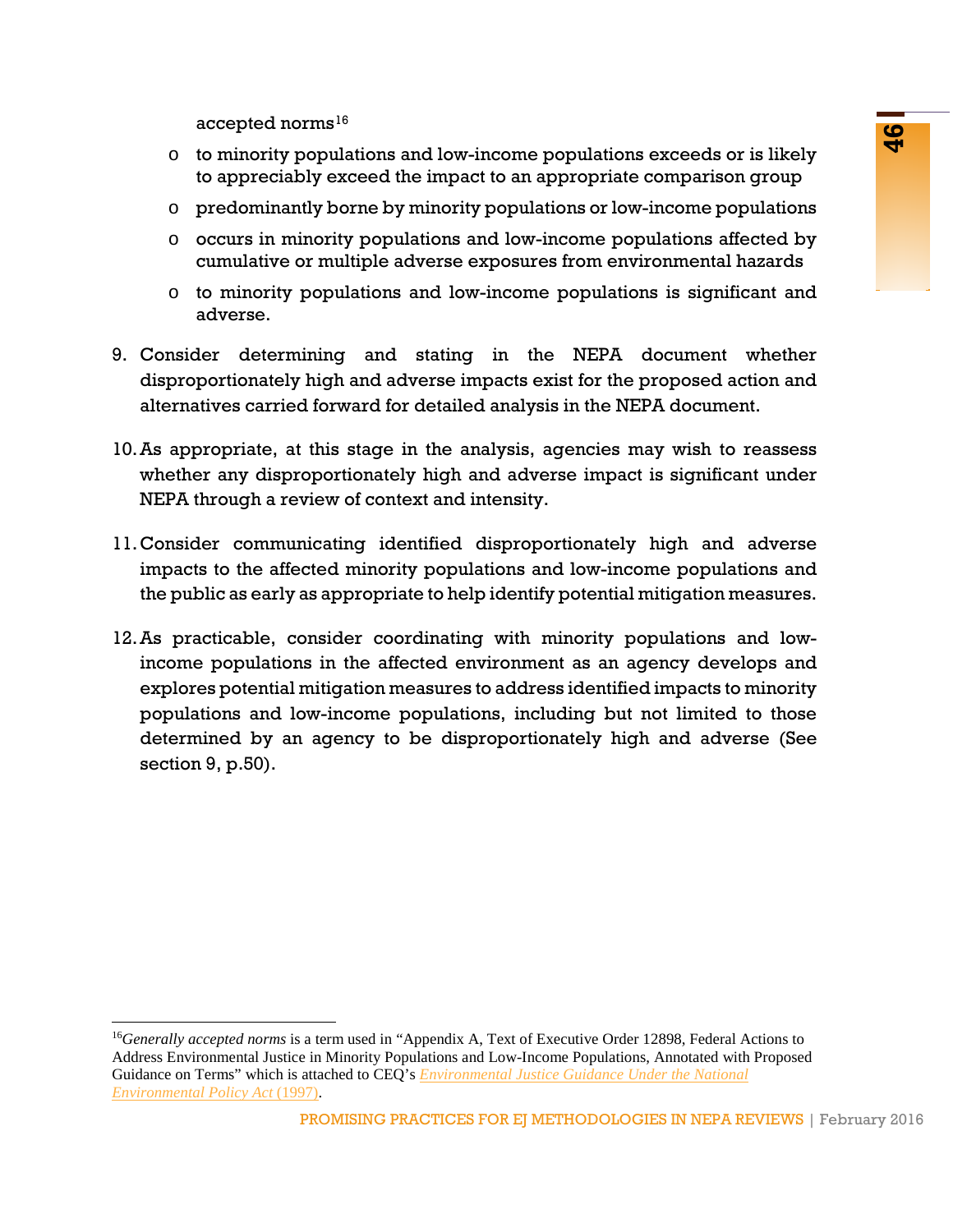accepted norms $16$ 

- o to minority populations and low-income populations exceeds or is likely to appreciably exceed the impact to an appropriate comparison group
- o predominantly borne by minority populations or low-income populations
- o occurs in minority populations and low-income populations affected by cumulative or multiple adverse exposures from environmental hazards
- o to minority populations and low-income populations is significant and adverse.
- 9. Consider determining and stating in the NEPA document whether disproportionately high and adverse impacts exist for the proposed action and alternatives carried forward for detailed analysis in the NEPA document.
- 10.As appropriate, at this stage in the analysis, agencies may wish to reassess whether any disproportionately high and adverse impact is significant under NEPA through a review of context and intensity.
- 11.Consider communicating identified disproportionately high and adverse impacts to the affected minority populations and low-income populations and the public as early as appropriate to help identify potential mitigation measures.
- rm<br>populations and low-income populations exceeds or is likely<br>by borne by minority populations and low-income populations affected by<br>thy borne by minority populations and low-income populations affected by<br>populations an 12.As practicable, consider coordinating with minority populations and lowincome populations in the affected environment as an agency develops and explores potential mitigation measures to address identified impacts to minority populations and low-income populations, including but not limited to those determined by an agency to be disproportionately high and adverse (See section 9, p.50).

<span id="page-47-1"></span><span id="page-47-0"></span><sup>16</sup>*Generally accepted norms* is a term used in "Appendix A, Text of Executive Order 12898, Federal Actions to Address Environmental Justice in Minority Populations and Low-Income Populations, Annotated with Proposed Guidance on Terms" which is attached to CEQ's *[Environmental Justice Guidance Under the National](http://www3.epa.gov/environmentaljustice/resources/policy/ej_guidance_nepa_ceq1297.pdf)  [Environmental Policy Act](http://www3.epa.gov/environmentaljustice/resources/policy/ej_guidance_nepa_ceq1297.pdf)* (1997).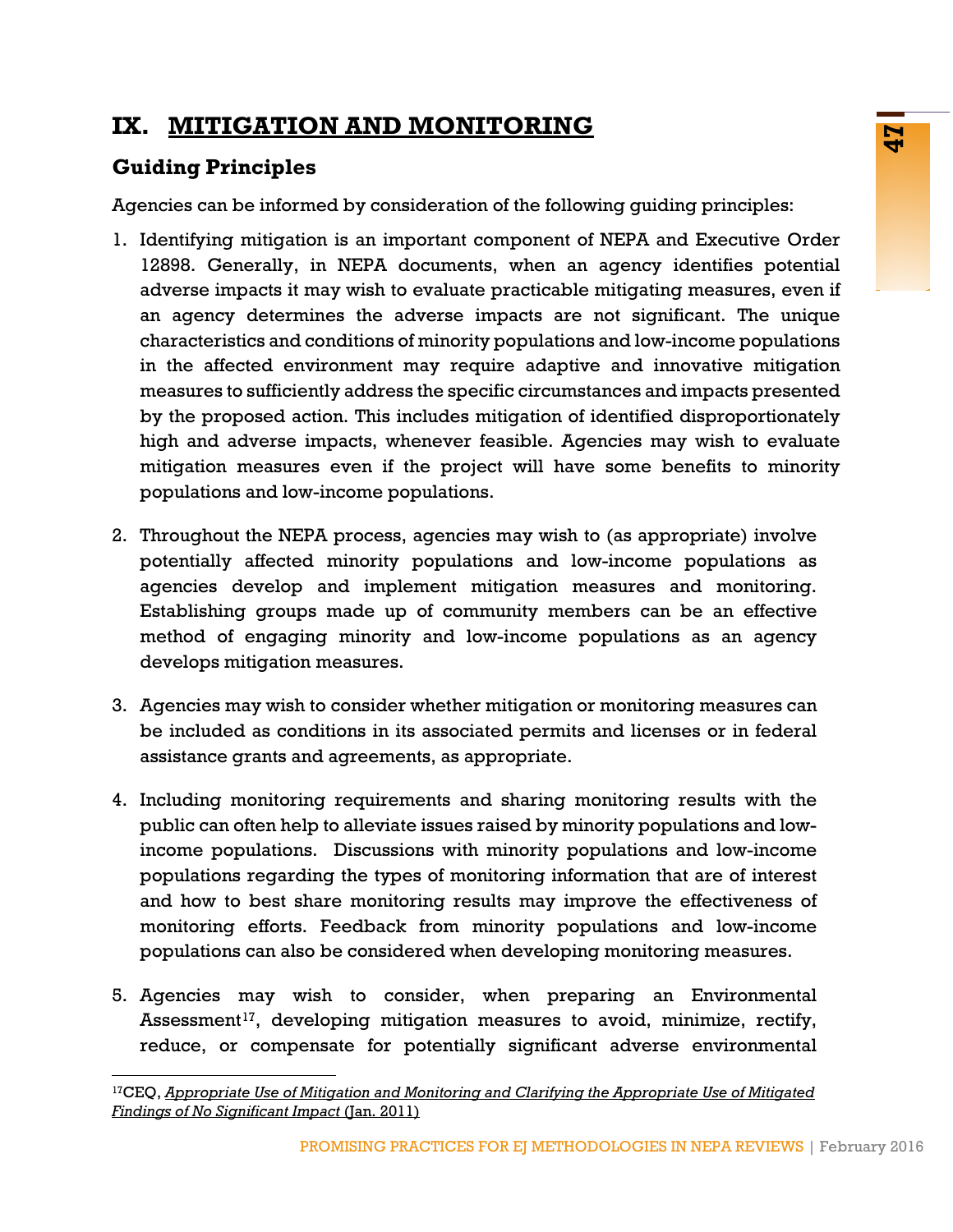# **IX. MITIGATION AND MONITORING**

# **Guiding Principles**

Agencies can be informed by consideration of the following guiding principles:

- **EVALUATION CONTROVERTS CONTROVERTS**<br> **EVALUATION**<br> **EVALUATION**<br> **EVALUATION**<br> **EVALUATION**<br> **EVALUATION**<br> **EVALUATION**<br> **EVALUATION**<br> **EVALUATION**<br> **EVALUATION**<br> **EVALUATION**<br> **EVALUATION**<br> **EVALUATION**<br> **EVALUATION**<br> **E** 1. Identifying mitigation is an important component of NEPA and Executive Order 12898. Generally, in NEPA documents, when an agency identifies potential adverse impacts it may wish to evaluate practicable mitigating measures, even if an agency determines the adverse impacts are not significant. The unique characteristics and conditions of minority populations and low-income populations in the affected environment may require adaptive and innovative mitigation measures to sufficiently address the specific circumstances and impacts presented by the proposed action. This includes mitigation of identified disproportionately high and adverse impacts, whenever feasible. Agencies may wish to evaluate mitigation measures even if the project will have some benefits to minority populations and low-income populations.
- 2. Throughout the NEPA process, agencies may wish to (as appropriate) involve potentially affected minority populations and low-income populations as agencies develop and implement mitigation measures and monitoring. Establishing groups made up of community members can be an effective method of engaging minority and low-income populations as an agency develops mitigation measures.
- 3. Agencies may wish to consider whether mitigation or monitoring measures can be included as conditions in its associated permits and licenses or in federal assistance grants and agreements, as appropriate.
- 4. Including monitoring requirements and sharing monitoring results with the public can often help to alleviate issues raised by minority populations and lowincome populations. Discussions with minority populations and low-income populations regarding the types of monitoring information that are of interest and how to best share monitoring results may improve the effectiveness of monitoring efforts. Feedback from minority populations and low-income populations can also be considered when developing monitoring measures.
- 5. Agencies may wish to consider, when preparing an Environmental Assessment<sup>[17](#page-48-0)</sup>, developing mitigation measures to avoid, minimize, rectify, reduce, or compensate for potentially significant adverse environmental

<span id="page-48-0"></span><sup>17</sup>CEQ, *[Appropriate Use of Mitigation and Monitoring and Clarifying the Appropriate Use of Mitigated](https://ceq.doe.gov/current_developments/docs/Mitigation_and_Monitoring_Guidance_14Jan2011.pdf)  [Findings of No Significant Impact](https://ceq.doe.gov/current_developments/docs/Mitigation_and_Monitoring_Guidance_14Jan2011.pdf)* (Jan. 2011)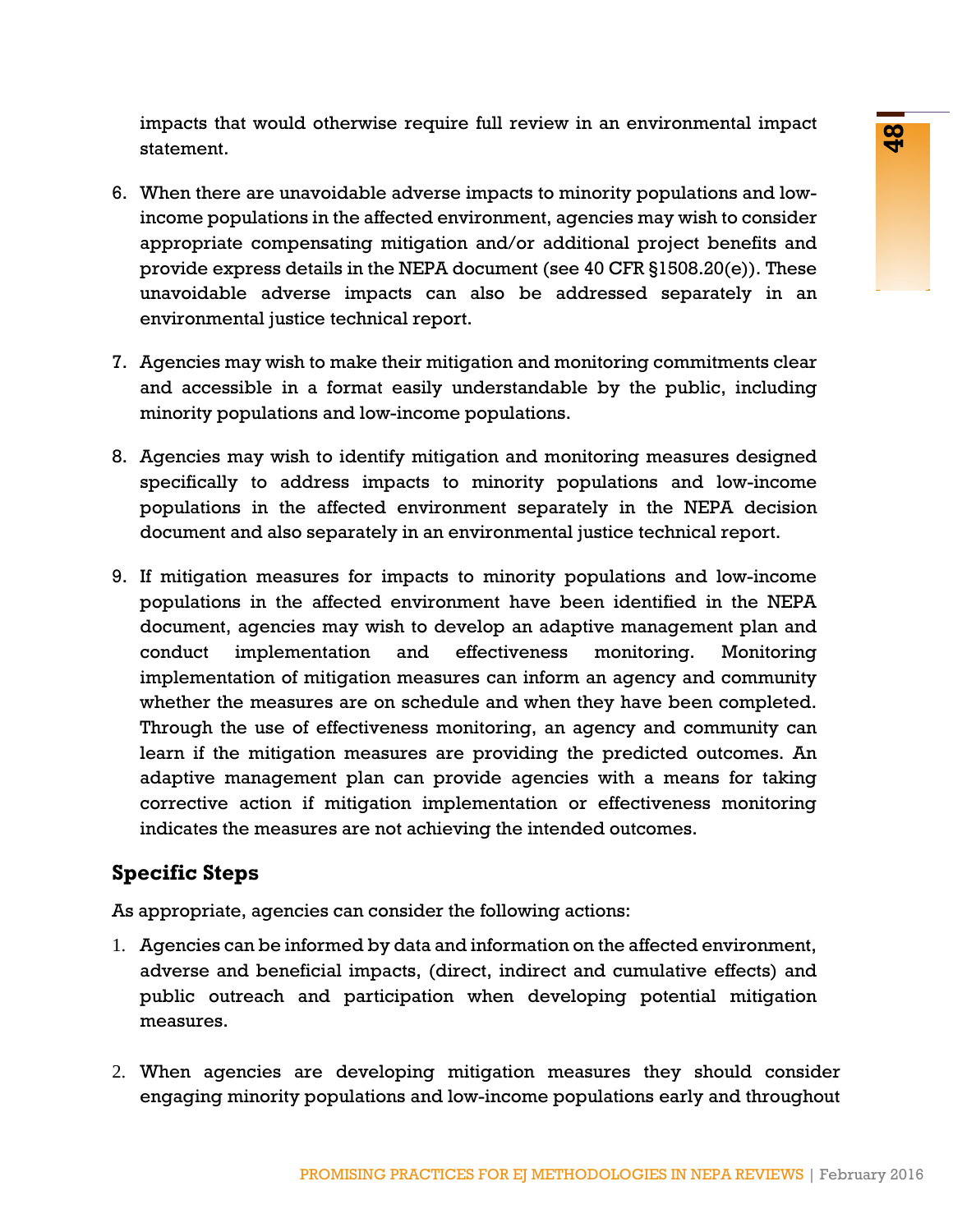impacts that would otherwise require full review in an environmental impact statement.

- 6. When there are unavoidable adverse impacts to minority populations and lowincome populations in the affected environment, agencies may wish to consider appropriate compensating mitigation and/or additional project benefits and provide express details in the NEPA document (see 40 CFR §1508.20(e)). These unavoidable adverse impacts can also be addressed separately in an environmental justice technical report.
- 7. Agencies may wish to make their mitigation and monitoring commitments clear and accessible in a format easily understandable by the public, including minority populations and low-income populations.
- 8. Agencies may wish to identify mitigation and monitoring measures designed specifically to address impacts to minority populations and low-income populations in the affected environment separately in the NEPA decision document and also separately in an environmental justice technical report.
- oties wase require and review in an environmental inpect<br>sin the difference denvironment, agencies any wish to consider<br>ensating mitigation and/or additional project benefits and<br>ensusting mitigation and/or additional proj 9. If mitigation measures for impacts to minority populations and low-income populations in the affected environment have been identified in the NEPA document, agencies may wish to develop an adaptive management plan and conduct implementation and effectiveness monitoring. Monitoring implementation of mitigation measures can inform an agency and community whether the measures are on schedule and when they have been completed. Through the use of effectiveness monitoring, an agency and community can learn if the mitigation measures are providing the predicted outcomes. An adaptive management plan can provide agencies with a means for taking corrective action if mitigation implementation or effectiveness monitoring indicates the measures are not achieving the intended outcomes.

# **Specific Steps**

As appropriate, agencies can consider the following actions:

- 1. Agencies can be informed by data and information on the affected environment, adverse and beneficial impacts, (direct, indirect and cumulative effects) and public outreach and participation when developing potential mitigation measures.
- 2. When agencies are developing mitigation measures they should consider engaging minority populations and low-income populations early and throughout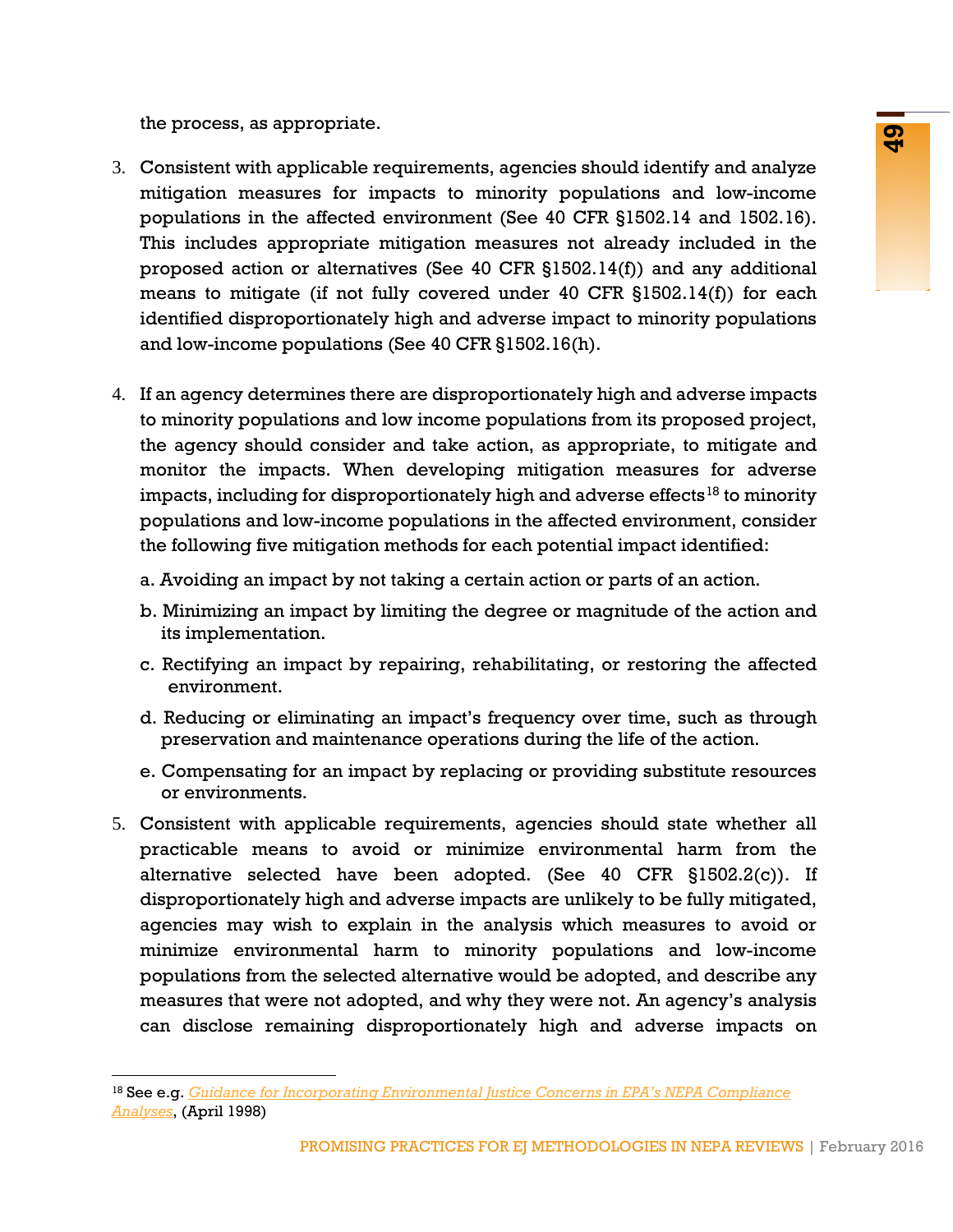the process, as appropriate.

- 3. Consistent with applicable requirements, agencies should identify and analyze mitigation measures for impacts to minority populations and low-income populations in the affected environment (See 40 CFR §1502.14 and 1502.16). This includes appropriate mitigation measures not already included in the proposed action or alternatives (See 40 CFR §1502.14(f)) and any additional means to mitigate (if not fully covered under 40 CFR §1502.14(f)) for each identified disproportionately high and adverse impact to minority populations and low-income populations (See 40 CFR §1502.16(h).
- 4. If an agency determines there are disproportionately high and adverse impacts to minority populations and low income populations from its proposed project, the agency should consider and take action, as appropriate, to mitigate and monitor the impacts. When developing mitigation measures for adverse impacts, including for disproportionately high and adverse effects<sup>[18](#page-50-0)</sup> to minority populations and low-income populations in the affected environment, consider the following five mitigation methods for each potential impact identified:
	- a. Avoiding an impact by not taking a certain action or parts of an action.
	- b. Minimizing an impact by limiting the degree or magnitude of the action and its implementation.
	- c. Rectifying an impact by repairing, rehabilitating, or restoring the affected environment.
	- d. Reducing or eliminating an impact's frequency over time, such as through preservation and maintenance operations during the life of the action.
	- e. Compensating for an impact by replacing or providing substitute resources or environments.
- **Solution**<br>
Signalistic requirements, agencies ahould identify and analyze<br>
es for impacts to minority populations and low-income<br>
affected environment (See 40 GFR §1802.14(f)) and any additional<br>
or alternatives (See 40 G 5. Consistent with applicable requirements, agencies should state whether all practicable means to avoid or minimize environmental harm from the alternative selected have been adopted. (See 40 CFR §1502.2(c)). If disproportionately high and adverse impacts are unlikely to be fully mitigated, agencies may wish to explain in the analysis which measures to avoid or minimize environmental harm to minority populations and low-income populations from the selected alternative would be adopted, and describe any measures that were not adopted, and why they were not. An agency's analysis can disclose remaining disproportionately high and adverse impacts on

<span id="page-50-0"></span><sup>18</sup> See e.g. *[Guidance for Incorporating Environmental Justice Concerns in EPA's NEPA Compliance](http://www3.epa.gov/environmentaljustice/resources/policy/ej_guidance_nepa_epa0498.pdf)  [Analyses](http://www3.epa.gov/environmentaljustice/resources/policy/ej_guidance_nepa_epa0498.pdf)*, (April 1998)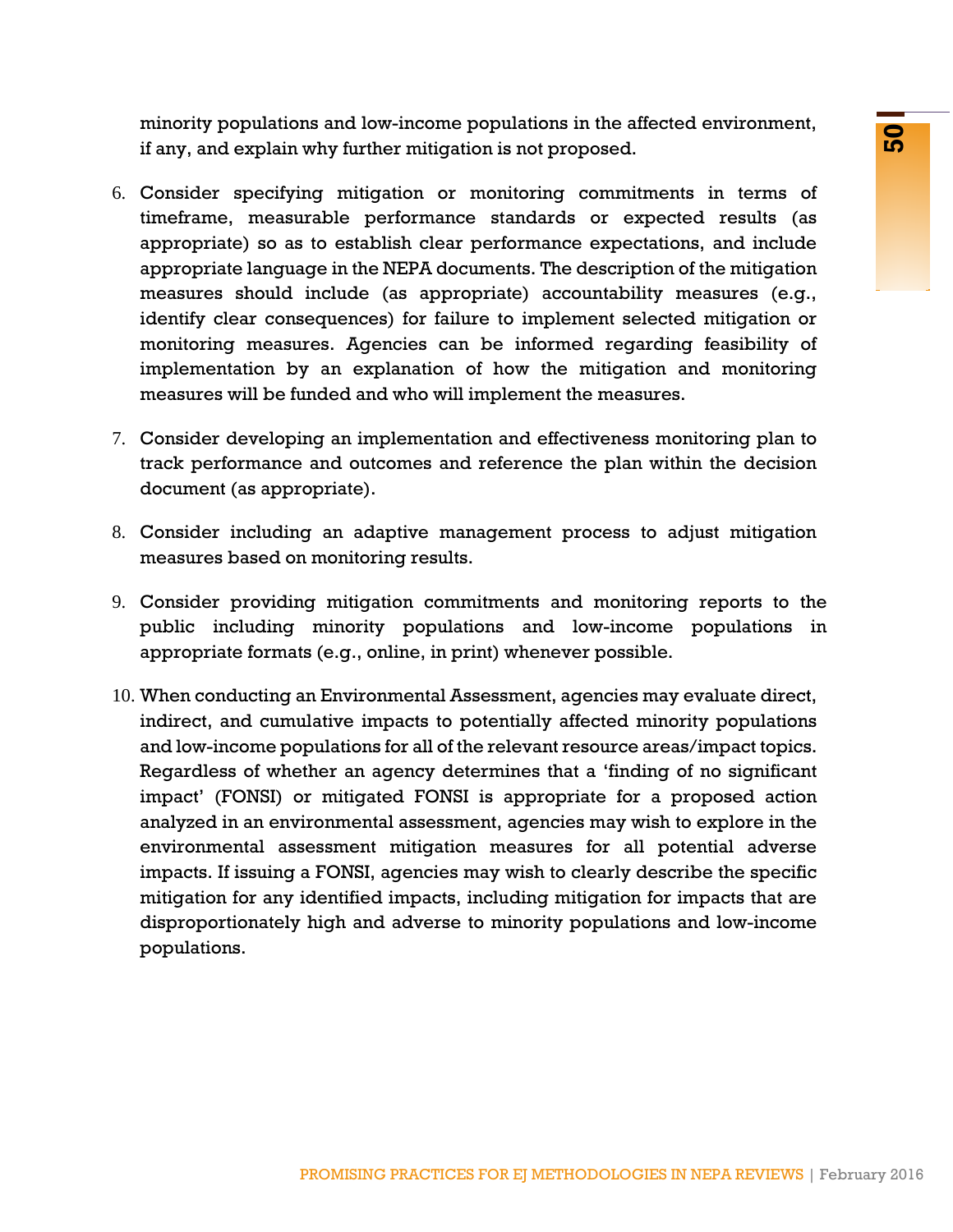minority populations and low-income populations in the affected environment, if any, and explain why further mitigation is not proposed.

- 6. Consider specifying mitigation or monitoring commitments in terms of timeframe, measurable performance standards or expected results (as appropriate) so as to establish clear performance expectations, and include appropriate language in the NEPA documents. The description of the mitigation measures should include (as appropriate) accountability measures (e.g., identify clear consequences) for failure to implement selected mitigation or monitoring measures. Agencies can be informed regarding feasibility of implementation by an explanation of how the mitigation and monitoring measures will be funded and who will implement the measures.
- 7. Consider developing an implementation and effectiveness monitoring plan to track performance and outcomes and reference the plan within the decision document (as appropriate).
- 8. Consider including an adaptive management process to adjust mitigation measures based on monitoring results.
- 9. Consider providing mitigation commitments and monitoring reports to the public including minority populations and low-income populations in appropriate formats (e.g., online, in print) whenever possible.
- is alu ow-nucologic population is not proposed.<br>
My further mitigation is not proposed.<br>
Ing mitigation or monitoring commitments in terms of<br>
any mitigation or monitoring commitments. The description of he mitigation<br>
inc 10. When conducting an Environmental Assessment, agencies may evaluate direct, indirect, and cumulative impacts to potentially affected minority populations and low-income populations for all of the relevant resource areas/impact topics. Regardless of whether an agency determines that a 'finding of no significant impact' (FONSI) or mitigated FONSI is appropriate for a proposed action analyzed in an environmental assessment, agencies may wish to explore in the environmental assessment mitigation measures for all potential adverse impacts. If issuing a FONSI, agencies may wish to clearly describe the specific mitigation for any identified impacts, including mitigation for impacts that are disproportionately high and adverse to minority populations and low-income populations.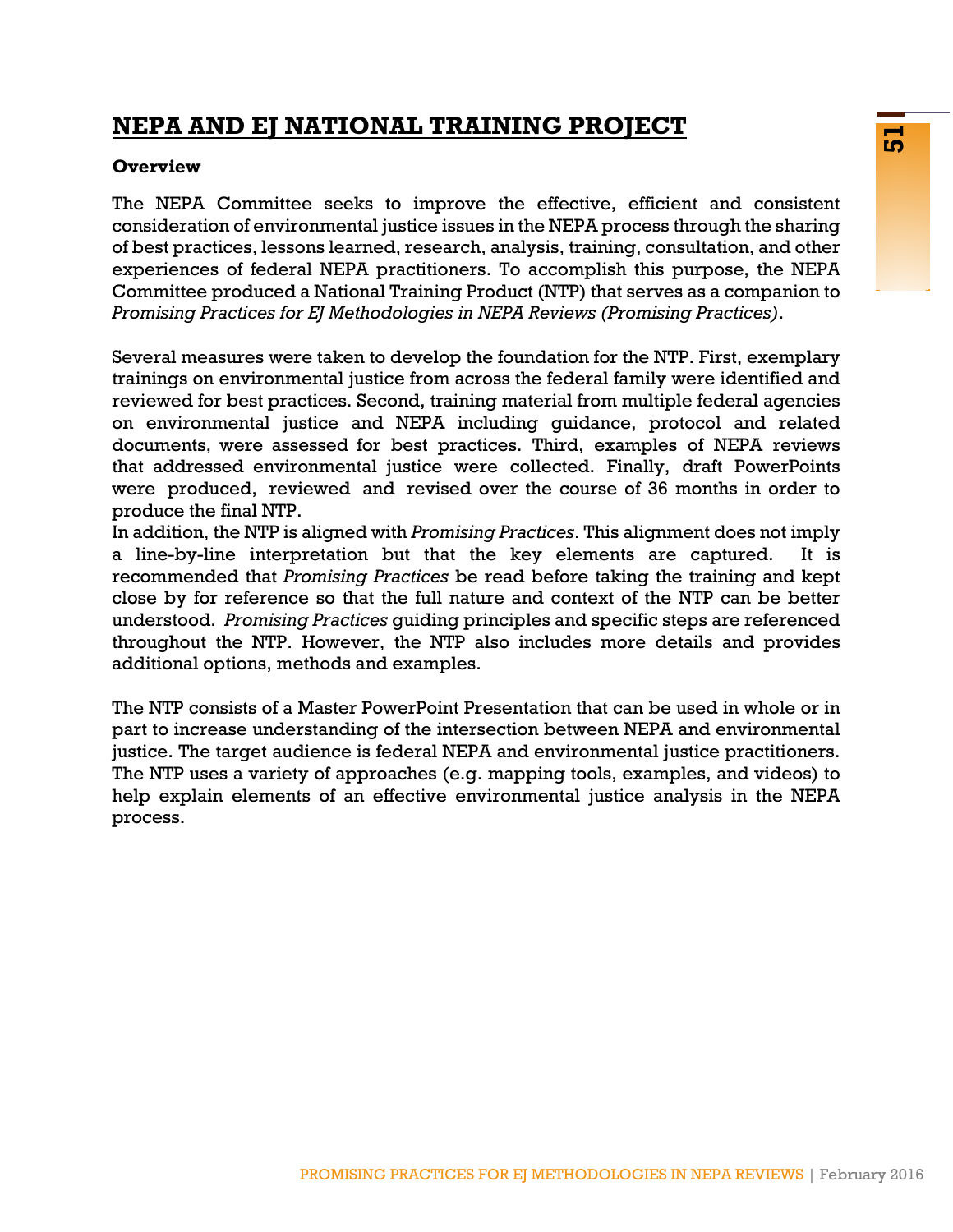# **NEPA AND EJ NATIONAL TRAINING PROJECT**

### **Overview**

The NEPA Committee seeks to improve the effective, efficient and consistent consideration of environmental justice issues in the NEPA process through the sharing of best practices, lessons learned, research, analysis, training, consultation, and other experiences of federal NEPA practitioners. To accomplish this purpose, the NEPA Committee produced a National Training Product (NTP) that serves as a companion to *Promising Practices for EJ Methodologies in NEPA Reviews (Promising Practices)*.

**EXECUTE ANDERE ANDERE CONSERVATIVE CONSERVATIVE CONSERVATIVE (CONSERVATIVE)** the sharing nonslearned, research, analysis, training, consultation, and other and INEPA process through the NETPA process through the sharp ose Several measures were taken to develop the foundation for the NTP. First, exemplary trainings on environmental justice from across the federal family were identified and reviewed for best practices. Second, training material from multiple federal agencies on environmental justice and NEPA including guidance, protocol and related documents, were assessed for best practices. Third, examples of NEPA reviews that addressed environmental justice were collected. Finally, draft PowerPoints were produced, reviewed and revised over the course of 36 months in order to produce the final NTP.

In addition, the NTP is aligned with *Promising Practices*. This alignment does not imply a line-by-line interpretation but that the key elements are captured. It is recommended that *Promising Practices* be read before taking the training and kept close by for reference so that the full nature and context of the NTP can be better understood. *Promising Practices* guiding principles and specific steps are referenced throughout the NTP. However, the NTP also includes more details and provides additional options, methods and examples.

The NTP consists of a Master PowerPoint Presentation that can be used in whole or in part to increase understanding of the intersection between NEPA and environmental justice. The target audience is federal NEPA and environmental justice practitioners. The NTP uses a variety of approaches (e.g. mapping tools, examples, and videos) to help explain elements of an effective environmental justice analysis in the NEPA process.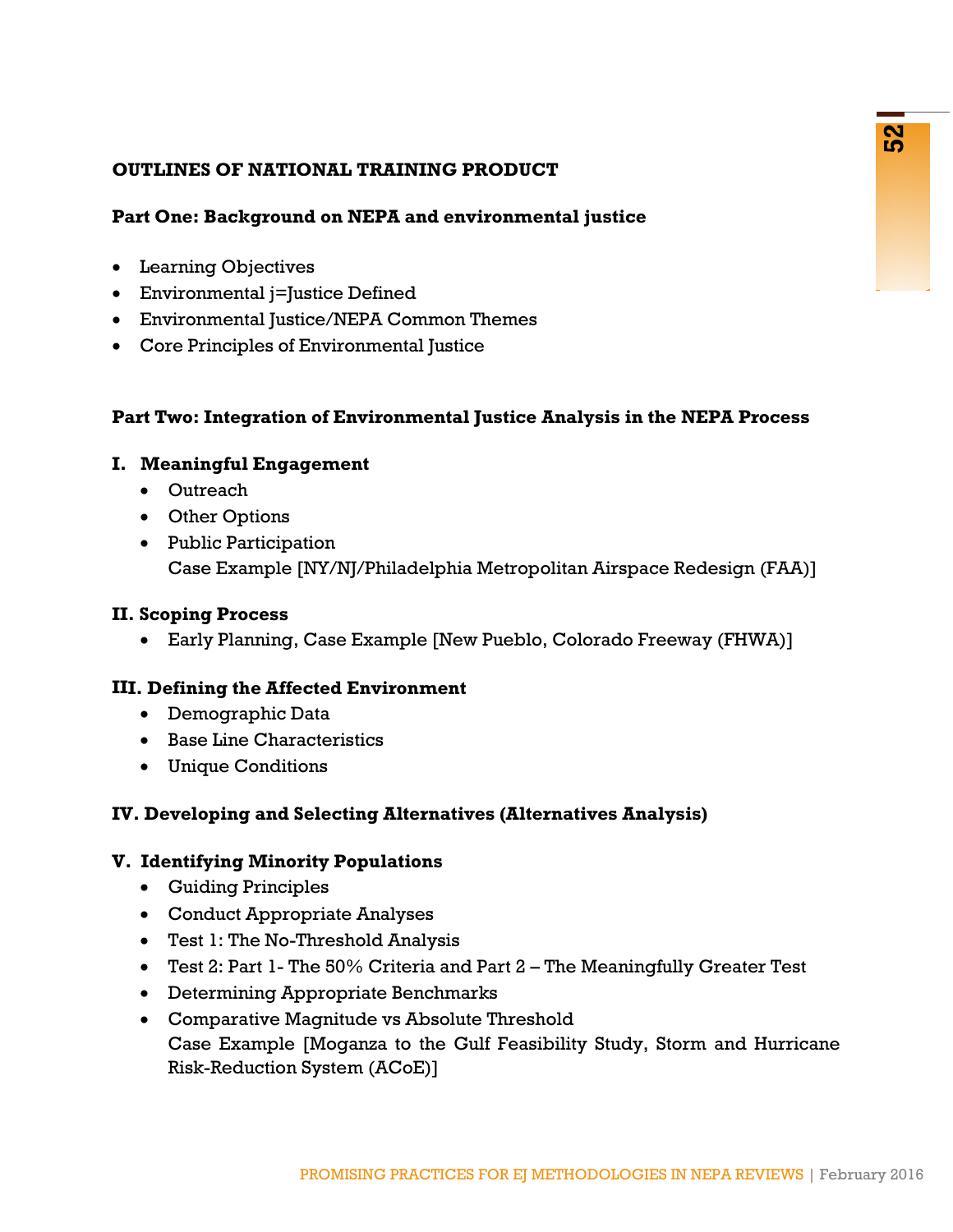### **OUTLINES OF NATIONAL TRAINING PRODUCT**

### **Part One: Background on NEPA and environmental justice**

- Learning Objectives
- Environmental j=Justice Defined
- Environmental Justice/NEPA Common Themes
- Core Principles of Environmental Justice

### **Part Two: Integration of Environmental Justice Analysis in the NEPA Process**

### **I. Meaningful Engagement**

- Outreach
- Other Options
- Public Participation Case Example [NY/NJ/Philadelphia Metropolitan Airspace Redesign (FAA)]

### **II. Scoping Process**

• Early Planning, Case Example [New Pueblo, Colorado Freeway (FHWA)]

### **III. Defining the Affected Environment**

- Demographic Data
- Base Line Characteristics
- Unique Conditions

### **IV. Developing and Selecting Alternatives (Alternatives Analysis)**

### **V. Identifying Minority Populations**

- Guiding Principles
- Conduct Appropriate Analyses
- Test 1: The No-Threshold Analysis
- Test 2: Part 1- The 50% Criteria and Part 2 The Meaningfully Greater Test
- Determining Appropriate Benchmarks
- **PRAINING PRODUCT<br>
al on NEPA and environmental justice<br>
istice Defined<br>
istice Defined<br>
Environmental Justice Knalysis in the NEPA Process<br>
gement<br>
and Law Commental Justice Knalysis in the NEPA Process<br>
gement<br>
thion<br>
MY** • Comparative Magnitude vs Absolute Threshold Case Example [Moganza to the Gulf Feasibility Study, Storm and Hurricane Risk-Reduction System (ACoE)]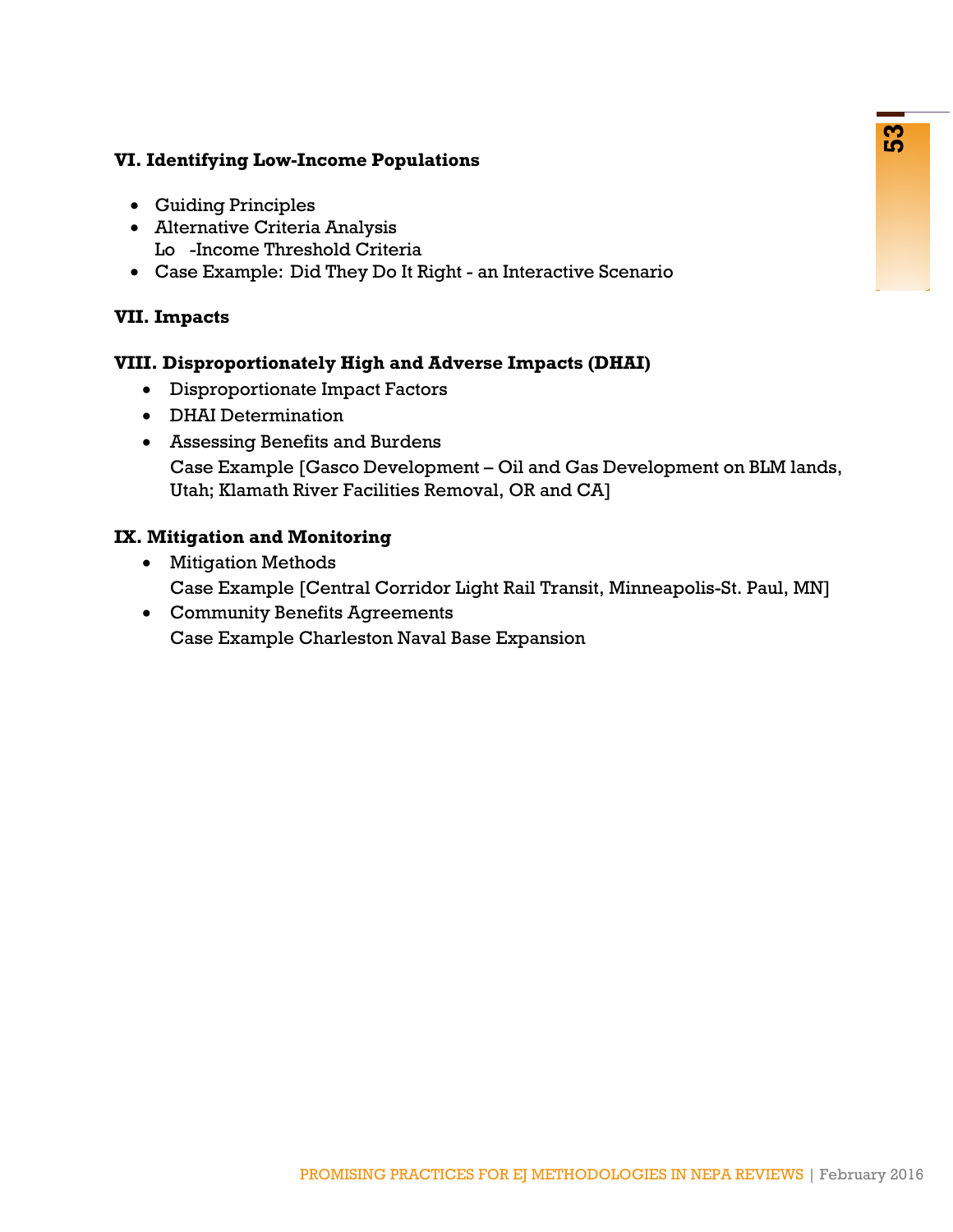### **VI. Identifying Low-Income Populations**

- Guiding Principles
- Alternative Criteria Analysis Lo -Income Threshold Criteria
- Case Example: Did They Do It Right an Interactive Scenario

### **VII. Impacts**

### **VIII. Disproportionately High and Adverse Impacts (DHAI)**

- Disproportionate Impact Factors
- DHAI Determination
- Income Populations<br>
es<br>
es<br>
dia Analysis<br>
schold Criteria<br>
schold Criteria<br>
schold Criteria<br>
et Impact Pactors<br>
et Impact Pactors<br>
ation<br>
et Impact Pactors<br>
ation<br>
ICasco Development Oil and Gas Development on BLM lands, • Assessing Benefits and Burdens Case Example [Gasco Development – Oil and Gas Development on BLM lands, Utah; Klamath River Facilities Removal, OR and CA]

### **IX. Mitigation and Monitoring**

- Mitigation Methods Case Example [Central Corridor Light Rail Transit, Minneapolis-St. Paul, MN]
- Community Benefits Agreements Case Example Charleston Naval Base Expansion